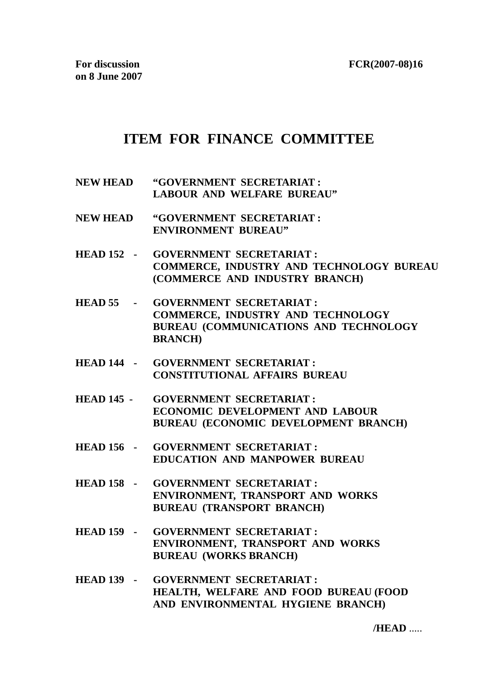**FCR(2007-08)16**

## **ITEM FOR FINANCE COMMITTEE**

- **NEW HEAD "GOVERNMENT SECRETARIAT : LABOUR AND WELFARE BUREAU"**
- **NEW HEAD "GOVERNMENT SECRETARIAT : ENVIRONMENT BUREAU"**
- **HEAD 152 GOVERNMENT SECRETARIAT : COMMERCE, INDUSTRY AND TECHNOLOGY BUREAU (COMMERCE AND INDUSTRY BRANCH)**
- **HEAD 55 GOVERNMENT SECRETARIAT : COMMERCE, INDUSTRY AND TECHNOLOGY BUREAU (COMMUNICATIONS AND TECHNOLOGY BRANCH)**
- **HEAD 144 GOVERNMENT SECRETARIAT : CONSTITUTIONAL AFFAIRS BUREAU**
- **HEAD 145 GOVERNMENT SECRETARIAT : ECONOMIC DEVELOPMENT AND LABOUR BUREAU (ECONOMIC DEVELOPMENT BRANCH)**
- **HEAD 156 GOVERNMENT SECRETARIAT : EDUCATION AND MANPOWER BUREAU**
- **HEAD 158 GOVERNMENT SECRETARIAT : ENVIRONMENT, TRANSPORT AND WORKS BUREAU (TRANSPORT BRANCH)**
- **HEAD 159 GOVERNMENT SECRETARIAT : ENVIRONMENT, TRANSPORT AND WORKS BUREAU (WORKS BRANCH)**
- **HEAD 139 GOVERNMENT SECRETARIAT : HEALTH, WELFARE AND FOOD BUREAU (FOOD AND ENVIRONMENTAL HYGIENE BRANCH)**

**/HEAD** .....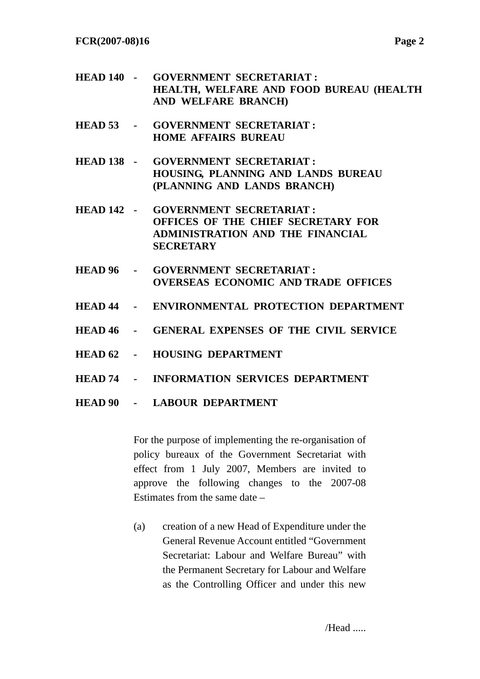**FCR(2007-08)16 Page 2** 

- **HEAD 140 GOVERNMENT SECRETARIAT : HEALTH, WELFARE AND FOOD BUREAU (HEALTH AND WELFARE BRANCH)**
- **HEAD 53 GOVERNMENT SECRETARIAT : HOME AFFAIRS BUREAU**
- **HEAD 138 GOVERNMENT SECRETARIAT : HOUSING, PLANNING AND LANDS BUREAU (PLANNING AND LANDS BRANCH)**
- **HEAD 142 GOVERNMENT SECRETARIAT : OFFICES OF THE CHIEF SECRETARY FOR ADMINISTRATION AND THE FINANCIAL SECRETARY**
- **HEAD 96 GOVERNMENT SECRETARIAT : OVERSEAS ECONOMIC AND TRADE OFFICES**
- **HEAD 44 ENVIRONMENTAL PROTECTION DEPARTMENT**
- **HEAD 46 GENERAL EXPENSES OF THE CIVIL SERVICE**
- **HEAD 62 HOUSING DEPARTMENT**
- **HEAD 74 INFORMATION SERVICES DEPARTMENT**

## **HEAD 90 - LABOUR DEPARTMENT**

For the purpose of implementing the re-organisation of policy bureaux of the Government Secretariat with effect from 1 July 2007, Members are invited to approve the following changes to the 2007-08 Estimates from the same date –

(a) creation of a new Head of Expenditure under the General Revenue Account entitled "Government Secretariat: Labour and Welfare Bureau" with the Permanent Secretary for Labour and Welfare as the Controlling Officer and under this new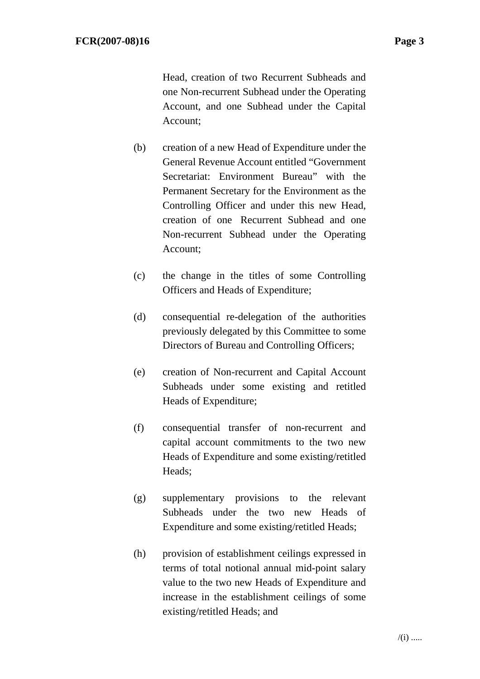Head, creation of two Recurrent Subheads and one Non-recurrent Subhead under the Operating Account, and one Subhead under the Capital Account;

- (b) creation of a new Head of Expenditure under the General Revenue Account entitled "Government Secretariat: Environment Bureau" with the Permanent Secretary for the Environment as the Controlling Officer and under this new Head, creation of one Recurrent Subhead and one Non-recurrent Subhead under the Operating Account;
- (c) the change in the titles of some Controlling Officers and Heads of Expenditure;
- (d) consequential re-delegation of the authorities previously delegated by this Committee to some Directors of Bureau and Controlling Officers;
- (e) creation of Non-recurrent and Capital Account Subheads under some existing and retitled Heads of Expenditure;
- (f) consequential transfer of non-recurrent and capital account commitments to the two new Heads of Expenditure and some existing/retitled Heads;
- (g) supplementary provisions to the relevant Subheads under the two new Heads of Expenditure and some existing/retitled Heads;
- (h) provision of establishment ceilings expressed in terms of total notional annual mid-point salary value to the two new Heads of Expenditure and increase in the establishment ceilings of some existing/retitled Heads; and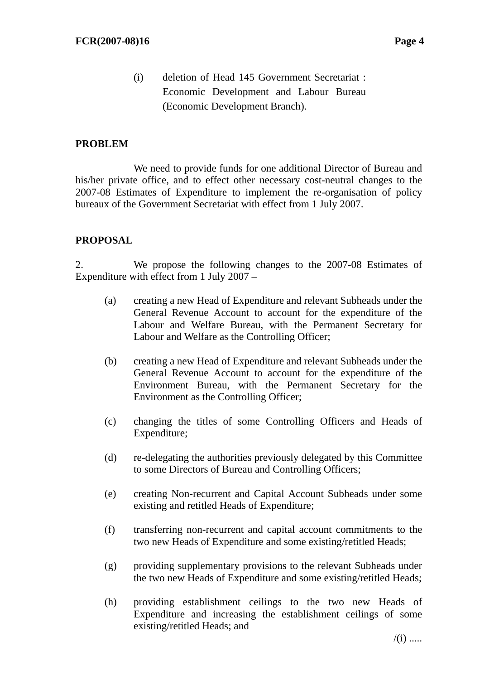(i) deletion of Head 145 Government Secretariat : Economic Development and Labour Bureau (Economic Development Branch).

## **PROBLEM**

 We need to provide funds for one additional Director of Bureau and his/her private office, and to effect other necessary cost-neutral changes to the 2007-08 Estimates of Expenditure to implement the re-organisation of policy bureaux of the Government Secretariat with effect from 1 July 2007.

## **PROPOSAL**

2. We propose the following changes to the 2007-08 Estimates of Expenditure with effect from 1 July 2007 –

- (a) creating a new Head of Expenditure and relevant Subheads under the General Revenue Account to account for the expenditure of the Labour and Welfare Bureau, with the Permanent Secretary for Labour and Welfare as the Controlling Officer;
- (b) creating a new Head of Expenditure and relevant Subheads under the General Revenue Account to account for the expenditure of the Environment Bureau, with the Permanent Secretary for the Environment as the Controlling Officer;
- (c) changing the titles of some Controlling Officers and Heads of Expenditure;
- (d) re-delegating the authorities previously delegated by this Committee to some Directors of Bureau and Controlling Officers;
- (e) creating Non-recurrent and Capital Account Subheads under some existing and retitled Heads of Expenditure;
- (f) transferring non-recurrent and capital account commitments to the two new Heads of Expenditure and some existing/retitled Heads;
- (g) providing supplementary provisions to the relevant Subheads under the two new Heads of Expenditure and some existing/retitled Heads;
- (h) providing establishment ceilings to the two new Heads of Expenditure and increasing the establishment ceilings of some existing/retitled Heads; and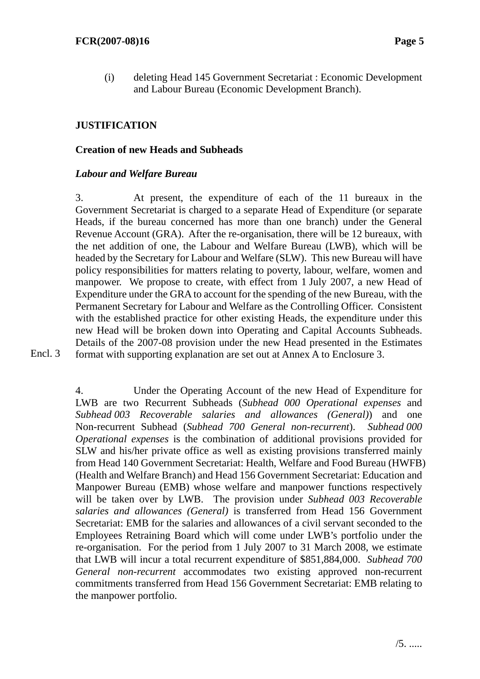(i) deleting Head 145 Government Secretariat : Economic Development and Labour Bureau (Economic Development Branch).

## **JUSTIFICATION**

## **Creation of new Heads and Subheads**

## *Labour and Welfare Bureau*

3. At present, the expenditure of each of the 11 bureaux in the Government Secretariat is charged to a separate Head of Expenditure (or separate Heads, if the bureau concerned has more than one branch) under the General Revenue Account (GRA). After the re-organisation, there will be 12 bureaux, with the net addition of one, the Labour and Welfare Bureau (LWB), which will be headed by the Secretary for Labour and Welfare (SLW). This new Bureau will have policy responsibilities for matters relating to poverty, labour, welfare, women and manpower. We propose to create, with effect from 1 July 2007, a new Head of Expenditure under the GRA to account for the spending of the new Bureau, with the Permanent Secretary for Labour and Welfare as the Controlling Officer. Consistent with the established practice for other existing Heads, the expenditure under this new Head will be broken down into Operating and Capital Accounts Subheads. Details of the 2007-08 provision under the new Head presented in the Estimates format with supporting explanation are set out at Annex A to Enclosure 3.

Encl. 3

4. Under the Operating Account of the new Head of Expenditure for LWB are two Recurrent Subheads (*Subhead 000 Operational expenses* and *Subhead 003 Recoverable salaries and allowances (General)*) and one Non-recurrent Subhead (*Subhead 700 General non-recurrent*). *Subhead 000 Operational expenses* is the combination of additional provisions provided for SLW and his/her private office as well as existing provisions transferred mainly from Head 140 Government Secretariat: Health, Welfare and Food Bureau (HWFB) (Health and Welfare Branch) and Head 156 Government Secretariat: Education and Manpower Bureau (EMB) whose welfare and manpower functions respectively will be taken over by LWB. The provision under *Subhead 003 Recoverable salaries and allowances (General)* is transferred from Head 156 Government Secretariat: EMB for the salaries and allowances of a civil servant seconded to the Employees Retraining Board which will come under LWB's portfolio under the re-organisation. For the period from 1 July 2007 to 31 March 2008, we estimate that LWB will incur a total recurrent expenditure of \$851,884,000. *Subhead 700 General non-recurrent* accommodates two existing approved non-recurrent commitments transferred from Head 156 Government Secretariat: EMB relating to the manpower portfolio.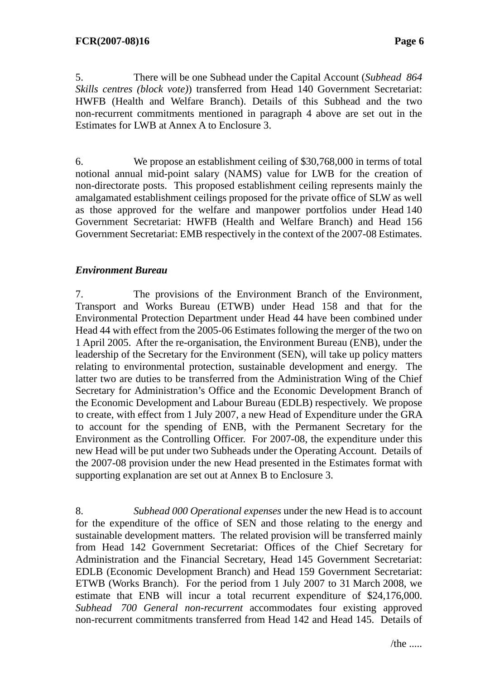5. There will be one Subhead under the Capital Account (*Subhead 864 Skills centres (block vote)*) transferred from Head 140 Government Secretariat: HWFB (Health and Welfare Branch). Details of this Subhead and the two non-recurrent commitments mentioned in paragraph 4 above are set out in the Estimates for LWB at Annex A to Enclosure 3.

6. We propose an establishment ceiling of \$30,768,000 in terms of total notional annual mid-point salary (NAMS) value for LWB for the creation of non-directorate posts. This proposed establishment ceiling represents mainly the amalgamated establishment ceilings proposed for the private office of SLW as well as those approved for the welfare and manpower portfolios under Head 140 Government Secretariat: HWFB (Health and Welfare Branch) and Head 156 Government Secretariat: EMB respectively in the context of the 2007-08 Estimates.

## *Environment Bureau*

7. The provisions of the Environment Branch of the Environment, Transport and Works Bureau (ETWB) under Head 158 and that for the Environmental Protection Department under Head 44 have been combined under Head 44 with effect from the 2005-06 Estimates following the merger of the two on 1 April 2005. After the re-organisation, the Environment Bureau (ENB), under the leadership of the Secretary for the Environment (SEN), will take up policy matters relating to environmental protection, sustainable development and energy. The latter two are duties to be transferred from the Administration Wing of the Chief Secretary for Administration's Office and the Economic Development Branch of the Economic Development and Labour Bureau (EDLB) respectively. We propose to create, with effect from 1 July 2007, a new Head of Expenditure under the GRA to account for the spending of ENB, with the Permanent Secretary for the Environment as the Controlling Officer. For 2007-08, the expenditure under this new Head will be put under two Subheads under the Operating Account. Details of the 2007-08 provision under the new Head presented in the Estimates format with supporting explanation are set out at Annex B to Enclosure 3.

8. *Subhead 000 Operational expenses* under the new Head is to account for the expenditure of the office of SEN and those relating to the energy and sustainable development matters. The related provision will be transferred mainly from Head 142 Government Secretariat: Offices of the Chief Secretary for Administration and the Financial Secretary, Head 145 Government Secretariat: EDLB (Economic Development Branch) and Head 159 Government Secretariat: ETWB (Works Branch). For the period from 1 July 2007 to 31 March 2008, we estimate that ENB will incur a total recurrent expenditure of \$24,176,000. *Subhead 700 General non-recurrent* accommodates four existing approved non-recurrent commitments transferred from Head 142 and Head 145. Details of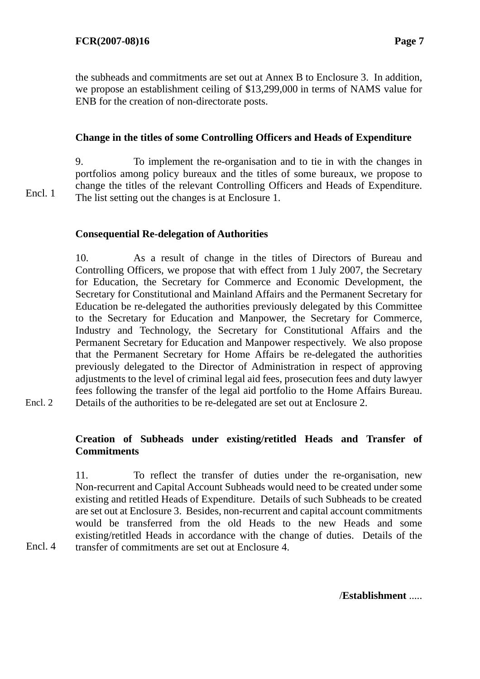Encl. 1

Encl. 4

Encl. 2

the subheads and commitments are set out at Annex B to Enclosure 3. In addition, we propose an establishment ceiling of \$13,299,000 in terms of NAMS value for ENB for the creation of non-directorate posts.

## **Change in the titles of some Controlling Officers and Heads of Expenditure**

9. To implement the re-organisation and to tie in with the changes in portfolios among policy bureaux and the titles of some bureaux, we propose to change the titles of the relevant Controlling Officers and Heads of Expenditure. The list setting out the changes is at Enclosure 1.

**Consequential Re-delegation of Authorities** 

10. As a result of change in the titles of Directors of Bureau and Controlling Officers, we propose that with effect from 1 July 2007, the Secretary for Education, the Secretary for Commerce and Economic Development, the Secretary for Constitutional and Mainland Affairs and the Permanent Secretary for Education be re-delegated the authorities previously delegated by this Committee to the Secretary for Education and Manpower, the Secretary for Commerce, Industry and Technology, the Secretary for Constitutional Affairs and the Permanent Secretary for Education and Manpower respectively. We also propose that the Permanent Secretary for Home Affairs be re-delegated the authorities previously delegated to the Director of Administration in respect of approving adjustments to the level of criminal legal aid fees, prosecution fees and duty lawyer fees following the transfer of the legal aid portfolio to the Home Affairs Bureau. Details of the authorities to be re-delegated are set out at Enclosure 2.

## **Creation of Subheads under existing/retitled Heads and Transfer of Commitments**

11. To reflect the transfer of duties under the re-organisation, new Non-recurrent and Capital Account Subheads would need to be created under some existing and retitled Heads of Expenditure. Details of such Subheads to be created are set out at Enclosure 3. Besides, non-recurrent and capital account commitments would be transferred from the old Heads to the new Heads and some existing/retitled Heads in accordance with the change of duties. Details of the transfer of commitments are set out at Enclosure 4.

/**Establishment** .....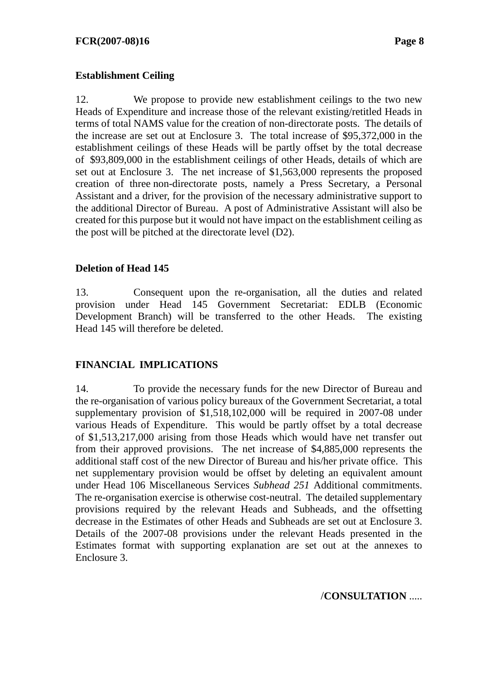## **Establishment Ceiling**

12. We propose to provide new establishment ceilings to the two new Heads of Expenditure and increase those of the relevant existing/retitled Heads in terms of total NAMS value for the creation of non-directorate posts. The details of the increase are set out at Enclosure 3. The total increase of \$95,372,000 in the establishment ceilings of these Heads will be partly offset by the total decrease of \$93,809,000 in the establishment ceilings of other Heads, details of which are set out at Enclosure 3. The net increase of \$1,563,000 represents the proposed creation of three non-directorate posts, namely a Press Secretary, a Personal Assistant and a driver, for the provision of the necessary administrative support to the additional Director of Bureau. A post of Administrative Assistant will also be created for this purpose but it would not have impact on the establishment ceiling as the post will be pitched at the directorate level (D2).

## **Deletion of Head 145**

13. Consequent upon the re-organisation, all the duties and related provision under Head 145 Government Secretariat: EDLB (Economic Development Branch) will be transferred to the other Heads. The existing Head 145 will therefore be deleted.

## **FINANCIAL IMPLICATIONS**

14. To provide the necessary funds for the new Director of Bureau and the re-organisation of various policy bureaux of the Government Secretariat, a total supplementary provision of \$1,518,102,000 will be required in 2007-08 under various Heads of Expenditure. This would be partly offset by a total decrease of \$1,513,217,000 arising from those Heads which would have net transfer out from their approved provisions. The net increase of \$4,885,000 represents the additional staff cost of the new Director of Bureau and his/her private office. This net supplementary provision would be offset by deleting an equivalent amount under Head 106 Miscellaneous Services *Subhead 251* Additional commitments. The re-organisation exercise is otherwise cost-neutral. The detailed supplementary provisions required by the relevant Heads and Subheads, and the offsetting decrease in the Estimates of other Heads and Subheads are set out at Enclosure 3. Details of the 2007-08 provisions under the relevant Heads presented in the Estimates format with supporting explanation are set out at the annexes to Enclosure 3.

/**CONSULTATION** .....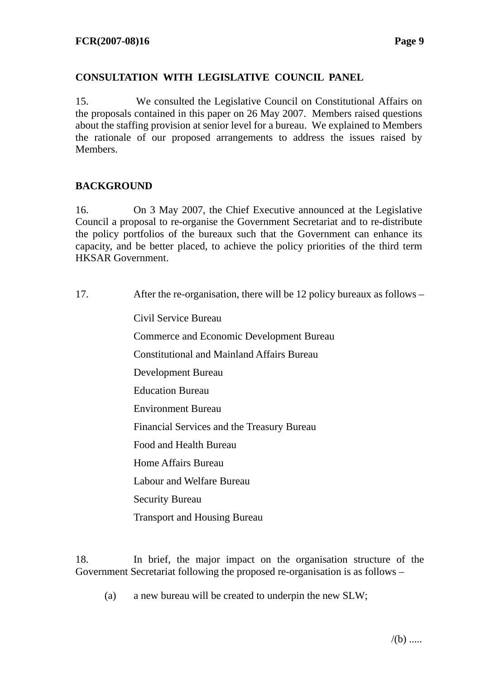## **CONSULTATION WITH LEGISLATIVE COUNCIL PANEL**

15. We consulted the Legislative Council on Constitutional Affairs on the proposals contained in this paper on 26 May 2007. Members raised questions about the staffing provision at senior level for a bureau. We explained to Members the rationale of our proposed arrangements to address the issues raised by Members.

## **BACKGROUND**

16. On 3 May 2007, the Chief Executive announced at the Legislative Council a proposal to re-organise the Government Secretariat and to re-distribute the policy portfolios of the bureaux such that the Government can enhance its capacity, and be better placed, to achieve the policy priorities of the third term HKSAR Government.

17. After the re-organisation, there will be 12 policy bureaux as follows –

Civil Service Bureau Commerce and Economic Development Bureau Constitutional and Mainland Affairs Bureau Development Bureau Education Bureau Environment Bureau Financial Services and the Treasury Bureau Food and Health Bureau Home Affairs Bureau Labour and Welfare Bureau Security Bureau Transport and Housing Bureau

18. In brief, the major impact on the organisation structure of the Government Secretariat following the proposed re-organisation is as follows –

(a) a new bureau will be created to underpin the new SLW;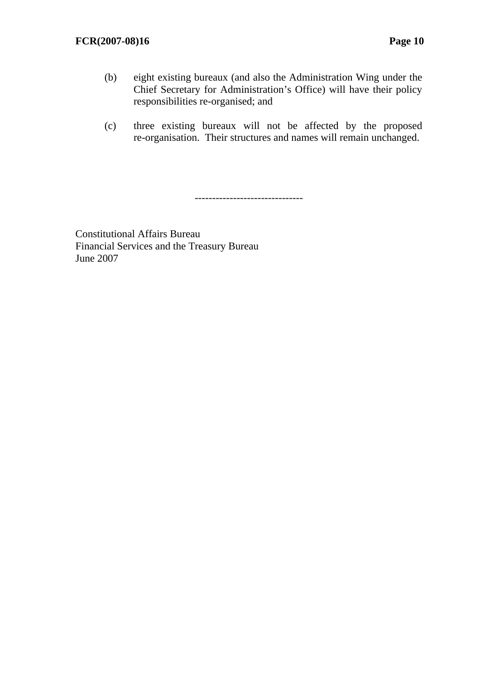- (b) eight existing bureaux (and also the Administration Wing under the Chief Secretary for Administration's Office) will have their policy responsibilities re-organised; and
- (c) three existing bureaux will not be affected by the proposed re-organisation. Their structures and names will remain unchanged.

-------------------------------

Constitutional Affairs Bureau Financial Services and the Treasury Bureau June 2007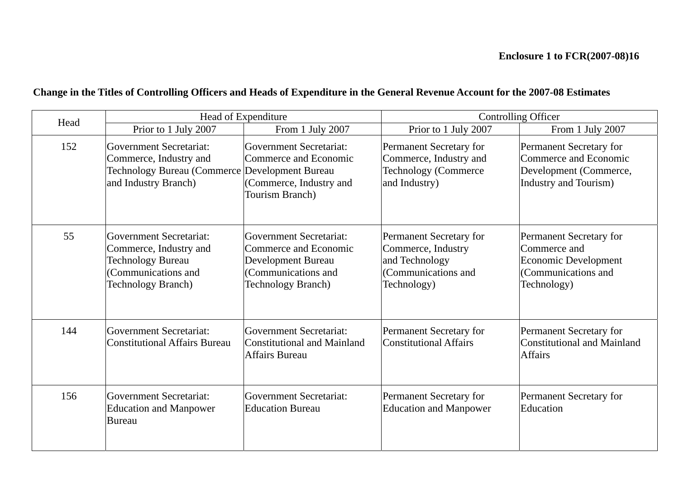## **Change in the Titles of Controlling Officers and Heads of Expenditure in the General Revenue Account for the 2007-08 Estimates**

| Head |                                                                                                                                   | Head of Expenditure                                                                                                               | <b>Controlling Officer</b>                                                                            |                                                                                                      |  |  |
|------|-----------------------------------------------------------------------------------------------------------------------------------|-----------------------------------------------------------------------------------------------------------------------------------|-------------------------------------------------------------------------------------------------------|------------------------------------------------------------------------------------------------------|--|--|
|      | Prior to 1 July 2007                                                                                                              | From 1 July 2007                                                                                                                  | Prior to 1 July 2007                                                                                  | From 1 July 2007                                                                                     |  |  |
| 152  | Government Secretariat:<br>Commerce, Industry and<br>Technology Bureau (Commerce Development Bureau<br>and Industry Branch)       | Government Secretariat:<br>Commerce and Economic<br>(Commerce, Industry and<br>Tourism Branch)                                    | Permanent Secretary for<br>Commerce, Industry and<br><b>Technology (Commerce</b><br>and Industry)     | Permanent Secretary for<br>Commerce and Economic<br>Development (Commerce,<br>Industry and Tourism)  |  |  |
| 55   | Government Secretariat:<br>Commerce, Industry and<br><b>Technology Bureau</b><br>(Communications and<br><b>Technology Branch)</b> | Government Secretariat:<br>Commerce and Economic<br><b>Development Bureau</b><br>(Communications and<br><b>Technology Branch)</b> | Permanent Secretary for<br>Commerce, Industry<br>and Technology<br>(Communications and<br>Technology) | Permanent Secretary for<br>Commerce and<br>Economic Development<br>Communications and<br>Technology) |  |  |
| 144  | Government Secretariat:<br><b>Constitutional Affairs Bureau</b>                                                                   | Government Secretariat:<br>Constitutional and Mainland<br><b>Affairs Bureau</b>                                                   | Permanent Secretary for<br><b>Constitutional Affairs</b>                                              | Permanent Secretary for<br>Constitutional and Mainland<br><b>Affairs</b>                             |  |  |
| 156  | <b>Government Secretariat:</b><br><b>Education and Manpower</b><br><b>Bureau</b>                                                  | Government Secretariat:<br><b>Education Bureau</b>                                                                                | Permanent Secretary for<br><b>Education and Manpower</b>                                              | Permanent Secretary for<br>Education                                                                 |  |  |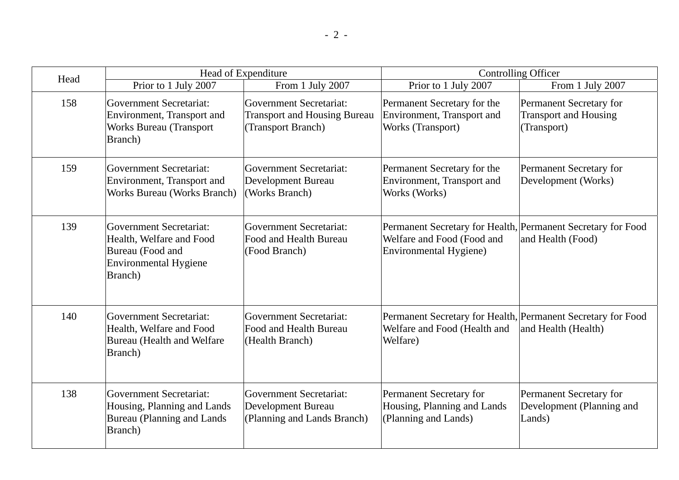| Head |                                                                                                             | Head of Expenditure                                                                  | <b>Controlling Officer</b>                                                                                                  |                                                                        |  |  |  |
|------|-------------------------------------------------------------------------------------------------------------|--------------------------------------------------------------------------------------|-----------------------------------------------------------------------------------------------------------------------------|------------------------------------------------------------------------|--|--|--|
|      | Prior to 1 July 2007                                                                                        | From 1 July 2007                                                                     | Prior to 1 July 2007                                                                                                        | From 1 July 2007                                                       |  |  |  |
| 158  | Government Secretariat:<br>Environment, Transport and<br><b>Works Bureau (Transport</b><br>Branch)          | Government Secretariat:<br><b>Transport and Housing Bureau</b><br>(Transport Branch) | Permanent Secretary for the<br>Environment, Transport and<br>Works (Transport)                                              | Permanent Secretary for<br><b>Transport and Housing</b><br>(Transport) |  |  |  |
| 159  | Government Secretariat:<br>Environment, Transport and<br>Works Bureau (Works Branch)                        | Government Secretariat:<br><b>Development Bureau</b><br>(Works Branch)               | Permanent Secretary for the<br>Environment, Transport and<br>Works (Works)                                                  | Permanent Secretary for<br>Development (Works)                         |  |  |  |
| 139  | Government Secretariat:<br>Health, Welfare and Food<br>Bureau (Food and<br>Environmental Hygiene<br>Branch) | <b>Government Secretariat:</b><br>Food and Health Bureau<br>(Food Branch)            | Permanent Secretary for Health, Permanent Secretary for Food<br>Welfare and Food (Food and<br><b>Environmental Hygiene)</b> | and Health (Food)                                                      |  |  |  |
| 140  | Government Secretariat:<br>Health, Welfare and Food<br><b>Bureau</b> (Health and Welfare<br><b>Branch</b> ) | <b>Government Secretariat:</b><br>Food and Health Bureau<br>(Health Branch)          | Permanent Secretary for Health, Permanent Secretary for Food<br>Welfare and Food (Health and<br>Welfare)                    | and Health (Health)                                                    |  |  |  |
| 138  | Government Secretariat:<br>Housing, Planning and Lands<br>Bureau (Planning and Lands)<br>Branch)            | Government Secretariat:<br><b>Development Bureau</b><br>(Planning and Lands Branch)  | Permanent Secretary for<br>Housing, Planning and Lands<br>(Planning and Lands)                                              | Permanent Secretary for<br>Development (Planning and<br>Lands)         |  |  |  |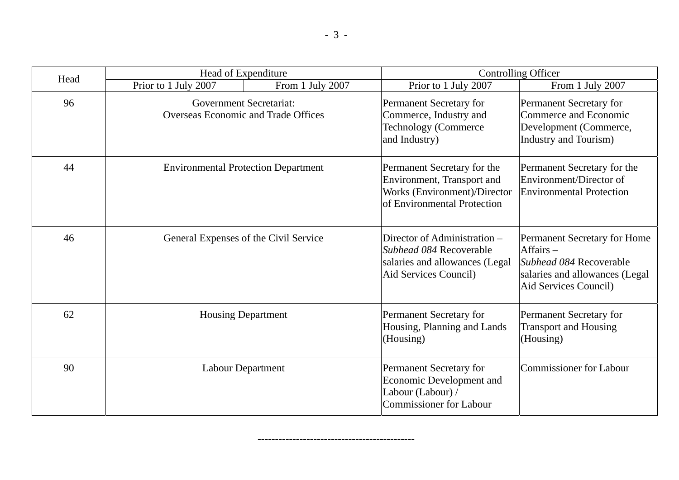| Head | Head of Expenditure                        |                                                                                                                                                                                    |                                                                                                                          | <b>Controlling Officer</b>                                                                                                        |
|------|--------------------------------------------|------------------------------------------------------------------------------------------------------------------------------------------------------------------------------------|--------------------------------------------------------------------------------------------------------------------------|-----------------------------------------------------------------------------------------------------------------------------------|
|      | Prior to 1 July 2007                       | From 1 July 2007                                                                                                                                                                   | Prior to 1 July 2007                                                                                                     | From 1 July 2007                                                                                                                  |
| 96   |                                            | <b>Government Secretariat:</b><br>Permanent Secretary for<br><b>Overseas Economic and Trade Offices</b><br>Commerce, Industry and<br><b>Technology (Commerce)</b><br>and Industry) |                                                                                                                          | <b>Permanent Secretary for</b><br>Commerce and Economic<br>Development (Commerce,<br>Industry and Tourism)                        |
| 44   | <b>Environmental Protection Department</b> |                                                                                                                                                                                    | Permanent Secretary for the<br>Environment, Transport and<br>Works (Environment)/Director<br>of Environmental Protection | Permanent Secretary for the<br>Environment/Director of<br><b>Environmental Protection</b>                                         |
| 46   | General Expenses of the Civil Service      |                                                                                                                                                                                    | Director of Administration -<br>Subhead 084 Recoverable<br>salaries and allowances (Legal<br>Aid Services Council)       | Permanent Secretary for Home<br>$Affairs -$<br>Subhead 084 Recoverable<br>salaries and allowances (Legal<br>Aid Services Council) |
| 62   |                                            | <b>Housing Department</b>                                                                                                                                                          |                                                                                                                          | Permanent Secretary for<br><b>Transport and Housing</b><br>(Housing)                                                              |
| 90   |                                            | Labour Department                                                                                                                                                                  | Permanent Secretary for<br>Economic Development and<br>Labour (Labour) /<br><b>Commissioner for Labour</b>               | Commissioner for Labour                                                                                                           |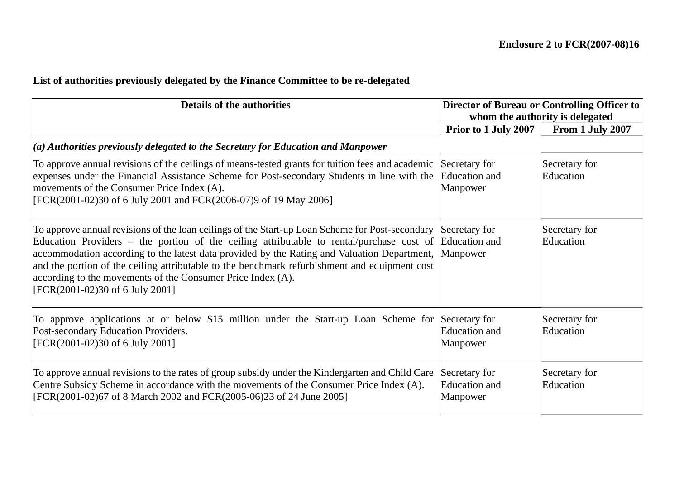## **List of authorities previously delegated by the Finance Committee to be re-delegated**

| <b>Details of the authorities</b>                                                                                                                                                                                                                                                                                                                                                                                                                                                                                                  |                                                   | Director of Bureau or Controlling Officer to |  |  |  |
|------------------------------------------------------------------------------------------------------------------------------------------------------------------------------------------------------------------------------------------------------------------------------------------------------------------------------------------------------------------------------------------------------------------------------------------------------------------------------------------------------------------------------------|---------------------------------------------------|----------------------------------------------|--|--|--|
|                                                                                                                                                                                                                                                                                                                                                                                                                                                                                                                                    |                                                   | whom the authority is delegated              |  |  |  |
|                                                                                                                                                                                                                                                                                                                                                                                                                                                                                                                                    | <b>Prior to 1 July 2007</b>                       | From 1 July 2007                             |  |  |  |
| $\vert$ (a) Authorities previously delegated to the Secretary for Education and Manpower                                                                                                                                                                                                                                                                                                                                                                                                                                           |                                                   |                                              |  |  |  |
| To approve annual revisions of the ceilings of means-tested grants for tuition fees and academic Secretary for<br>expenses under the Financial Assistance Scheme for Post-secondary Students in line with the Education and<br>movements of the Consumer Price Index (A).<br>[FCR(2001-02)30 of 6 July 2001 and FCR(2006-07)9 of 19 May 2006]                                                                                                                                                                                      | Manpower                                          | Secretary for<br>Education                   |  |  |  |
| To approve annual revisions of the loan ceilings of the Start-up Loan Scheme for Post-secondary Secretary for<br>Education Providers – the portion of the ceiling attributable to rental/purchase cost of Education and<br>accommodation according to the latest data provided by the Rating and Valuation Department, Manpower<br>and the portion of the ceiling attributable to the benchmark refurbishment and equipment cost<br>according to the movements of the Consumer Price Index (A).<br>[FCR(2001-02)30 of 6 July 2001] |                                                   | Secretary for<br>Education                   |  |  |  |
| To approve applications at or below \$15 million under the Start-up Loan Scheme for<br>Post-secondary Education Providers.<br>[FCR(2001-02)30 of 6 July 2001]                                                                                                                                                                                                                                                                                                                                                                      | Secretary for<br>Education and<br>Manpower        | Secretary for<br>Education                   |  |  |  |
| To approve annual revisions to the rates of group subsidy under the Kindergarten and Child Care<br>Centre Subsidy Scheme in accordance with the movements of the Consumer Price Index (A).<br>[FCR(2001-02)67 of 8 March 2002 and FCR(2005-06)23 of 24 June 2005]                                                                                                                                                                                                                                                                  | Secretary for<br><b>Education</b> and<br>Manpower | Secretary for<br>Education                   |  |  |  |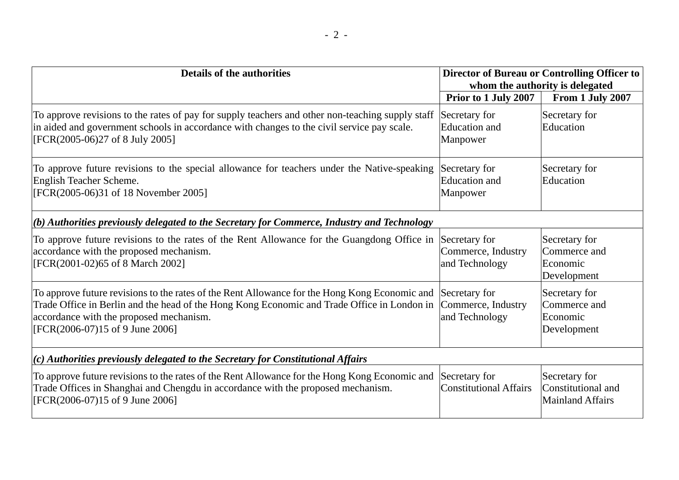| <b>Details of the authorities</b>                                                                                                                                                                                                                                          |                                                       | Director of Bureau or Controlling Officer to<br>whom the authority is delegated |
|----------------------------------------------------------------------------------------------------------------------------------------------------------------------------------------------------------------------------------------------------------------------------|-------------------------------------------------------|---------------------------------------------------------------------------------|
|                                                                                                                                                                                                                                                                            | Prior to 1 July 2007                                  | From 1 July 2007                                                                |
| To approve revisions to the rates of pay for supply teachers and other non-teaching supply staff<br>in aided and government schools in accordance with changes to the civil service pay scale.<br>[FCR(2005-06)27 of 8 July 2005]                                          | Secretary for<br><b>Education</b> and<br>Manpower     | Secretary for<br>Education                                                      |
| To approve future revisions to the special allowance for teachers under the Native-speaking<br>English Teacher Scheme.<br>[FCR(2005-06)31 of 18 November 2005]                                                                                                             | Secretary for<br><b>Education</b> and<br>Manpower     | Secretary for<br>Education                                                      |
| $  (b)$ Authorities previously delegated to the Secretary for Commerce, Industry and Technology                                                                                                                                                                            |                                                       |                                                                                 |
| To approve future revisions to the rates of the Rent Allowance for the Guangdong Office in<br>accordance with the proposed mechanism.<br>[FCR(2001-02)65 of 8 March 2002]                                                                                                  | Secretary for<br>Commerce, Industry<br>and Technology | Secretary for<br>Commerce and<br>Economic<br>Development                        |
| To approve future revisions to the rates of the Rent Allowance for the Hong Kong Economic and<br>Trade Office in Berlin and the head of the Hong Kong Economic and Trade Office in London in<br>accordance with the proposed mechanism.<br>[FCR(2006-07)15 of 9 June 2006] | Secretary for<br>Commerce, Industry<br>and Technology | Secretary for<br>Commerce and<br>Economic<br>Development                        |
| $(c)$ Authorities previously delegated to the Secretary for Constitutional Affairs                                                                                                                                                                                         |                                                       |                                                                                 |
| To approve future revisions to the rates of the Rent Allowance for the Hong Kong Economic and<br>Trade Offices in Shanghai and Chengdu in accordance with the proposed mechanism.<br>[FCR(2006-07)15 of 9 June 2006]                                                       | Secretary for<br><b>Constitutional Affairs</b>        | Secretary for<br>Constitutional and<br><b>Mainland Affairs</b>                  |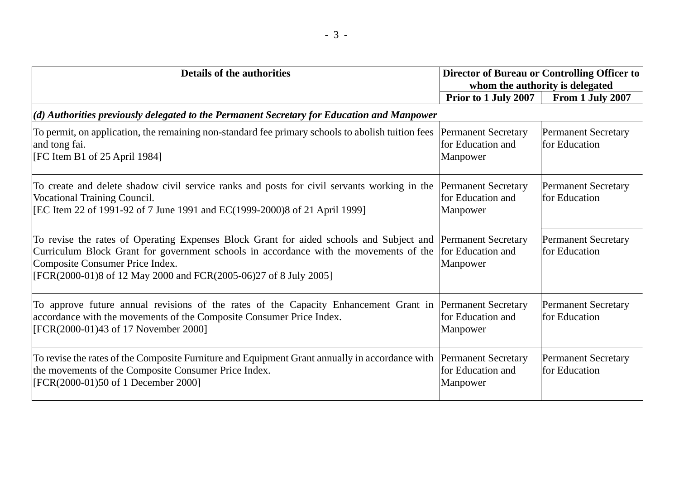| <b>Details of the authorities</b>                                                                                                                                                                                                                                                                                              |                                                             | Director of Bureau or Controlling Officer to<br>whom the authority is delegated |
|--------------------------------------------------------------------------------------------------------------------------------------------------------------------------------------------------------------------------------------------------------------------------------------------------------------------------------|-------------------------------------------------------------|---------------------------------------------------------------------------------|
|                                                                                                                                                                                                                                                                                                                                | <b>Prior to 1 July 2007</b>                                 | From 1 July 2007                                                                |
| $(d)$ Authorities previously delegated to the Permanent Secretary for Education and Manpower                                                                                                                                                                                                                                   |                                                             |                                                                                 |
| To permit, on application, the remaining non-standard fee primary schools to abolish tuition fees<br>and tong fai.<br>[FC Item B1 of 25 April 1984]                                                                                                                                                                            | <b>Permanent Secretary</b><br>for Education and<br>Manpower | <b>Permanent Secretary</b><br>for Education                                     |
| To create and delete shadow civil service ranks and posts for civil servants working in the<br><b>Vocational Training Council.</b><br>[EC Item 22 of 1991-92 of 7 June 1991 and EC(1999-2000)8 of 21 April 1999]                                                                                                               | <b>Permanent Secretary</b><br>for Education and<br>Manpower | <b>Permanent Secretary</b><br>for Education                                     |
| To revise the rates of Operating Expenses Block Grant for aided schools and Subject and  Permanent Secretary<br>Curriculum Block Grant for government schools in accordance with the movements of the for Education and<br>Composite Consumer Price Index.<br>[FCR(2000-01)8 of 12 May 2000 and FCR(2005-06)27 of 8 July 2005] | Manpower                                                    | <b>Permanent Secretary</b><br>for Education                                     |
| To approve future annual revisions of the rates of the Capacity Enhancement Grant in Permanent Secretary<br>accordance with the movements of the Composite Consumer Price Index.<br>[FCR(2000-01)43 of 17 November 2000]                                                                                                       | for Education and<br>Manpower                               | <b>Permanent Secretary</b><br>for Education                                     |
| To revise the rates of the Composite Furniture and Equipment Grant annually in accordance with<br>the movements of the Composite Consumer Price Index.<br>[FCR(2000-01)50 of 1 December 2000]                                                                                                                                  | <b>Permanent Secretary</b><br>for Education and<br>Manpower | <b>Permanent Secretary</b><br>for Education                                     |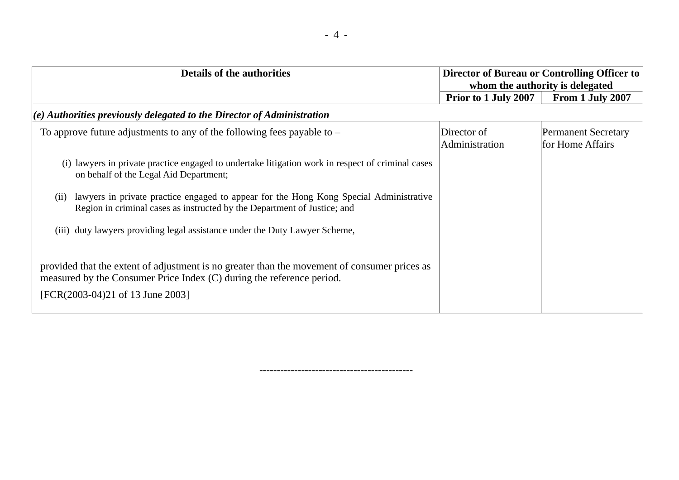| <b>Details of the authorities</b>                                                                                                                                                                         |                               | Director of Bureau or Controlling Officer to<br>whom the authority is delegated |  |  |  |  |
|-----------------------------------------------------------------------------------------------------------------------------------------------------------------------------------------------------------|-------------------------------|---------------------------------------------------------------------------------|--|--|--|--|
|                                                                                                                                                                                                           | <b>Prior to 1 July 2007</b>   | From 1 July 2007                                                                |  |  |  |  |
| $(e)$ Authorities previously delegated to the Director of Administration                                                                                                                                  |                               |                                                                                 |  |  |  |  |
| To approve future adjustments to any of the following fees payable to $-$                                                                                                                                 | Director of<br>Administration | <b>Permanent Secretary</b><br>for Home Affairs                                  |  |  |  |  |
| (i) lawyers in private practice engaged to undertake litigation work in respect of criminal cases<br>on behalf of the Legal Aid Department;                                                               |                               |                                                                                 |  |  |  |  |
| lawyers in private practice engaged to appear for the Hong Kong Special Administrative<br>(11)<br>Region in criminal cases as instructed by the Department of Justice; and                                |                               |                                                                                 |  |  |  |  |
| (iii) duty lawyers providing legal assistance under the Duty Lawyer Scheme,                                                                                                                               |                               |                                                                                 |  |  |  |  |
| provided that the extent of adjustment is no greater than the movement of consumer prices as<br>measured by the Consumer Price Index (C) during the reference period.<br>[FCR(2003-04)21 of 13 June 2003] |                               |                                                                                 |  |  |  |  |

--------------------------------------------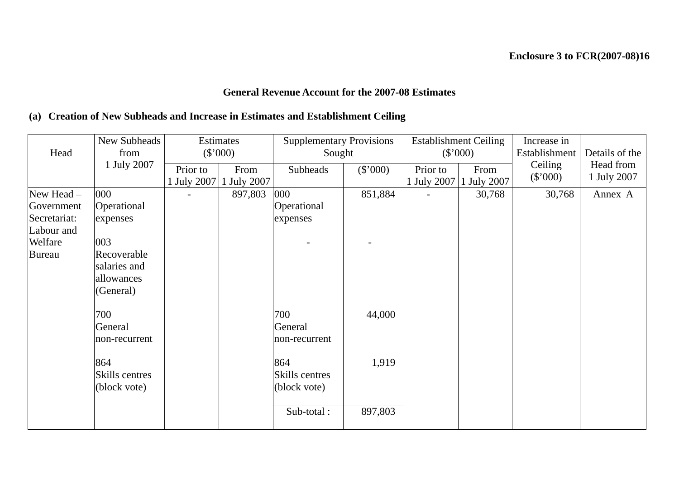## **General Revenue Account for the 2007-08 Estimates**

## **(a) Creation of New Subheads and Increase in Estimates and Establishment Ceiling**

|              | New Subheads   |             | Estimates   | <b>Supplementary Provisions</b> |          |                | <b>Establishment Ceiling</b> | Increase in                     |             |
|--------------|----------------|-------------|-------------|---------------------------------|----------|----------------|------------------------------|---------------------------------|-------------|
| Head         | from           |             | (\$'000)    | Sought                          |          |                | $(\$'000)$                   | Details of the<br>Establishment |             |
|              | 1 July 2007    | Prior to    | From        | Subheads                        | (\$'000) | Prior to       | From                         | Ceiling                         | Head from   |
|              |                | 1 July 2007 | 1 July 2007 |                                 |          |                | 1 July 2007 1 July 2007      | $(\$'000)$                      | 1 July 2007 |
| New Head -   | 000            |             | 897,803     | 000                             | 851,884  | $\blacksquare$ | 30,768                       | 30,768                          | Annex A     |
| Government   | Operational    |             |             | Operational                     |          |                |                              |                                 |             |
| Secretariat: | expenses       |             |             | expenses                        |          |                |                              |                                 |             |
| Labour and   |                |             |             |                                 |          |                |                              |                                 |             |
| Welfare      | 003            |             |             |                                 |          |                |                              |                                 |             |
| Bureau       | Recoverable    |             |             |                                 |          |                |                              |                                 |             |
|              | salaries and   |             |             |                                 |          |                |                              |                                 |             |
|              | allowances     |             |             |                                 |          |                |                              |                                 |             |
|              | (General)      |             |             |                                 |          |                |                              |                                 |             |
|              |                |             |             |                                 |          |                |                              |                                 |             |
|              | 700            |             |             | 700                             | 44,000   |                |                              |                                 |             |
|              | General        |             |             | General                         |          |                |                              |                                 |             |
|              | non-recurrent  |             |             | non-recurrent                   |          |                |                              |                                 |             |
|              |                |             |             |                                 |          |                |                              |                                 |             |
|              | 864            |             |             | 864                             | 1,919    |                |                              |                                 |             |
|              | Skills centres |             |             | Skills centres                  |          |                |                              |                                 |             |
|              | (block vote)   |             |             | (block vote)                    |          |                |                              |                                 |             |
|              |                |             |             |                                 |          |                |                              |                                 |             |
|              |                |             |             | Sub-total:                      | 897,803  |                |                              |                                 |             |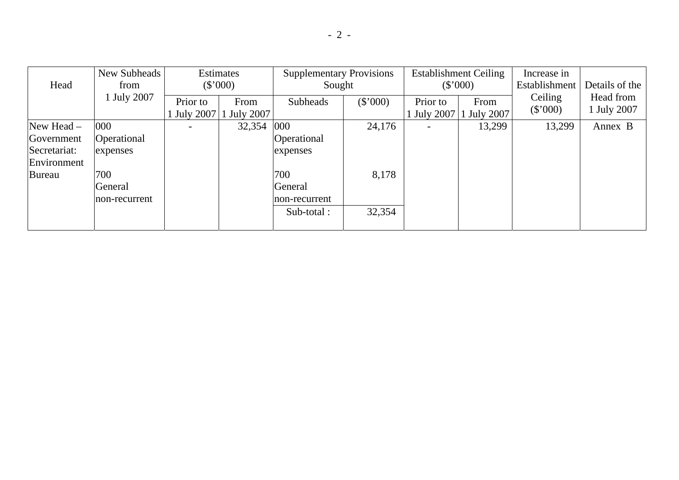|              | New Subheads     |                         | Estimates         | <b>Supplementary Provisions</b> |          |          | <b>Establishment Ceiling</b>  | Increase in           |                          |
|--------------|------------------|-------------------------|-------------------|---------------------------------|----------|----------|-------------------------------|-----------------------|--------------------------|
| Head         | from             |                         | (\$'000)          | Sought                          |          | (\$'000) |                               | Establishment         | Details of the           |
|              | <b>July 2007</b> | Prior to<br>1 July 2007 | From<br>July 2007 | Subheads                        | (\$'000) | Prior to | From<br>July 2007 1 July 2007 | Ceiling<br>$(\$'000)$ | Head from<br>U July 2007 |
| New Head $-$ | 000              |                         | 32,354            | 000                             | 24,176   |          | 13,299                        | 13,299                | Annex B                  |
| Government   | Operational      |                         |                   | Operational                     |          |          |                               |                       |                          |
| Secretariat: | expenses         |                         |                   | expenses                        |          |          |                               |                       |                          |
| Environment  |                  |                         |                   |                                 |          |          |                               |                       |                          |
| Bureau       | 700              |                         |                   | 700                             | 8,178    |          |                               |                       |                          |
|              | General          |                         |                   | General                         |          |          |                               |                       |                          |
|              | mon-recurrent    |                         |                   | non-recurrent                   |          |          |                               |                       |                          |
|              |                  |                         |                   | Sub-total:                      | 32,354   |          |                               |                       |                          |
|              |                  |                         |                   |                                 |          |          |                               |                       |                          |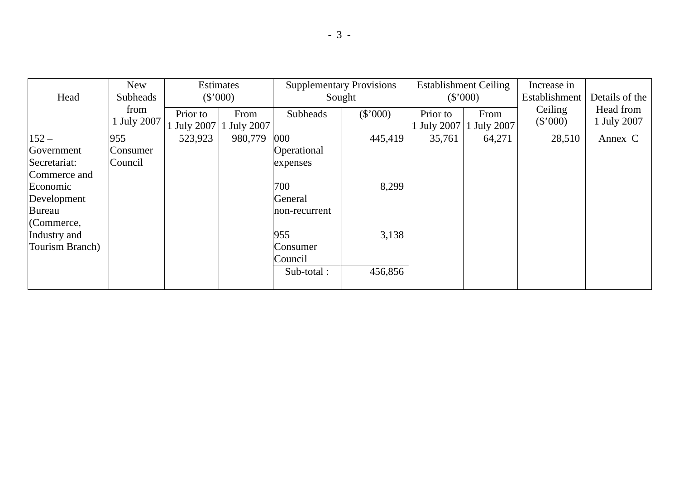|                 | <b>New</b>  |           | Estimates   |               | <b>Supplementary Provisions</b> |                  | <b>Establishment Ceiling</b> | Increase in   |                |
|-----------------|-------------|-----------|-------------|---------------|---------------------------------|------------------|------------------------------|---------------|----------------|
| Head            | Subheads    |           | (\$'000)    |               | Sought                          |                  | (\$'000)                     | Establishment | Details of the |
|                 | from        | Prior to  | From        | Subheads      | (\$'000)                        | Prior to         | From                         | Ceiling       | Head from      |
|                 | 1 July 2007 | July 2007 | 1 July 2007 |               |                                 | <b>July 2007</b> | 1 July 2007                  | (\$'000)      | 1 July 2007    |
| $152 -$         | 955         | 523,923   | 980,779     | 000           | 445,419                         | 35,761           | 64,271                       | 28,510        | Annex C        |
| Government      | Consumer    |           |             | Operational   |                                 |                  |                              |               |                |
| Secretariat:    | Council     |           |             | expenses      |                                 |                  |                              |               |                |
| Commerce and    |             |           |             |               |                                 |                  |                              |               |                |
| Economic        |             |           |             | 700           | 8,299                           |                  |                              |               |                |
| Development     |             |           |             | General       |                                 |                  |                              |               |                |
| Bureau          |             |           |             | non-recurrent |                                 |                  |                              |               |                |
| $ $ (Commerce,  |             |           |             |               |                                 |                  |                              |               |                |
| Industry and    |             |           |             | 955           | 3,138                           |                  |                              |               |                |
| Tourism Branch) |             |           |             | Consumer      |                                 |                  |                              |               |                |
|                 |             |           |             | Council       |                                 |                  |                              |               |                |
|                 |             |           |             | Sub-total:    | 456,856                         |                  |                              |               |                |
|                 |             |           |             |               |                                 |                  |                              |               |                |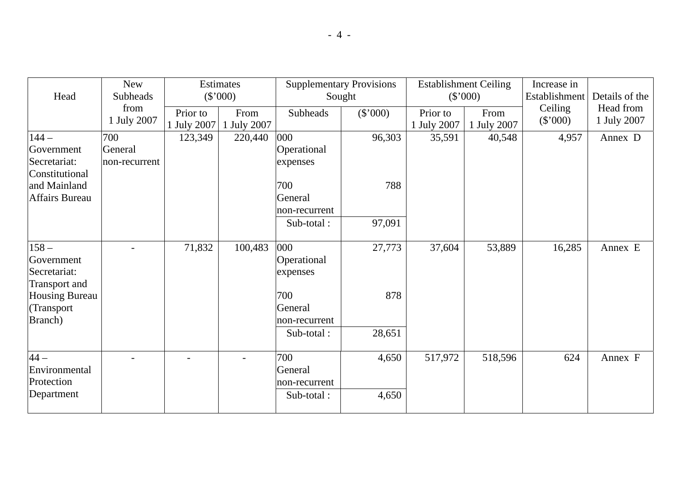| Head                                   | <b>New</b><br><b>Subheads</b> |                           | Estimates<br>(\$'000) | <b>Supplementary Provisions</b><br>Sought |          | <b>Establishment Ceiling</b><br>$(\$'000)$ |                     | Increase in<br>Establishment | Details of the           |
|----------------------------------------|-------------------------------|---------------------------|-----------------------|-------------------------------------------|----------|--------------------------------------------|---------------------|------------------------------|--------------------------|
|                                        | from<br>1 July 2007           | Prior to<br>$1$ July 2007 | From<br>1 July 2007   | <b>Subheads</b>                           | (\$'000) | Prior to<br>1 July 2007                    | From<br>1 July 2007 | Ceiling<br>(\$'000)          | Head from<br>1 July 2007 |
| $144-$                                 | 700                           | 123,349                   | 220,440               | 000                                       | 96,303   | 35,591                                     | 40,548              | 4,957                        | Annex D                  |
| Government                             | General                       |                           |                       | Operational                               |          |                                            |                     |                              |                          |
| Secretariat:                           | non-recurrent                 |                           |                       | expenses                                  |          |                                            |                     |                              |                          |
| Constitutional                         |                               |                           |                       |                                           |          |                                            |                     |                              |                          |
| and Mainland                           |                               |                           |                       | 700                                       | 788      |                                            |                     |                              |                          |
| <b>Affairs Bureau</b>                  |                               |                           |                       | General                                   |          |                                            |                     |                              |                          |
|                                        |                               |                           |                       | non-recurrent                             |          |                                            |                     |                              |                          |
|                                        |                               |                           |                       | Sub-total:                                | 97,091   |                                            |                     |                              |                          |
|                                        |                               |                           |                       |                                           |          |                                            |                     |                              |                          |
| $158 -$                                |                               | 71,832                    | 100,483               | 000                                       | 27,773   | 37,604                                     | 53,889              | 16,285                       | Annex E                  |
| Government                             |                               |                           |                       | Operational                               |          |                                            |                     |                              |                          |
| Secretariat:                           |                               |                           |                       | expenses                                  |          |                                            |                     |                              |                          |
| Transport and<br><b>Housing Bureau</b> |                               |                           |                       | 700                                       | 878      |                                            |                     |                              |                          |
| (Transport                             |                               |                           |                       | General                                   |          |                                            |                     |                              |                          |
| <b>Branch</b> )                        |                               |                           |                       | non-recurrent                             |          |                                            |                     |                              |                          |
|                                        |                               |                           |                       | Sub-total:                                | 28,651   |                                            |                     |                              |                          |
|                                        |                               |                           |                       |                                           |          |                                            |                     |                              |                          |
| $44-$                                  | $\equiv$                      | $\overline{a}$            | $\blacksquare$        | 700                                       | 4,650    | 517,972                                    | 518,596             | 624                          | Annex F                  |
| Environmental                          |                               |                           |                       | General                                   |          |                                            |                     |                              |                          |
| Protection                             |                               |                           |                       | non-recurrent                             |          |                                            |                     |                              |                          |
| Department                             |                               |                           |                       | Sub-total:                                | 4,650    |                                            |                     |                              |                          |
|                                        |                               |                           |                       |                                           |          |                                            |                     |                              |                          |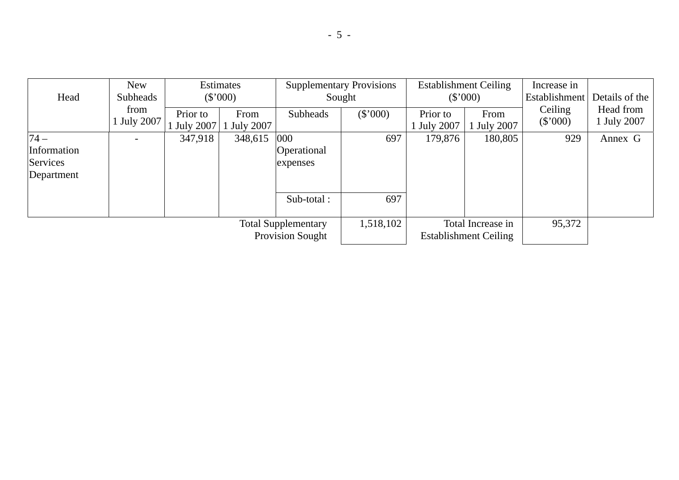|             | <b>New</b>       |             | <b>Estimates</b> |                                                       | <b>Supplementary Provisions</b> | <b>Establishment Ceiling</b> |                                                   | Increase in   |                |
|-------------|------------------|-------------|------------------|-------------------------------------------------------|---------------------------------|------------------------------|---------------------------------------------------|---------------|----------------|
| Head        | Subheads         |             |                  | (\$'000)<br>Sought                                    |                                 |                              | (\$'000)                                          | Establishment | Details of the |
|             | from             | Prior to    | From             | Subheads                                              | $(\$'000)$                      | Prior to                     | From                                              | Ceiling       | Head from      |
|             | <b>July 2007</b> | U July 2007 | <b>July 2007</b> |                                                       |                                 | <b>July 2007</b>             | <b>July 2007</b>                                  | (\$'000)      | 1 July 2007    |
| $74 -$      |                  | 347,918     | 348,615          | 000                                                   | 697                             | 179,876                      | 180,805                                           | 929           | Annex G        |
| Information |                  |             |                  | Operational                                           |                                 |                              |                                                   |               |                |
| Services    |                  |             |                  | expenses                                              |                                 |                              |                                                   |               |                |
| Department  |                  |             |                  |                                                       |                                 |                              |                                                   |               |                |
|             |                  |             |                  | Sub-total:                                            | 697                             |                              |                                                   |               |                |
|             |                  |             |                  | <b>Total Supplementary</b><br><b>Provision Sought</b> | 1,518,102                       |                              | Total Increase in<br><b>Establishment Ceiling</b> | 95,372        |                |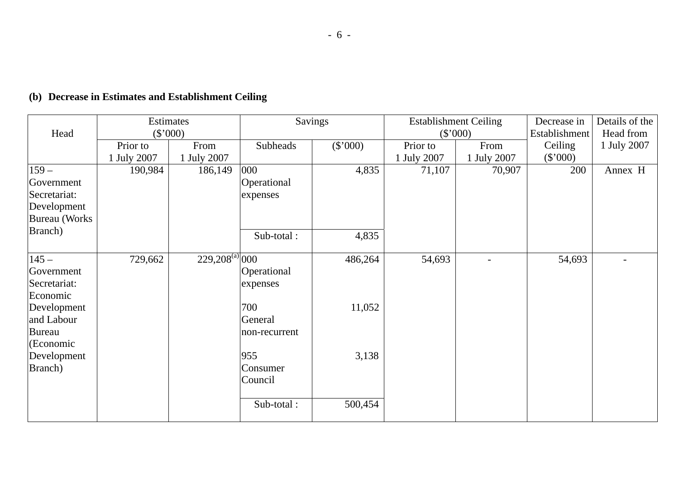## **(b) Decrease in Estimates and Establishment Ceiling**

|                      | <b>Estimates</b> |                               | Savings         |          | <b>Establishment Ceiling</b> |             | Decrease in   | Details of the |
|----------------------|------------------|-------------------------------|-----------------|----------|------------------------------|-------------|---------------|----------------|
| Head                 | (\$'000)         |                               |                 |          |                              | (\$'000)    | Establishment | Head from      |
|                      | Prior to         | From                          | <b>Subheads</b> | (\$'000) | Prior to                     | From        | Ceiling       | 1 July 2007    |
|                      | 1 July 2007      | 1 July 2007                   |                 |          | 1 July 2007                  | 1 July 2007 | $(\$'000)$    |                |
| $159 -$              | 190,984          | 186,149                       | 000             | 4,835    | 71,107                       | 70,907      | 200           | Annex H        |
| Government           |                  |                               | Operational     |          |                              |             |               |                |
| Secretariat:         |                  |                               | expenses        |          |                              |             |               |                |
| Development          |                  |                               |                 |          |                              |             |               |                |
| <b>Bureau</b> (Works |                  |                               |                 |          |                              |             |               |                |
| Branch)              |                  |                               | Sub-total:      | 4,835    |                              |             |               |                |
|                      |                  |                               |                 |          |                              |             |               |                |
| $145 -$              | 729,662          | $229,208^{(a)}\overline{000}$ |                 | 486,264  | 54,693                       |             | 54,693        |                |
| Government           |                  |                               | Operational     |          |                              |             |               |                |
| Secretariat:         |                  |                               | expenses        |          |                              |             |               |                |
| Economic             |                  |                               |                 |          |                              |             |               |                |
| Development          |                  |                               | 700             | 11,052   |                              |             |               |                |
| and Labour           |                  |                               | General         |          |                              |             |               |                |
| Bureau               |                  |                               | non-recurrent   |          |                              |             |               |                |
| (Economic            |                  |                               |                 |          |                              |             |               |                |
| Development          |                  |                               | 955             | 3,138    |                              |             |               |                |
| Branch)              |                  |                               | Consumer        |          |                              |             |               |                |
|                      |                  |                               | Council         |          |                              |             |               |                |
|                      |                  |                               |                 |          |                              |             |               |                |
|                      |                  |                               | Sub-total:      | 500,454  |                              |             |               |                |
|                      |                  |                               |                 |          |                              |             |               |                |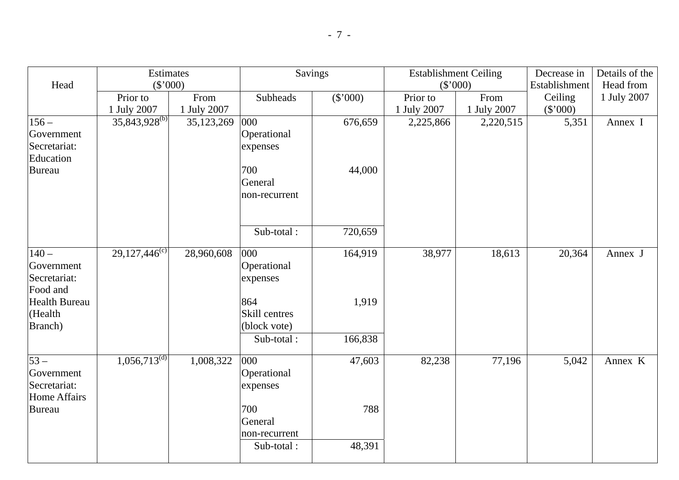|               | Estimates<br>(\$'000)          |             | Savings         |          | <b>Establishment Ceiling</b> |             | Decrease in   | Details of the |
|---------------|--------------------------------|-------------|-----------------|----------|------------------------------|-------------|---------------|----------------|
| Head          |                                |             |                 |          | (\$'000)                     |             | Establishment | Head from      |
|               | Prior to                       | From        | <b>Subheads</b> | (\$'000) | Prior to                     | From        | Ceiling       | 1 July 2007    |
|               | 1 July 2007                    | 1 July 2007 |                 |          | 1 July 2007                  | 1 July 2007 | (\$'000)      |                |
| $156 -$       | $35,843,928^{(b)}$             | 35,123,269  | 000             | 676,659  | 2,225,866                    | 2,220,515   | 5,351         | Annex I        |
| Government    |                                |             | Operational     |          |                              |             |               |                |
| Secretariat:  |                                |             | expenses        |          |                              |             |               |                |
| Education     |                                |             |                 |          |                              |             |               |                |
| Bureau        |                                |             | 700             | 44,000   |                              |             |               |                |
|               |                                |             | General         |          |                              |             |               |                |
|               |                                |             | non-recurrent   |          |                              |             |               |                |
|               |                                |             |                 |          |                              |             |               |                |
|               |                                |             |                 |          |                              |             |               |                |
|               |                                |             | Sub-total:      | 720,659  |                              |             |               |                |
|               |                                |             |                 |          |                              |             |               |                |
| $140 -$       | 29,127,44 $\overline{6}^{(c)}$ | 28,960,608  | 000             | 164,919  | 38,977                       | 18,613      | 20,364        | Annex J        |
| Government    |                                |             | Operational     |          |                              |             |               |                |
| Secretariat:  |                                |             | expenses        |          |                              |             |               |                |
| Food and      |                                |             |                 |          |                              |             |               |                |
| Health Bureau |                                |             | 864             | 1,919    |                              |             |               |                |
| (Health       |                                |             | Skill centres   |          |                              |             |               |                |
| Branch)       |                                |             | (block vote)    |          |                              |             |               |                |
|               |                                |             | Sub-total:      | 166,838  |                              |             |               |                |
| $53-$         | $1,056,713^{(d)}$              | 1,008,322   | 000             | 47,603   | 82,238                       | 77,196      | 5,042         | Annex K        |
| Government    |                                |             | Operational     |          |                              |             |               |                |
| Secretariat:  |                                |             | expenses        |          |                              |             |               |                |
| Home Affairs  |                                |             |                 |          |                              |             |               |                |
| <b>Bureau</b> |                                |             | 700             | 788      |                              |             |               |                |
|               |                                |             | General         |          |                              |             |               |                |
|               |                                |             | non-recurrent   |          |                              |             |               |                |
|               |                                |             | Sub-total:      | 48,391   |                              |             |               |                |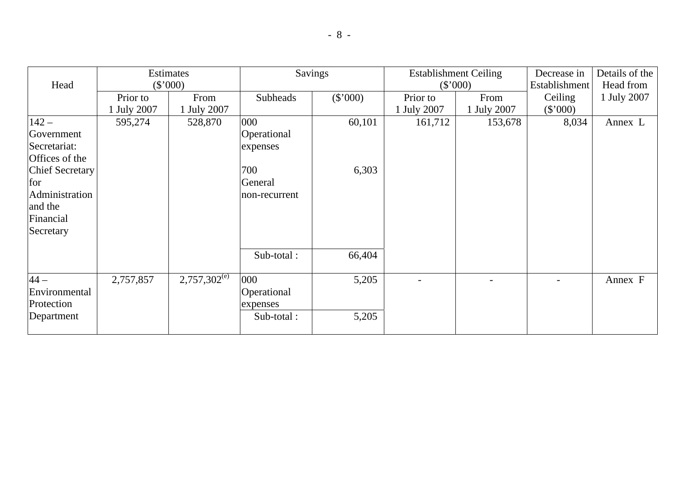|                        |             | Savings<br>Estimates<br><b>Establishment Ceiling</b> |                 |            | Decrease in | Details of the |                          |             |
|------------------------|-------------|------------------------------------------------------|-----------------|------------|-------------|----------------|--------------------------|-------------|
| Head                   |             | (\$'000)                                             |                 |            | (\$'000)    |                | Establishment            | Head from   |
|                        | Prior to    | From                                                 | <b>Subheads</b> | $(\$'000)$ | Prior to    | From           | Ceiling                  | 1 July 2007 |
|                        | 1 July 2007 | 1 July 2007                                          |                 |            | 1 July 2007 | 1 July 2007    | $(\$'000)$               |             |
| $142 -$                | 595,274     | 528,870                                              | 000             | 60,101     | 161,712     | 153,678        | 8,034                    | Annex L     |
| Government             |             |                                                      | Operational     |            |             |                |                          |             |
| Secretariat:           |             |                                                      | expenses        |            |             |                |                          |             |
| Offices of the         |             |                                                      |                 |            |             |                |                          |             |
| <b>Chief Secretary</b> |             |                                                      | 700             | 6,303      |             |                |                          |             |
| for                    |             |                                                      | General         |            |             |                |                          |             |
| Administration         |             |                                                      | non-recurrent   |            |             |                |                          |             |
| and the                |             |                                                      |                 |            |             |                |                          |             |
| Financial              |             |                                                      |                 |            |             |                |                          |             |
| Secretary              |             |                                                      |                 |            |             |                |                          |             |
|                        |             |                                                      |                 |            |             |                |                          |             |
|                        |             |                                                      | Sub-total:      | 66,404     |             |                |                          |             |
|                        |             |                                                      |                 |            |             |                |                          |             |
| $44-$                  | 2,757,857   | $2,757,302^{\rm (e)}$                                | 000             | 5,205      |             |                | $\overline{\phantom{0}}$ | Annex F     |
| Environmental          |             |                                                      | Operational     |            |             |                |                          |             |
| Protection             |             |                                                      | expenses        |            |             |                |                          |             |
| Department             |             |                                                      | Sub-total:      | 5,205      |             |                |                          |             |
|                        |             |                                                      |                 |            |             |                |                          |             |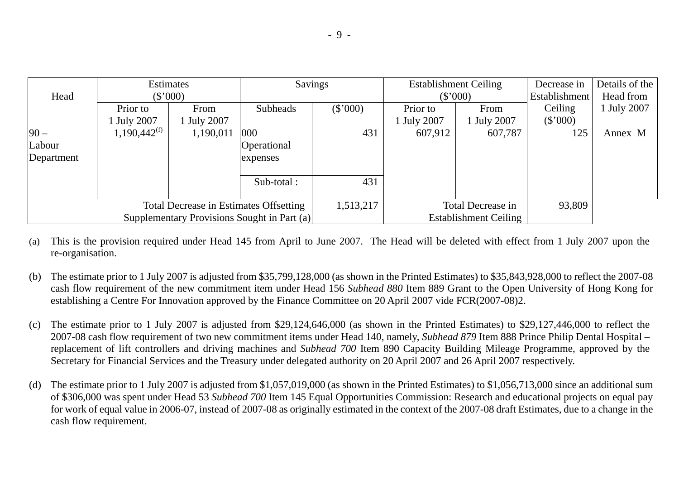|                                             | Estimates         |                  | <b>Savings</b>  |            | <b>Establishment Ceiling</b> |                  | Decrease in   | Details of the |
|---------------------------------------------|-------------------|------------------|-----------------|------------|------------------------------|------------------|---------------|----------------|
| Head                                        |                   | $(\$'000)$       |                 |            |                              | (\$'000)         | Establishment | Head from      |
|                                             | Prior to          | From             | <b>Subheads</b> | $(\$'000)$ | Prior to                     | From             | Ceiling       | 1 July 2007    |
|                                             | <b>July 2007</b>  | <b>July 2007</b> |                 |            | <b>July 2007</b>             | <b>July 2007</b> | $(\$'000)$    |                |
| $90 -$                                      | $1,190,442^{(f)}$ | 1,190,011        | 000             | 431        | 607,912                      | 607,787          | 125           | Annex M        |
| Labour                                      |                   |                  | Operational     |            |                              |                  |               |                |
| Department                                  |                   |                  | expenses        |            |                              |                  |               |                |
|                                             |                   |                  | Sub-total :     | 431        |                              |                  |               |                |
| Total Decrease in Estimates Offsetting      |                   |                  | 1,513,217       |            | Total Decrease in            | 93,809           |               |                |
| Supplementary Provisions Sought in Part (a) |                   |                  |                 |            | <b>Establishment Ceiling</b> |                  |               |                |

- (a) This is the provision required under Head 145 from April to June 2007. The Head will be deleted with effect from 1 July 2007 upon the re-organisation.
- (b) The estimate prior to 1 July 2007 is adjusted from \$35,799,128,000 (as shown in the Printed Estimates) to \$35,843,928,000 to reflect the 2007-08 cash flow requirement of the new commitment item under Head 156 *Subhead 880* Item 889 Grant to the Open University of Hong Kong for establishing a Centre For Innovation approved by the Finance Committee on 20 April 2007 vide FCR(2007-08)2.
- (c) The estimate prior to 1 July 2007 is adjusted from \$29,124,646,000 (as shown in the Printed Estimates) to \$29,127,446,000 to reflect the 2007-08 cash flow requirement of two new commitment items under Head 140, namely, *Subhead 879* Item 888 Prince Philip Dental Hospital – replacement of lift controllers and driving machines and *Subhead 700* Item 890 Capacity Building Mileage Programme, approved by the Secretary for Financial Services and the Treasury under delegated authority on 20 April 2007 and 26 April 2007 respectively.
- (d) The estimate prior to 1 July 2007 is adjusted from \$1,057,019,000 (as shown in the Printed Estimates) to \$1,056,713,000 since an additional sum of \$306,000 was spent under Head 53 *Subhead 700* Item 145 Equal Opportunities Commission: Research and educational projects on equal pay for work of equal value in 2006-07, instead of 2007-08 as originally estimated in the context of the 2007-08 draft Estimates, due to a change in the cash flow requirement.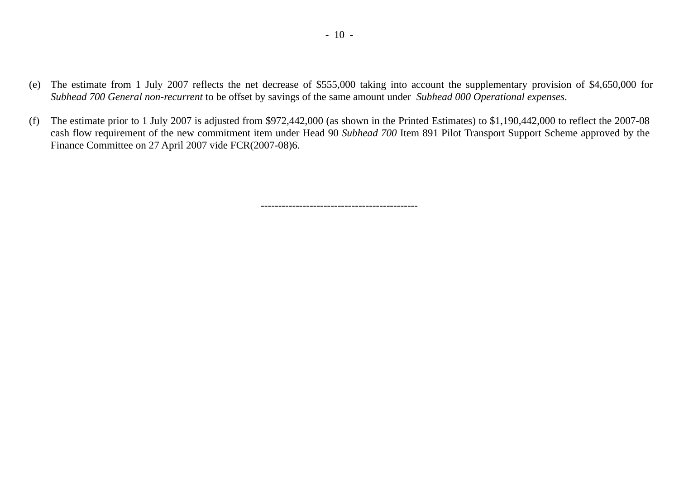- (e) The estimate from 1 July 2007 reflects the net decrease of \$555,000 taking into account the supplementary provision of \$4,650,000 for *Subhead 700 General non-recurrent* to be offset by savings of the same amount under *Subhead 000 Operational expenses*.
- (f) The estimate prior to 1 July 2007 is adjusted from \$972,442,000 (as shown in the Printed Estimates) to \$1,190,442,000 to reflect the 2007-08 cash flow requirement of the new commitment item under Head 90 *Subhead 700* Item 891 Pilot Transport Support Scheme approved by the Finance Committee on 27 April 2007 vide FCR(2007-08)6.

---------------------------------------------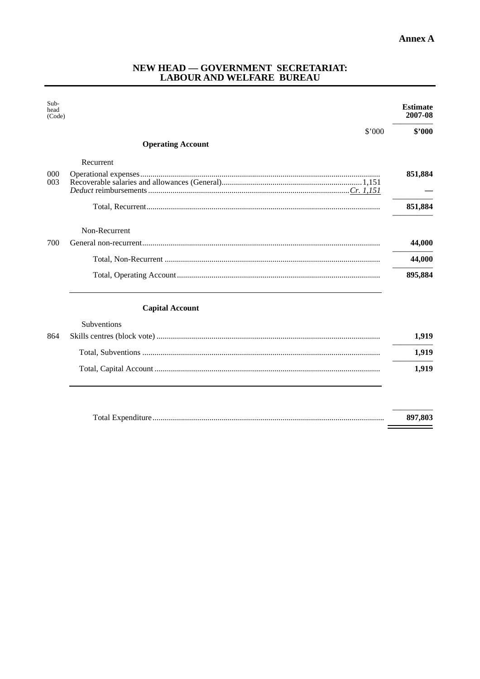$=$ 

# NEW HEAD — GOVERNMENT SECRETARIAT:<br>LABOUR AND WELFARE BUREAU

| Sub-<br>head<br>(Code) |                          | <b>Estimate</b><br>2007-08 |
|------------------------|--------------------------|----------------------------|
|                        | \$'000                   | \$2000                     |
|                        | <b>Operating Account</b> |                            |
|                        | Recurrent                |                            |
| 000                    |                          | 851,884                    |
| 003                    |                          |                            |
|                        |                          | 851,884                    |
|                        | Non-Recurrent            |                            |
| 700                    |                          | 44,000                     |
|                        |                          | 44,000                     |
|                        |                          | 895,884                    |
|                        | <b>Capital Account</b>   |                            |
|                        | Subventions              |                            |
| 864                    |                          | 1,919                      |
|                        | Total Subventions        | 1.919                      |

|  | .YIY  |
|--|-------|
|  | 1.919 |

| 897.803 |
|---------|
|         |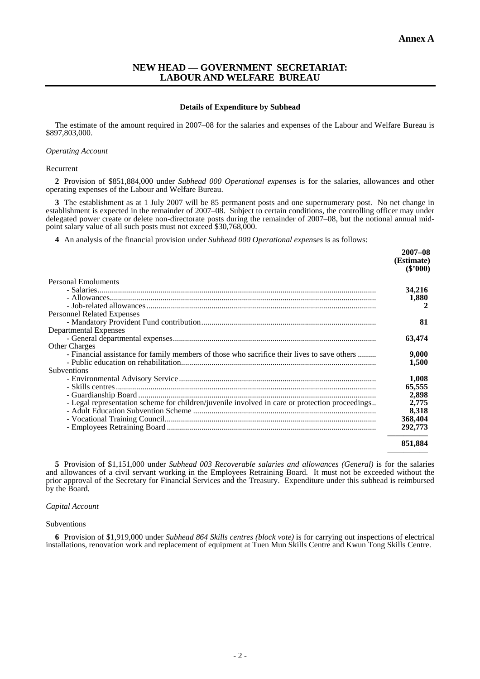#### **NEW HEAD — GOVERNMENT SECRETARIAT: LABOUR AND WELFARE BUREAU**

#### **Details of Expenditure by Subhead**

The estimate of the amount required in 2007–08 for the salaries and expenses of the Labour and Welfare Bureau is \$897,803,000.

#### *Operating Account*

#### Recurrent

**2** Provision of \$851,884,000 under *Subhead 000 Operational expenses* is for the salaries, allowances and other operating expenses of the Labour and Welfare Bureau.

**3** The establishment as at 1 July 2007 will be 85 permanent posts and one supernumerary post. No net change in establishment is expected in the remainder of 2007–08. Subject to certain conditions, the controlling officer may under delegated power create or delete non-directorate posts during the remainder of 2007–08, but the notional annual midpoint salary value of all such posts must not exceed \$30,768,000.

**4** An analysis of the financial provision under *Subhead 000 Operational expenses* is as follows:

|                                                                                                | $2007 - 08$<br>(Estimate)<br>$(\$'000)$ |
|------------------------------------------------------------------------------------------------|-----------------------------------------|
| Personal Emoluments                                                                            |                                         |
|                                                                                                | 34,216                                  |
|                                                                                                | 1,880                                   |
|                                                                                                | 2                                       |
| Personnel Related Expenses                                                                     |                                         |
|                                                                                                | 81                                      |
| <b>Departmental Expenses</b>                                                                   |                                         |
|                                                                                                | 63,474                                  |
| <b>Other Charges</b>                                                                           |                                         |
| - Financial assistance for family members of those who sacrifice their lives to save others    | 9,000                                   |
|                                                                                                | 1,500                                   |
| Subventions                                                                                    |                                         |
|                                                                                                | 1.008                                   |
|                                                                                                | 65,555                                  |
|                                                                                                | 2,898                                   |
| - Legal representation scheme for children/juvenile involved in care or protection proceedings | 2,775                                   |
|                                                                                                | 8,318                                   |
|                                                                                                | 368,404                                 |
|                                                                                                | 292,773                                 |
|                                                                                                | 851,884                                 |
|                                                                                                |                                         |

**5** Provision of \$1,151,000 under *Subhead 003 Recoverable salaries and allowances (General)* is for the salaries and allowances of a civil servant working in the Employees Retraining Board. It must not be exceeded without the prior approval of the Secretary for Financial Services and the Treasury. Expenditure under this subhead is reimbursed by the Board.

#### *Capital Account*

#### Subventions

**6** Provision of \$1,919,000 under *Subhead 864 Skills centres (block vote)* is for carrying out inspections of electrical installations, renovation work and replacement of equipment at Tuen Mun Skills Centre and Kwun Tong Skills Centre.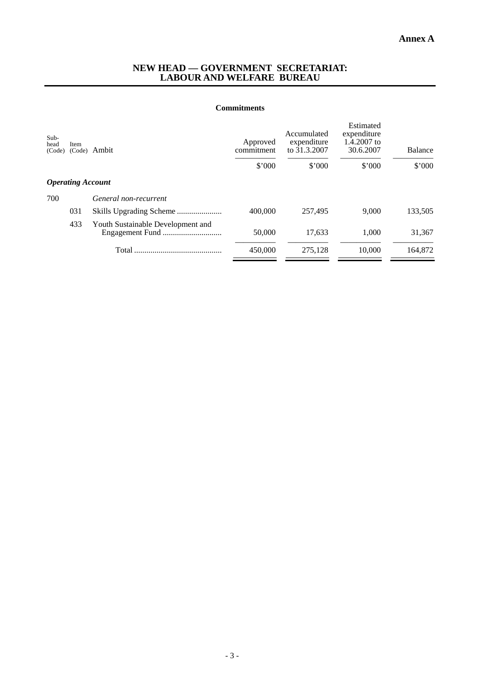#### **NEW HEAD — GOVERNMENT SECRETARIAT: LABOUR AND WELFARE BUREAU**

#### **Commitments**

| Sub-<br>head<br>(Code) | Item<br>(Code)           | Ambit                             | Approved<br>commitment<br>\$'000 | Accumulated<br>expenditure<br>to 31.3.2007<br>\$'000 | Estimated<br>expenditure<br>1.4.2007 to<br>30.6.2007<br>\$'000 | <b>Balance</b><br>\$'000 |
|------------------------|--------------------------|-----------------------------------|----------------------------------|------------------------------------------------------|----------------------------------------------------------------|--------------------------|
|                        | <b>Operating Account</b> |                                   |                                  |                                                      |                                                                |                          |
| 700                    |                          | General non-recurrent             |                                  |                                                      |                                                                |                          |
|                        | 031                      |                                   | 400,000                          | 257,495                                              | 9.000                                                          | 133,505                  |
|                        | 433                      | Youth Sustainable Development and | 50,000                           | 17,633                                               | 1.000                                                          | 31,367                   |
|                        |                          | Total                             | 450,000                          | 275.128                                              | 10.000                                                         | 164,872                  |
|                        |                          |                                   |                                  |                                                      |                                                                |                          |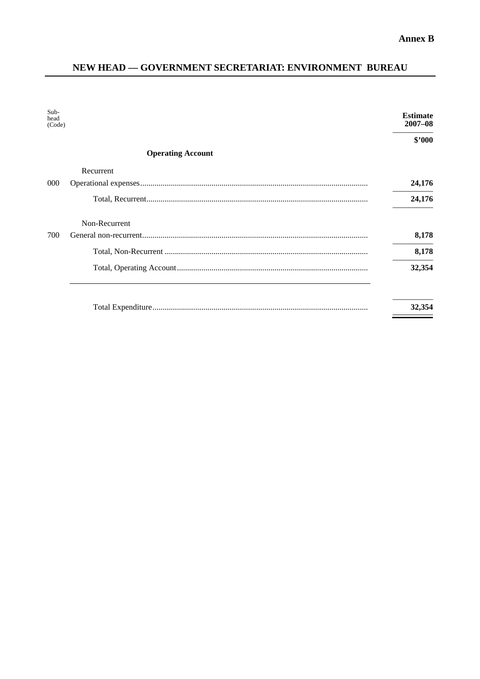## NEW HEAD - GOVERNMENT SECRETARIAT: ENVIRONMENT BUREAU

| Sub-<br>head<br>(Code) |                          | <b>Estimate</b><br>$2007 - 08$ |
|------------------------|--------------------------|--------------------------------|
|                        |                          | \$2000                         |
|                        | <b>Operating Account</b> |                                |
|                        | Recurrent                |                                |
| 000                    |                          | 24,176                         |
|                        |                          | 24,176                         |
|                        | Non-Recurrent            |                                |
| 700                    |                          | 8,178                          |
|                        |                          | 8,178                          |
|                        |                          | 32,354                         |
|                        |                          |                                |
|                        |                          | 32,354                         |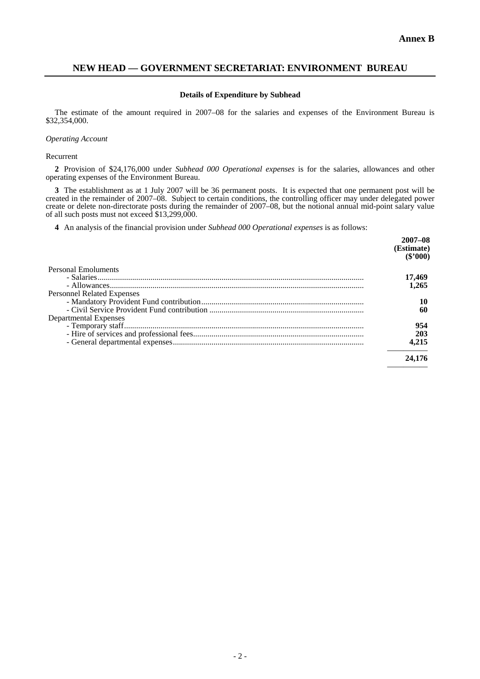—————

### **NEW HEAD — GOVERNMENT SECRETARIAT: ENVIRONMENT BUREAU**

#### **Details of Expenditure by Subhead**

The estimate of the amount required in 2007–08 for the salaries and expenses of the Environment Bureau is \$32,354,000.

#### *Operating Account*

Recurrent

**2** Provision of \$24,176,000 under *Subhead 000 Operational expenses* is for the salaries, allowances and other operating expenses of the Environment Bureau.

**3** The establishment as at 1 July 2007 will be 36 permanent posts. It is expected that one permanent post will be created in the remainder of 2007–08. Subject to certain conditions, the controlling officer may under delegated power create or delete non-directorate posts during the remainder of 2007–08, but the notional annual mid-point salary value of all such posts must not exceed \$13,299,000.

**4** An analysis of the financial provision under *Subhead 000 Operational expenses* is as follows:

|                                   | $2007 - 08$<br>(Estimate)<br>$(\$'000)$ |
|-----------------------------------|-----------------------------------------|
| <b>Personal Emoluments</b>        |                                         |
|                                   | 17,469                                  |
|                                   | 1.265                                   |
| <b>Personnel Related Expenses</b> |                                         |
|                                   | 10                                      |
|                                   | 60                                      |
| Departmental Expenses             |                                         |
|                                   | 954                                     |
|                                   | 203                                     |
|                                   | 4.215                                   |
|                                   | 24.176                                  |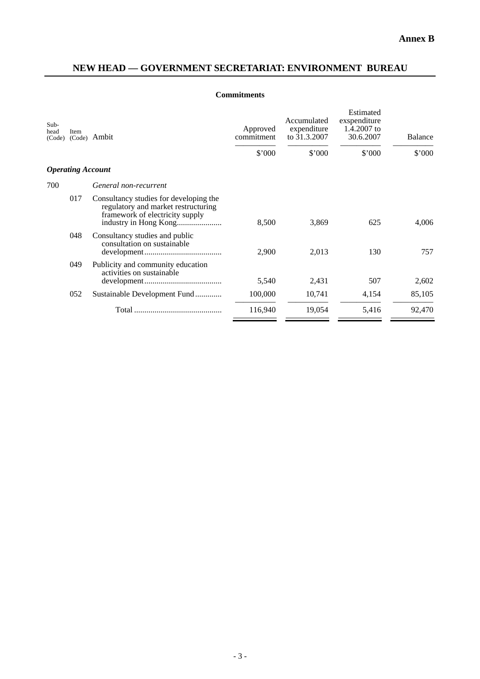## **NEW HEAD — GOVERNMENT SECRETARIAT: ENVIRONMENT BUREAU**

### **Commitments**

| Sub-<br>head<br>(Code) | <b>Item</b><br>(Code)    | Ambit                                                                                                            | Approved<br>commitment | Accumulated<br>expenditure<br>to 31.3.2007 | Estimated<br>exspenditure<br>1.4.2007 to<br>30.6.2007 | <b>Balance</b> |
|------------------------|--------------------------|------------------------------------------------------------------------------------------------------------------|------------------------|--------------------------------------------|-------------------------------------------------------|----------------|
|                        |                          |                                                                                                                  | \$'000                 | \$'000                                     | \$'000                                                | $$^{\circ}000$ |
|                        | <b>Operating Account</b> |                                                                                                                  |                        |                                            |                                                       |                |
| 700                    |                          | General non-recurrent                                                                                            |                        |                                            |                                                       |                |
|                        | 017                      | Consultancy studies for developing the<br>regulatory and market restructuring<br>framework of electricity supply | 8,500                  | 3,869                                      | 625                                                   | 4,006          |
|                        | 048                      | Consultancy studies and public<br>consultation on sustainable                                                    | 2,900                  | 2,013                                      | 130                                                   | 757            |
|                        | 049                      | Publicity and community education<br>activities on sustainable                                                   | 5,540                  | 2,431                                      | 507                                                   | 2,602          |
|                        | 052                      | Sustainable Development Fund                                                                                     | 100,000                | 10,741                                     | 4,154                                                 | 85,105         |
|                        |                          |                                                                                                                  | 116,940                | 19,054                                     | 5,416                                                 | 92,470         |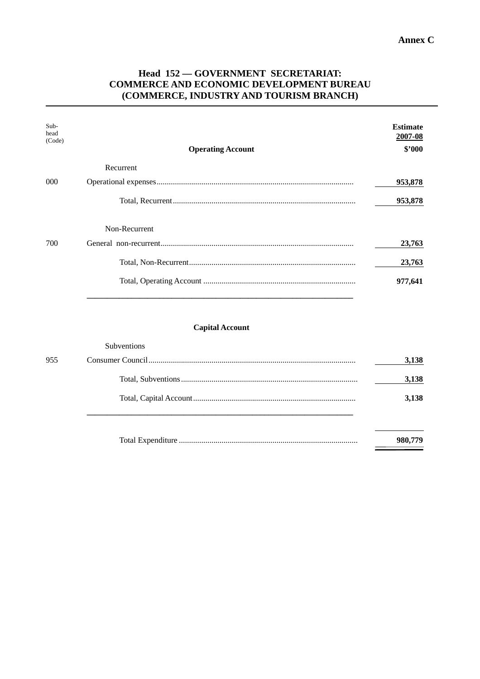### Head 152 - GOVERNMENT SECRETARIAT: **COMMERCE AND ECONOMIC DEVELOPMENT BUREAU** (COMMERCE, INDUSTRY AND TOURISM BRANCH)

| Sub-<br>head<br>(Code) | <b>Operating Account</b> | <b>Estimate</b><br>2007-08<br>\$2000 |
|------------------------|--------------------------|--------------------------------------|
|                        | Recurrent                |                                      |
| $000 \,$               |                          | 953,878                              |
|                        |                          | 953,878                              |
|                        | Non-Recurrent            |                                      |
| 700                    |                          | 23,763                               |
|                        |                          | 23,763                               |
|                        |                          | 977,641                              |

#### **Capital Account**

| 955 | 3,138   |
|-----|---------|
|     | 3,138   |
|     | 3.138   |
|     | 980,779 |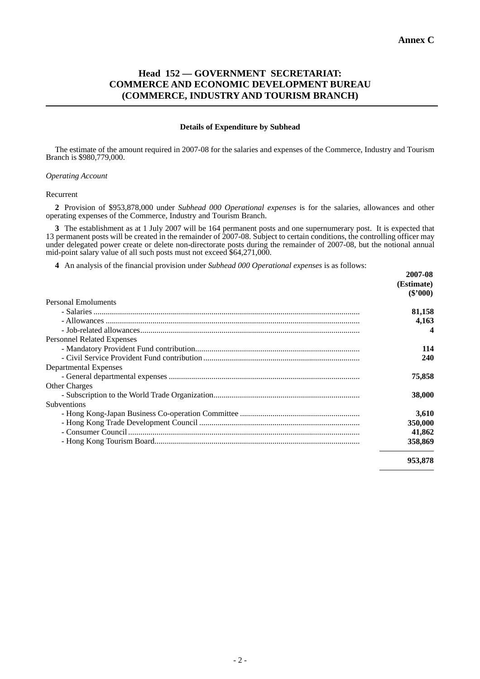### **Head 152 — GOVERNMENT SECRETARIAT: COMMERCE AND ECONOMIC DEVELOPMENT BUREAU (COMMERCE, INDUSTRY AND TOURISM BRANCH)**

#### **Details of Expenditure by Subhead**

The estimate of the amount required in 2007-08 for the salaries and expenses of the Commerce, Industry and Tourism Branch is \$980,779,000.

#### *Operating Account*

#### Recurrent

**2** Provision of \$953,878,000 under *Subhead 000 Operational expenses* is for the salaries, allowances and other operating expenses of the Commerce, Industry and Tourism Branch.

**3** The establishment as at 1 July 2007 will be 164 permanent posts and one supernumerary post. It is expected that 13 permanent posts will be created in the remainder of 2007-08. Subject to certain conditions, the controlling officer may under delegated power create or delete non-directorate posts during the remainder of 2007-08, but the notional annual mid-point salary value of all such posts must not exceed \$64,271,000.

**4** An analysis of the financial provision under *Subhead 000 Operational expenses* is as follows:

|                                   | 2007-08    |
|-----------------------------------|------------|
|                                   | (Estimate) |
|                                   | $(\$'000)$ |
| Personal Emoluments               |            |
|                                   | 81,158     |
|                                   | 4,163      |
|                                   |            |
| <b>Personnel Related Expenses</b> |            |
|                                   | 114        |
|                                   | 240        |
| Departmental Expenses             |            |
|                                   | 75,858     |
| <b>Other Charges</b>              |            |
|                                   | 38,000     |
| <b>Subventions</b>                |            |
|                                   | 3,610      |
|                                   | 350,000    |
|                                   | 41,862     |
|                                   | 358,869    |
|                                   | 953,878    |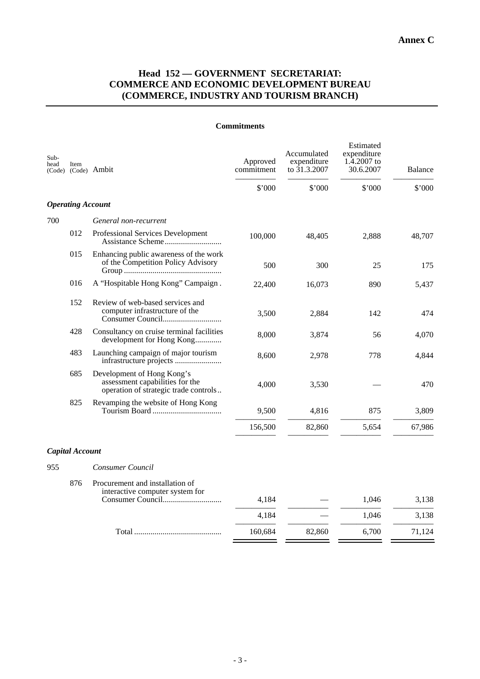### **Head 152 — GOVERNMENT SECRETARIAT: COMMERCE AND ECONOMIC DEVELOPMENT BUREAU (COMMERCE, INDUSTRY AND TOURISM BRANCH)**

| Sub-<br>head | Item                     | (Code) (Code) Ambit                                                                                    | Approved<br>commitment | Accumulated<br>expenditure<br>to 31.3.2007 | Estimated<br>expenditure<br>1.4.2007 to<br>30.6.2007 | <b>Balance</b> |
|--------------|--------------------------|--------------------------------------------------------------------------------------------------------|------------------------|--------------------------------------------|------------------------------------------------------|----------------|
|              |                          |                                                                                                        | \$'000                 | \$'000                                     | $$^{\circ}000$                                       | \$'000         |
|              | <b>Operating Account</b> |                                                                                                        |                        |                                            |                                                      |                |
| 700          |                          | General non-recurrent                                                                                  |                        |                                            |                                                      |                |
|              | 012                      | Professional Services Development<br>Assistance Scheme                                                 | 100,000                | 48,405                                     | 2,888                                                | 48,707         |
|              | 015                      | Enhancing public awareness of the work<br>of the Competition Policy Advisory                           | 500                    | 300                                        | 25                                                   | 175            |
|              | 016                      | A "Hospitable Hong Kong" Campaign.                                                                     | 22,400                 | 16,073                                     | 890                                                  | 5,437          |
|              | 152                      | Review of web-based services and<br>computer infrastructure of the                                     | 3,500                  | 2,884                                      | 142                                                  | 474            |
|              | 428                      | Consultancy on cruise terminal facilities<br>development for Hong Kong                                 | 8,000                  | 3,874                                      | 56                                                   | 4,070          |
|              | 483                      | Launching campaign of major tourism                                                                    | 8,600                  | 2,978                                      | 778                                                  | 4,844          |
|              | 685                      | Development of Hong Kong's<br>assessment capabilities for the<br>operation of strategic trade controls | 4,000                  | 3,530                                      |                                                      | 470            |
|              | 825                      | Revamping the website of Hong Kong                                                                     | 9,500                  | 4,816                                      | 875                                                  | 3,809          |
|              |                          |                                                                                                        | 156,500                | 82,860                                     | 5,654                                                | 67,986         |
|              | <b>Capital Account</b>   |                                                                                                        |                        |                                            |                                                      |                |
| 955          |                          | Consumer Council                                                                                       |                        |                                            |                                                      |                |
|              | 876                      | Procurement and installation of<br>interactive computer system for                                     | 4,184                  |                                            | 1,046                                                | 3,138          |
|              |                          |                                                                                                        |                        |                                            |                                                      |                |
|              |                          |                                                                                                        | 4,184                  |                                            | 1,046                                                | 3,138          |
|              |                          |                                                                                                        | 160,684                | 82,860                                     | 6,700                                                | 71,124         |

#### **Commitments**

 $\mathbf{r}$ 

 $=$   $-$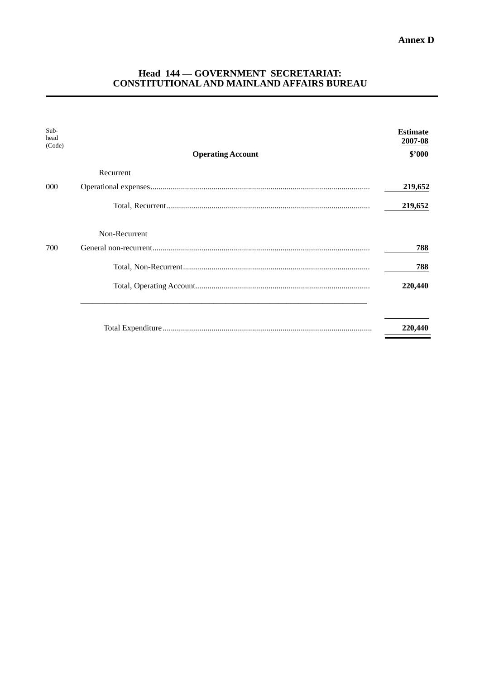# Head 144 - GOVERNMENT SECRETARIAT:<br>CONSTITUTIONAL AND MAINLAND AFFAIRS BUREAU

| Sub-<br>head<br>(Code) | <b>Operating Account</b> | <b>Estimate</b><br>2007-08<br>\$2000 |
|------------------------|--------------------------|--------------------------------------|
|                        | Recurrent                |                                      |
| 000                    |                          | 219,652                              |
|                        |                          | 219,652                              |
|                        | Non-Recurrent            |                                      |
| 700                    |                          | 788                                  |
|                        |                          | 788                                  |
|                        |                          | 220,440                              |
|                        |                          |                                      |
|                        |                          | 220,440                              |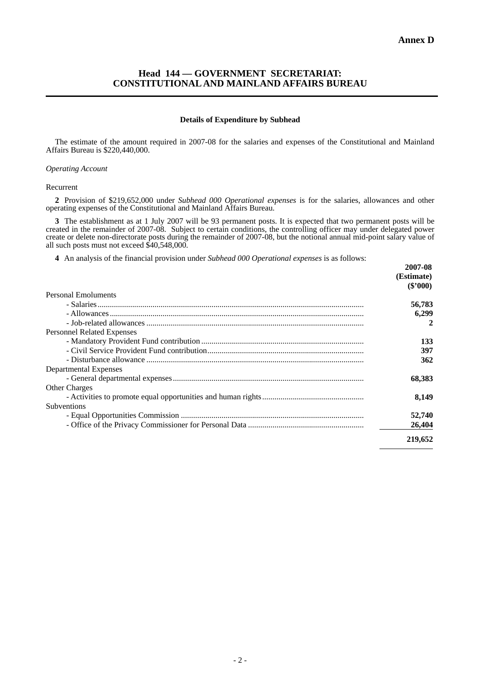# **Head 144 — GOVERNMENT SECRETARIAT: CONSTITUTIONAL AND MAINLAND AFFAIRS BUREAU**

### **Details of Expenditure by Subhead**

The estimate of the amount required in 2007-08 for the salaries and expenses of the Constitutional and Mainland Affairs Bureau is \$220,440,000.

### *Operating Account*

#### Recurrent

**2** Provision of \$219,652,000 under *Subhead 000 Operational expenses* is for the salaries, allowances and other operating expenses of the Constitutional and Mainland Affairs Bureau.

**3** The establishment as at 1 July 2007 will be 93 permanent posts. It is expected that two permanent posts will be created in the remainder of 2007-08. Subject to certain conditions, the controlling officer may under delegated power create or delete non-directorate posts during the remainder of 2007-08, but the notional annual mid-point salary value of all such posts must not exceed \$40,548,000.

**4** An analysis of the financial provision under *Subhead 000 Operational expenses* is as follows:

|                                   | 2007-08    |
|-----------------------------------|------------|
|                                   | (Estimate) |
|                                   | $(\$'000)$ |
| <b>Personal Emoluments</b>        |            |
|                                   | 56,783     |
|                                   | 6,299      |
|                                   | 2          |
| <b>Personnel Related Expenses</b> |            |
|                                   | 133        |
|                                   | 397        |
|                                   | 362        |
| Departmental Expenses             |            |
|                                   | 68,383     |
| <b>Other Charges</b>              |            |
|                                   | 8.149      |
| <b>Subventions</b>                |            |
|                                   | 52,740     |
|                                   | 26,404     |
|                                   |            |
|                                   | 219,652    |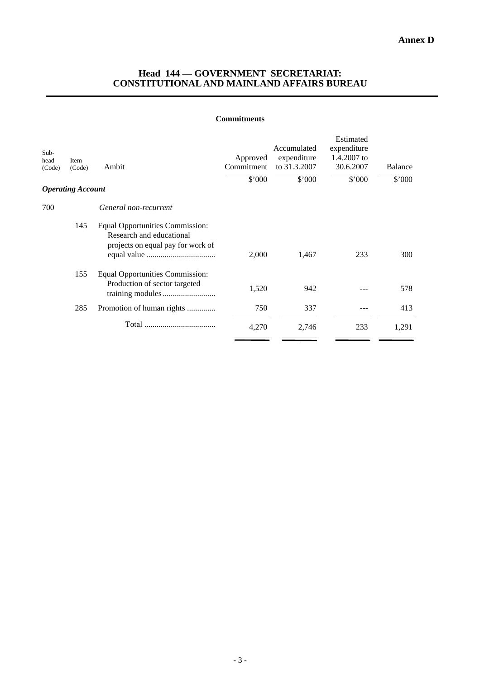# **Head 144 — GOVERNMENT SECRETARIAT: CONSTITUTIONAL AND MAINLAND AFFAIRS BUREAU**

### **Commitments**

| Sub-<br>head<br>(Code) | Item<br>(Code)           | Ambit                                                                                                   | Approved<br>Commitment<br>\$'000 | Accumulated<br>expenditure<br>to 31.3.2007<br>\$'000 | Estimated<br>expenditure<br>1.4.2007 to<br>30.6.2007<br>\$'000 | <b>Balance</b><br>\$'000 |
|------------------------|--------------------------|---------------------------------------------------------------------------------------------------------|----------------------------------|------------------------------------------------------|----------------------------------------------------------------|--------------------------|
|                        | <b>Operating Account</b> |                                                                                                         |                                  |                                                      |                                                                |                          |
| 700                    |                          | General non-recurrent                                                                                   |                                  |                                                      |                                                                |                          |
|                        | 145                      | <b>Equal Opportunities Commission:</b><br>Research and educational<br>projects on equal pay for work of | 2,000                            | 1,467                                                | 233                                                            | 300                      |
|                        | 155                      | <b>Equal Opportunities Commission:</b><br>Production of sector targeted                                 | 1,520                            | 942                                                  |                                                                | 578                      |
|                        | 285                      | Promotion of human rights                                                                               | 750                              | 337                                                  |                                                                | 413                      |
|                        |                          |                                                                                                         | 4,270                            | 2,746                                                | 233                                                            | 1,291                    |
|                        |                          |                                                                                                         |                                  |                                                      |                                                                |                          |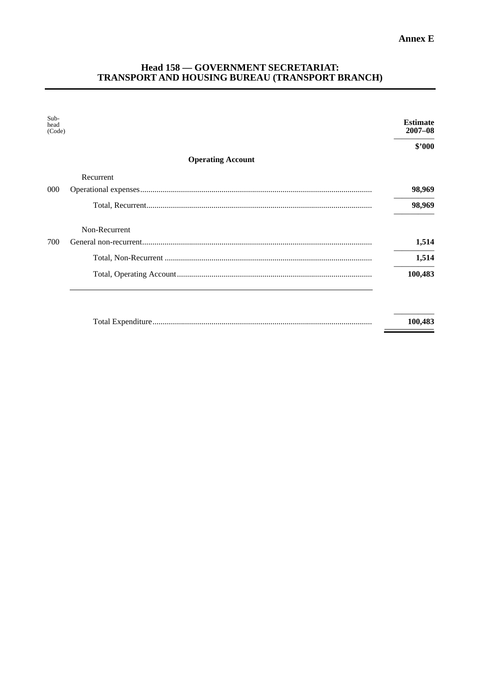# Head 158 — GOVERNMENT SECRETARIAT:<br>TRANSPORT AND HOUSING BUREAU (TRANSPORT BRANCH)

| Sub-<br>head<br>(Code) |                          | <b>Estimate</b><br>$2007 - 08$ |
|------------------------|--------------------------|--------------------------------|
|                        |                          | \$2000                         |
|                        | <b>Operating Account</b> |                                |
|                        | Recurrent                |                                |
| 000                    |                          | 98,969                         |
|                        |                          | 98,969                         |
|                        | Non-Recurrent            |                                |
| 700                    |                          | 1,514                          |
|                        |                          | 1,514                          |
|                        |                          | 100,483                        |
|                        |                          |                                |
|                        |                          | 100,483                        |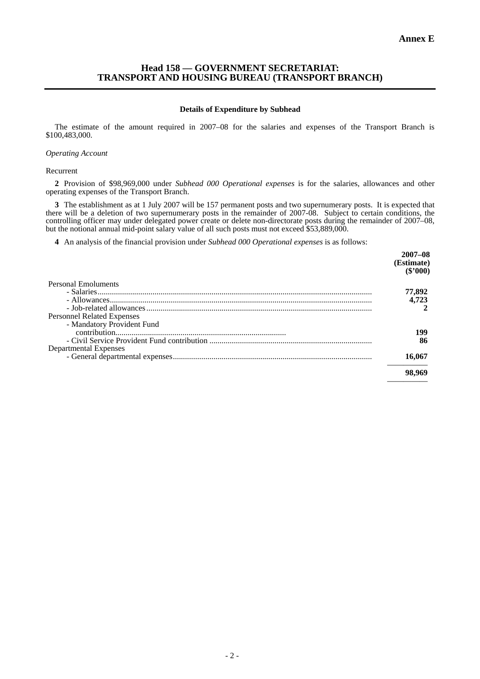## **Head 158 — GOVERNMENT SECRETARIAT: TRANSPORT AND HOUSING BUREAU (TRANSPORT BRANCH)**

### **Details of Expenditure by Subhead**

The estimate of the amount required in 2007–08 for the salaries and expenses of the Transport Branch is \$100,483,000.

### *Operating Account*

#### Recurrent

**2** Provision of \$98,969,000 under *Subhead 000 Operational expenses* is for the salaries, allowances and other operating expenses of the Transport Branch.

**3** The establishment as at 1 July 2007 will be 157 permanent posts and two supernumerary posts. It is expected that there will be a deletion of two supernumerary posts in the remainder of 2007-08. Subject to certain conditions, the controlling officer may under delegated power create or delete non-directorate posts during the remainder of 2007–08, but the notional annual mid-point salary value of all such posts must not exceed \$53,889,000.

**4** An analysis of the financial provision under *Subhead 000 Operational expenses* is as follows:

| $2007 - 08$<br>(Estimate)<br>(S'000) |
|--------------------------------------|
|                                      |
| 77,892                               |
| 4,723                                |
|                                      |
|                                      |
|                                      |
| 199                                  |
| 86                                   |
|                                      |
| 16,067                               |
| 98,969                               |
|                                      |
|                                      |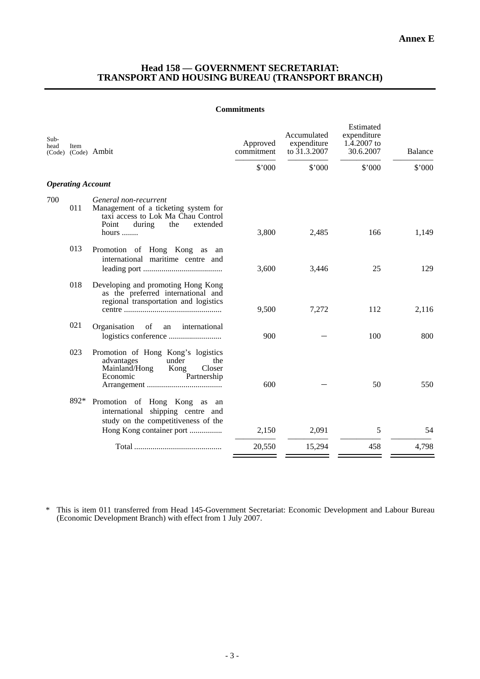### **Head 158 — GOVERNMENT SECRETARIAT: TRANSPORT AND HOUSING BUREAU (TRANSPORT BRANCH)**

### **Commitments**

| Sub-<br>head | Item                     | (Code) (Code) Ambit                                                                                                                                | Approved<br>commitment | Accumulated<br>expenditure<br>to 31.3.2007 | Estimated<br>expenditure<br>1.4.2007 to<br>30.6.2007 | <b>Balance</b> |
|--------------|--------------------------|----------------------------------------------------------------------------------------------------------------------------------------------------|------------------------|--------------------------------------------|------------------------------------------------------|----------------|
|              |                          |                                                                                                                                                    | \$'000                 | \$'000                                     | \$'000                                               | \$'000         |
|              | <b>Operating Account</b> |                                                                                                                                                    |                        |                                            |                                                      |                |
| 700          | 011                      | General non-recurrent<br>Management of a ticketing system for<br>taxi access to Lok Ma Chau Control<br>Point<br>during<br>the<br>extended<br>hours | 3,800                  | 2,485                                      | 166                                                  | 1,149          |
|              | 013                      | Promotion of Hong Kong as an<br>international maritime centre and                                                                                  | 3,600                  | 3,446                                      | 25                                                   | 129            |
|              | 018                      | Developing and promoting Hong Kong<br>as the preferred international and<br>regional transportation and logistics                                  | 9,500                  | 7,272                                      | 112                                                  | 2,116          |
|              | 021                      | Organisation<br>of<br>international<br>an                                                                                                          | 900                    |                                            | 100                                                  | 800            |
|              | 023                      | Promotion of Hong Kong's logistics<br>advantages<br>under<br>the<br>Mainland/Hong<br>Kong<br>Closer<br>Economic<br>Partnership                     | 600                    |                                            | 50                                                   | 550            |
|              | 892*                     | Promotion of Hong Kong as<br>an<br>international shipping centre and<br>study on the competitiveness of the<br>Hong Kong container port            | 2,150                  | 2,091                                      | 5                                                    | 54             |
|              |                          |                                                                                                                                                    | 20,550                 | 15,294                                     | 458                                                  | 4,798          |

\* This is item 011 transferred from Head 145-Government Secretariat: Economic Development and Labour Bureau (Economic Development Branch) with effect from 1 July 2007.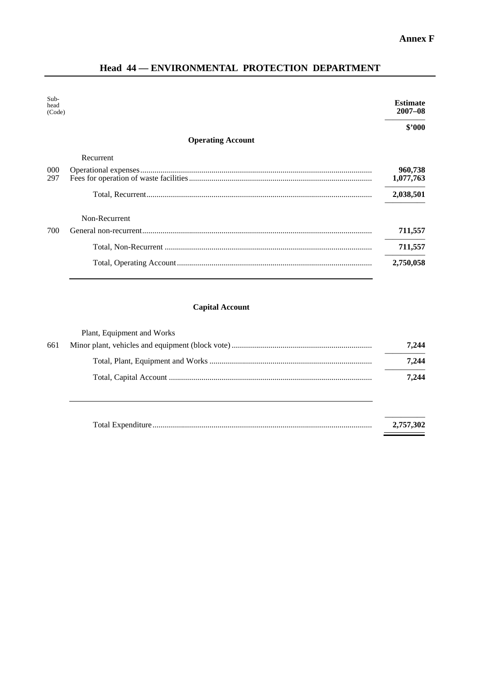Ξ

# Head 44 - ENVIRONMENTAL PROTECTION DEPARTMENT

| Sub-<br>head<br>(Code) |                          | <b>Estimate</b><br>$2007 - 08$ |
|------------------------|--------------------------|--------------------------------|
|                        |                          | \$'000                         |
|                        | <b>Operating Account</b> |                                |
|                        | Recurrent                |                                |
| 000                    |                          | 960,738                        |
| 297                    |                          | 1,077,763                      |
|                        |                          | 2,038,501                      |
|                        | Non-Recurrent            |                                |
| 700                    |                          | 711,557                        |
|                        |                          | 711,557                        |
|                        |                          | 2,750,058                      |

# **Capital Account**

|     | Plant, Equipment and Works |       |
|-----|----------------------------|-------|
| 661 |                            | 7.244 |
|     |                            | 7,244 |
|     |                            | 7.244 |
|     |                            |       |

| 2,757,302 |
|-----------|
|           |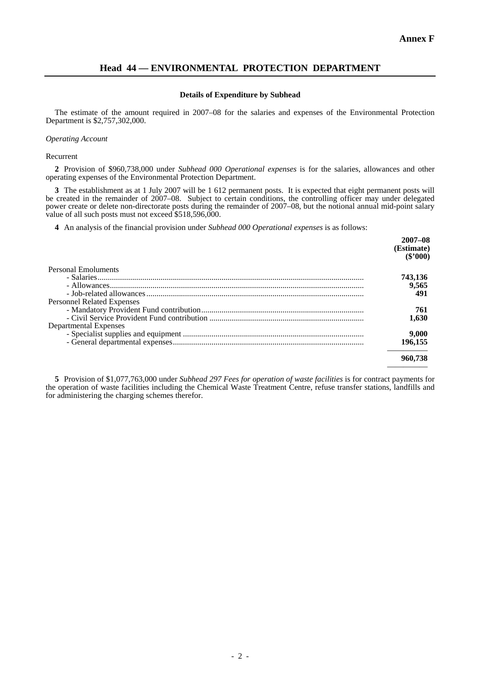# **Head 44 — ENVIRONMENTAL PROTECTION DEPARTMENT**

### **Details of Expenditure by Subhead**

The estimate of the amount required in 2007–08 for the salaries and expenses of the Environmental Protection Department is \$2,757,302,000.

### *Operating Account*

Recurrent

**2** Provision of \$960,738,000 under *Subhead 000 Operational expenses* is for the salaries, allowances and other operating expenses of the Environmental Protection Department.

**3** The establishment as at 1 July 2007 will be 1 612 permanent posts. It is expected that eight permanent posts will be created in the remainder of 2007–08. Subject to certain conditions, the controlling officer may under delegated power create or delete non-directorate posts during the remainder of 2007–08, but the notional annual mid-point salary value of all such posts must not exceed \$518,596,000.

**4** An analysis of the financial provision under *Subhead 000 Operational expenses* is as follows:

|                                   | $2007 - 08$<br>(Estimate)<br>(S'000) |
|-----------------------------------|--------------------------------------|
| Personal Emoluments               |                                      |
|                                   | 743,136                              |
|                                   | 9.565                                |
|                                   | 491                                  |
| <b>Personnel Related Expenses</b> |                                      |
|                                   | 761                                  |
|                                   | 1.630                                |
| Departmental Expenses             |                                      |
|                                   | 9,000                                |
|                                   | 196.155                              |
|                                   | 960,738                              |
|                                   |                                      |

**5** Provision of \$1,077,763,000 under *Subhead 297 Fees for operation of waste facilities* is for contract payments for the operation of waste facilities including the Chemical Waste Treatment Centre, refuse transfer stations, landfills and for administering the charging schemes therefor.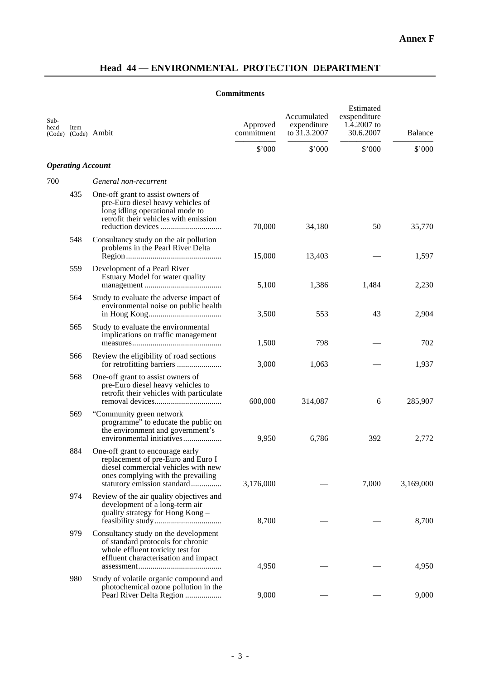# **Head 44 — ENVIRONMENTAL PROTECTION DEPARTMENT**

# **Commitments**

| Sub-<br>head | Item                     | (Code) (Code) Ambit                                                                                                                                                                | Approved<br>commitment | Accumulated<br>expenditure<br>to $31.3.2007$ | Estimated<br>exspenditure<br>1.4.2007 to<br>30.6.2007 | <b>Balance</b> |
|--------------|--------------------------|------------------------------------------------------------------------------------------------------------------------------------------------------------------------------------|------------------------|----------------------------------------------|-------------------------------------------------------|----------------|
|              |                          |                                                                                                                                                                                    | \$'000                 | \$'000                                       | \$'000                                                | \$'000         |
|              | <b>Operating Account</b> |                                                                                                                                                                                    |                        |                                              |                                                       |                |
| 700          |                          | General non-recurrent                                                                                                                                                              |                        |                                              |                                                       |                |
|              | 435                      | One-off grant to assist owners of<br>pre-Euro diesel heavy vehicles of<br>long idling operational mode to<br>retrofit their vehicles with emission                                 | 70,000                 | 34,180                                       | 50                                                    | 35,770         |
|              | 548                      | Consultancy study on the air pollution<br>problems in the Pearl River Delta                                                                                                        | 15,000                 | 13,403                                       |                                                       | 1,597          |
|              | 559                      | Development of a Pearl River<br>Estuary Model for water quality                                                                                                                    | 5,100                  | 1,386                                        | 1,484                                                 | 2,230          |
|              | 564                      | Study to evaluate the adverse impact of<br>environmental noise on public health                                                                                                    | 3,500                  | 553                                          | 43                                                    | 2,904          |
|              | 565                      | Study to evaluate the environmental<br>implications on traffic management                                                                                                          | 1,500                  | 798                                          |                                                       | 702            |
|              | 566                      | Review the eligibility of road sections<br>for retrofitting barriers                                                                                                               | 3,000                  | 1,063                                        |                                                       | 1,937          |
|              | 568                      | One-off grant to assist owners of<br>pre-Euro diesel heavy vehicles to<br>retrofit their vehicles with particulate                                                                 | 600,000                | 314,087                                      | 6                                                     | 285,907        |
|              | 569                      | "Community green network"<br>programme" to educate the public on<br>the environment and government's                                                                               | 9,950                  | 6,786                                        | 392                                                   | 2,772          |
|              | 884                      | One-off grant to encourage early<br>replacement of pre-Euro and Euro I<br>diesel commercial vehicles with new<br>ones complying with the prevailing<br>statutory emission standard | 3,176,000              |                                              | 7,000                                                 | 3,169,000      |
|              | 974                      | Review of the air quality objectives and<br>development of a long-term air<br>quality strategy for Hong Kong -                                                                     | 8,700                  |                                              |                                                       | 8,700          |
|              | 979                      | Consultancy study on the development<br>of standard protocols for chronic<br>whole effluent toxicity test for<br>effluent characterisation and impact                              | 4,950                  |                                              |                                                       | 4,950          |
|              | 980                      | Study of volatile organic compound and<br>photochemical ozone pollution in the<br>Pearl River Delta Region                                                                         | 9,000                  |                                              |                                                       | 9,000          |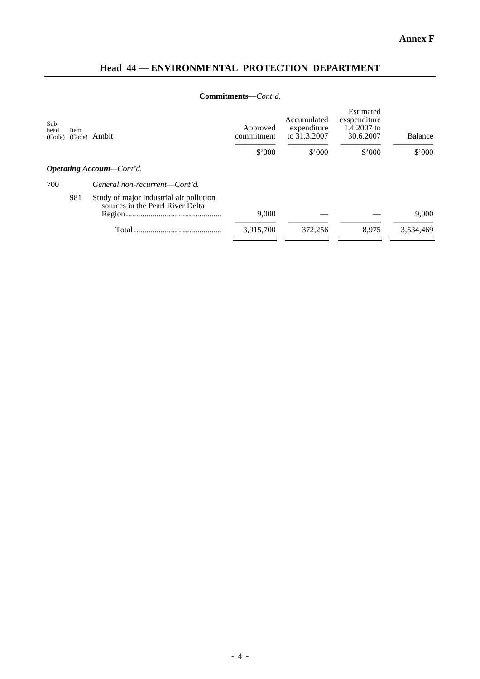# **Head 44 — ENVIRONMENTAL PROTECTION DEPARTMENT**

# **Commitments**—*Cont'd.*

| Item<br>(Code) | Ambit                                                                       | Approved<br>commitment           | Accumulated<br>expenditure<br>to 31.3.2007 | exspenditure<br>1.4.2007 to<br>30.6.2007 | <b>Balance</b> |
|----------------|-----------------------------------------------------------------------------|----------------------------------|--------------------------------------------|------------------------------------------|----------------|
|                |                                                                             | $$^{\circ}000$                   | $$^{\circ}000$                             | \$'000                                   | \$'000         |
|                |                                                                             |                                  |                                            |                                          |                |
|                | General non-recurrent—Cont'd.                                               |                                  |                                            |                                          |                |
| 981            | Study of major industrial air pollution<br>sources in the Pearl River Delta | 9,000                            |                                            |                                          | 9.000          |
|                | Total                                                                       | 3,915,700                        | 372,256                                    | 8.975                                    | 3.534.469      |
|                |                                                                             | <b>Operating Account–Cont'd.</b> |                                            |                                          |                |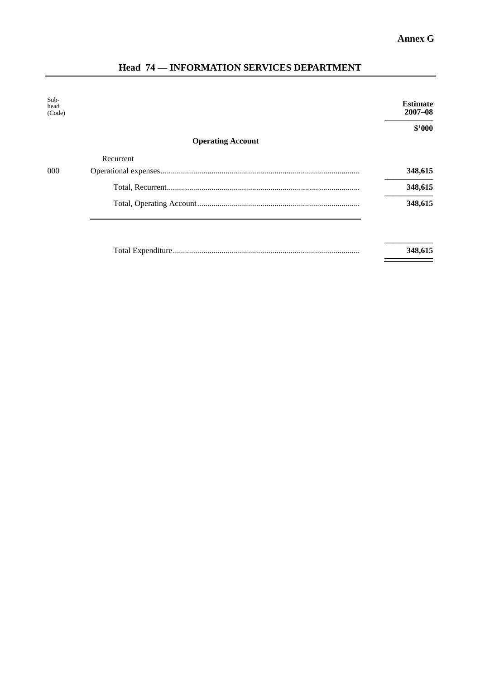Ĩ.

| Sub-<br>head<br>(Code) |                          | <b>Estimate</b><br>$2007 - 08$ |
|------------------------|--------------------------|--------------------------------|
|                        |                          | \$'000                         |
|                        | <b>Operating Account</b> |                                |
|                        | Recurrent                |                                |
| $000 \,$               |                          | 348,615                        |
|                        |                          | 348,615                        |
|                        |                          | 348,615                        |
|                        |                          |                                |
|                        |                          | 348,615                        |

# **Head 74 — INFORMATION SERVICES DEPARTMENT**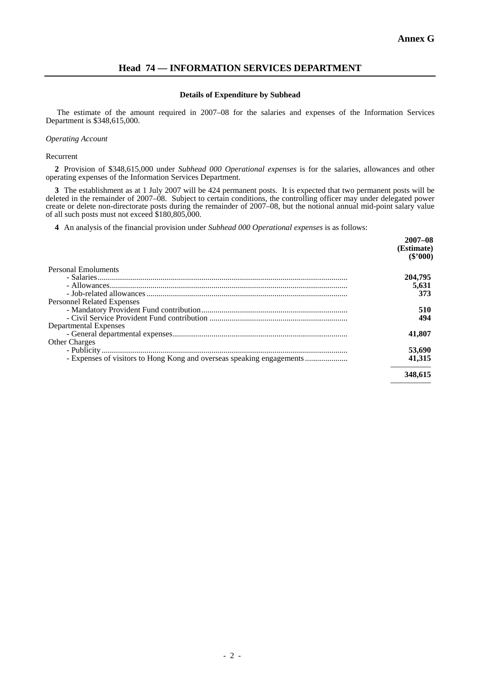—————

# **Head 74 — INFORMATION SERVICES DEPARTMENT**

### **Details of Expenditure by Subhead**

 The estimate of the amount required in 2007–08 for the salaries and expenses of the Information Services Department is \$348,615,000.

### *Operating Account*

Recurrent

**2** Provision of \$348,615,000 under *Subhead 000 Operational expenses* is for the salaries, allowances and other operating expenses of the Information Services Department.

**3** The establishment as at 1 July 2007 will be 424 permanent posts. It is expected that two permanent posts will be deleted in the remainder of 2007–08. Subject to certain conditions, the controlling officer may under delegated power create or delete non-directorate posts during the remainder of 2007–08, but the notional annual mid-point salary value of all such posts must not exceed \$180,805,000.

**4** An analysis of the financial provision under *Subhead 000 Operational expenses* is as follows:

|                                   | $2007 - 08$<br>(Estimate)<br>$(\$'000)$ |
|-----------------------------------|-----------------------------------------|
| Personal Emoluments               |                                         |
|                                   | 204,795                                 |
|                                   | 5,631                                   |
|                                   | 373                                     |
| <b>Personnel Related Expenses</b> |                                         |
|                                   | 510                                     |
|                                   | 494                                     |
| Departmental Expenses             |                                         |
|                                   | 41,807                                  |
| <b>Other Charges</b>              |                                         |
|                                   | 53,690                                  |
|                                   | 41.315                                  |
|                                   | 348,615                                 |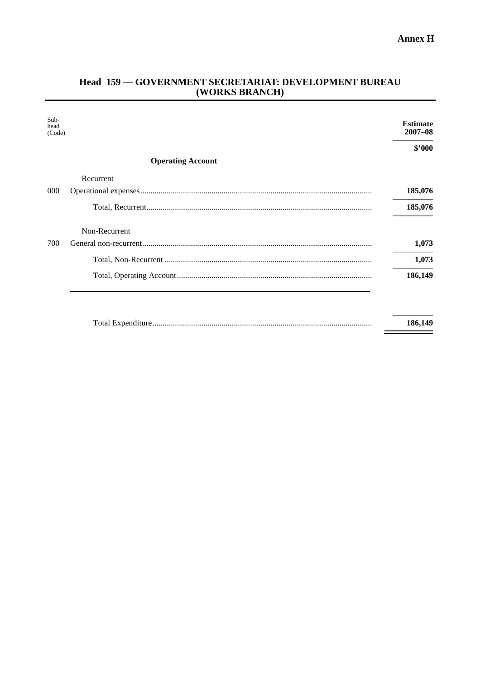# Head 159 - GOVERNMENT SECRETARIAT: DEVELOPMENT BUREAU (WORKS BRANCH)

| $Sub-$<br>head<br>(Code) |                          | <b>Estimate</b><br>$2007 - 08$ |
|--------------------------|--------------------------|--------------------------------|
|                          |                          | \$2000                         |
|                          | <b>Operating Account</b> |                                |
|                          | Recurrent                |                                |
| 000                      |                          | 185,076                        |
|                          |                          | 185,076                        |
|                          | Non-Recurrent            |                                |
| 700                      |                          | 1,073                          |
|                          |                          | 1,073                          |
|                          |                          | 186,149                        |
|                          |                          |                                |
|                          |                          | 186,149                        |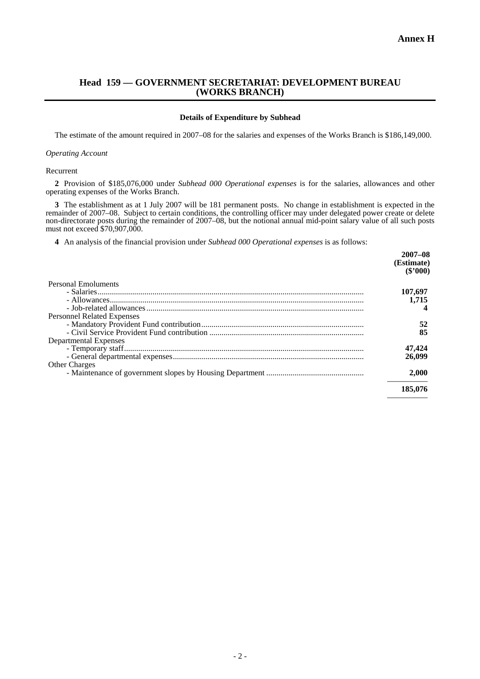## **Head 159 — GOVERNMENT SECRETARIAT: DEVELOPMENT BUREAU (WORKS BRANCH)**

### **Details of Expenditure by Subhead**

The estimate of the amount required in 2007–08 for the salaries and expenses of the Works Branch is \$186,149,000.

### *Operating Account*

#### Recurrent

**2** Provision of \$185,076,000 under *Subhead 000 Operational expenses* is for the salaries, allowances and other operating expenses of the Works Branch.

**3** The establishment as at 1 July 2007 will be 181 permanent posts. No change in establishment is expected in the remainder of 2007–08. Subject to certain conditions, the controlling officer may under delegated power create or delete non-directorate posts during the remainder of 2007–08, but the notional annual mid-point salary value of all such posts must not exceed \$70,907,000.

**4** An analysis of the financial provision under *Subhead 000 Operational expenses* is as follows:

|                                   | $2007 - 08$<br>(Estimate)<br>$(\$'000)$ |
|-----------------------------------|-----------------------------------------|
| Personal Emoluments               |                                         |
|                                   | 107,697                                 |
|                                   | 1.715                                   |
|                                   |                                         |
| <b>Personnel Related Expenses</b> |                                         |
|                                   | 52                                      |
|                                   | 85                                      |
| Departmental Expenses             |                                         |
|                                   | 47,424                                  |
|                                   | 26,099                                  |
| <b>Other Charges</b>              |                                         |
|                                   | 2,000                                   |
|                                   | 185,076                                 |
|                                   |                                         |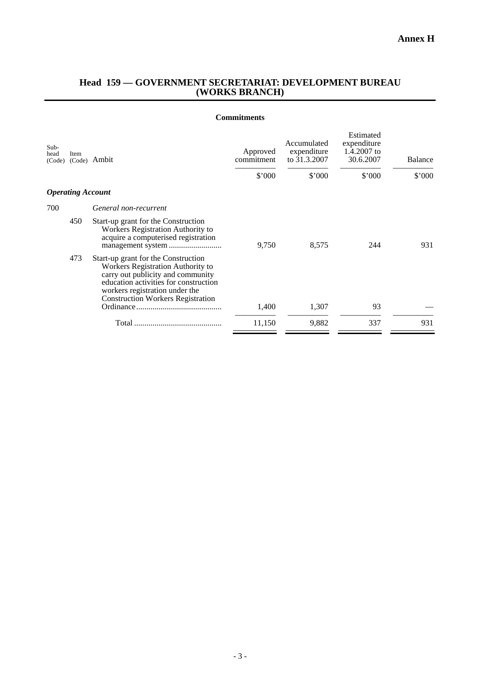# **Head 159 — GOVERNMENT SECRETARIAT: DEVELOPMENT BUREAU (WORKS BRANCH)**

### **Commitments**

| Sub-<br>head<br>(Code) | Item                     | (Code) Ambit                                                                                                                                                                                                                         | Approved<br>commitment<br>\$'000 | Accumulated<br>expenditure<br>to 31.3.2007<br>\$'000 | Estimated<br>expenditure<br>1.4.2007 to<br>30.6.2007<br>\$'000 | Balance<br>\$'000 |
|------------------------|--------------------------|--------------------------------------------------------------------------------------------------------------------------------------------------------------------------------------------------------------------------------------|----------------------------------|------------------------------------------------------|----------------------------------------------------------------|-------------------|
|                        | <b>Operating Account</b> |                                                                                                                                                                                                                                      |                                  |                                                      |                                                                |                   |
| 700                    |                          | General non-recurrent                                                                                                                                                                                                                |                                  |                                                      |                                                                |                   |
|                        | 450                      | Start-up grant for the Construction<br>Workers Registration Authority to<br>acquire a computerised registration                                                                                                                      | 9,750                            | 8,575                                                | 244                                                            | 931               |
|                        | 473                      | Start-up grant for the Construction<br>Workers Registration Authority to<br>carry out publicity and community<br>education activities for construction<br>workers registration under the<br><b>Construction Workers Registration</b> | 1,400                            | 1,307                                                | 93                                                             |                   |
|                        |                          |                                                                                                                                                                                                                                      | 11,150                           | 9,882                                                | 337                                                            | 931               |
|                        |                          |                                                                                                                                                                                                                                      |                                  |                                                      |                                                                |                   |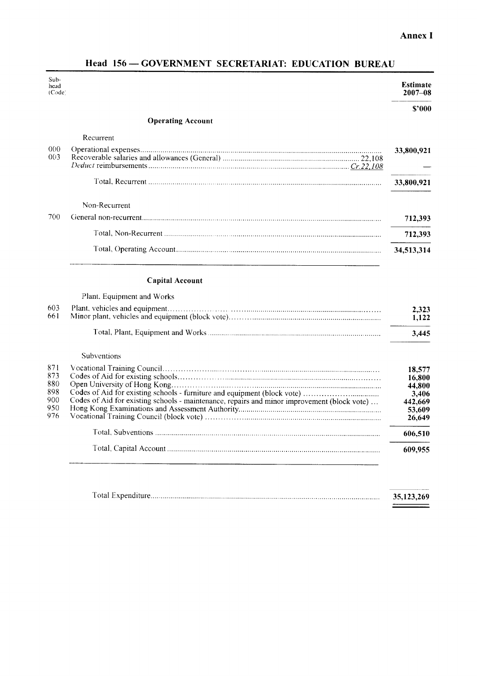# **Annex I**

 $\begin{tabular}{|c|c|c|c|} \hline \multicolumn{3}{|c|}{\textbf{1}} & \multicolumn{3}{|c|}{\textbf{2}} & \multicolumn{3}{|c|}{\textbf{3}} & \multicolumn{3}{|c|}{\textbf{4}} & \multicolumn{3}{|c|}{\textbf{5}} & \multicolumn{3}{|c|}{\textbf{6}} & \multicolumn{3}{|c|}{\textbf{6}} & \multicolumn{3}{|c|}{\textbf{6}} & \multicolumn{3}{|c|}{\textbf{6}} & \multicolumn{3}{|c|}{\textbf{6}} & \multicolumn{3}{|c|}{\textbf{6}} & \multic$ 

| $Sub-$<br>head<br>(Code)                      |                                                                                             | Estimate<br>$2007 - 08$                                            |
|-----------------------------------------------|---------------------------------------------------------------------------------------------|--------------------------------------------------------------------|
|                                               |                                                                                             | \$'000                                                             |
|                                               | <b>Operating Account</b>                                                                    |                                                                    |
|                                               | Recurrent                                                                                   |                                                                    |
| 000<br>003                                    |                                                                                             | 33,800,921                                                         |
|                                               |                                                                                             | 33,800,921                                                         |
|                                               | Non-Recurrent                                                                               |                                                                    |
| 700                                           |                                                                                             | 712,393                                                            |
|                                               |                                                                                             | 712,393                                                            |
|                                               |                                                                                             | 34,513,314                                                         |
|                                               | <b>Capital Account</b>                                                                      |                                                                    |
|                                               | Plant, Equipment and Works                                                                  |                                                                    |
| 603<br>661                                    |                                                                                             | 2,323<br>1,122                                                     |
|                                               |                                                                                             | 3,445                                                              |
|                                               | Subventions                                                                                 |                                                                    |
| 871<br>873<br>880<br>898<br>900<br>950<br>976 | Codes of Aid for existing schools - maintenance, repairs and minor improvement (block vote) | 18,577<br>16,800<br>44,800<br>3,406<br>442,669<br>53,609<br>26,649 |
|                                               |                                                                                             | 606,510                                                            |
|                                               |                                                                                             | 609,955                                                            |
|                                               |                                                                                             | 35,123,269                                                         |

# Head 156 - GOVERNMENT SECRETARIAT: EDUCATION BUREAU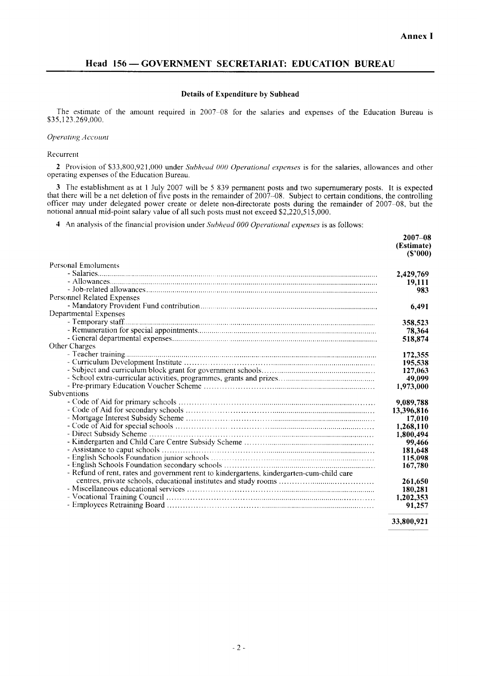### **Details of Expenditure by Subhead**

The estimate of the amount required in 2007-08 for the salaries and expenses of the Education Bureau is \$35,123,269,000.

### **Operating Account**

#### Recurrent

2 Provision of \$33,800,921,000 under Subhead 000 Operational expenses is for the salaries, allowances and other operating expenses of the Education Bureau.

3 The establishment as at 1 July 2007 will be 5 839 permanent posts and two supernumerary posts. It is expected that there will be a net deletion of five posts in the remainder of 2007-08. Subject to certain conditions, the controlling officer may under delegated power create or delete non-directorate posts during the remainder of 2007–08, but the notional annual mid-point salary value of all such posts must not exceed \$2,220,515,000.

4 An analysis of the financial provision under Subhead 000 Operational expenses is as follows:

| <b>Personal Emoluments</b><br>2,429,769<br>19,111<br>983<br><b>Personnel Related Expenses</b><br>6,491<br>Departmental Expenses<br>358,523<br>78,364<br>518,874<br>Other Charges<br>172,355<br>195,538<br>127,063<br>49,099<br>1,973,000<br>Subventions<br>9,089,788<br>13,396,816<br>17,010<br>1,268,110<br>1,800,494<br>99,466<br>181,648<br>115.098<br>167,780<br>- Refund of rent, rates and government rent to kindergartens, kindergarten-cum-child care<br>261,650<br>180,281<br>1,202,353<br>91,257 | $2007 - 08$<br>(Estimate)<br>(S'000) |
|-------------------------------------------------------------------------------------------------------------------------------------------------------------------------------------------------------------------------------------------------------------------------------------------------------------------------------------------------------------------------------------------------------------------------------------------------------------------------------------------------------------|--------------------------------------|
|                                                                                                                                                                                                                                                                                                                                                                                                                                                                                                             |                                      |
|                                                                                                                                                                                                                                                                                                                                                                                                                                                                                                             |                                      |
|                                                                                                                                                                                                                                                                                                                                                                                                                                                                                                             |                                      |
|                                                                                                                                                                                                                                                                                                                                                                                                                                                                                                             |                                      |
|                                                                                                                                                                                                                                                                                                                                                                                                                                                                                                             |                                      |
|                                                                                                                                                                                                                                                                                                                                                                                                                                                                                                             |                                      |
|                                                                                                                                                                                                                                                                                                                                                                                                                                                                                                             |                                      |
|                                                                                                                                                                                                                                                                                                                                                                                                                                                                                                             |                                      |
|                                                                                                                                                                                                                                                                                                                                                                                                                                                                                                             |                                      |
|                                                                                                                                                                                                                                                                                                                                                                                                                                                                                                             |                                      |
|                                                                                                                                                                                                                                                                                                                                                                                                                                                                                                             |                                      |
|                                                                                                                                                                                                                                                                                                                                                                                                                                                                                                             |                                      |
|                                                                                                                                                                                                                                                                                                                                                                                                                                                                                                             |                                      |
|                                                                                                                                                                                                                                                                                                                                                                                                                                                                                                             |                                      |
|                                                                                                                                                                                                                                                                                                                                                                                                                                                                                                             |                                      |
|                                                                                                                                                                                                                                                                                                                                                                                                                                                                                                             |                                      |
|                                                                                                                                                                                                                                                                                                                                                                                                                                                                                                             |                                      |
|                                                                                                                                                                                                                                                                                                                                                                                                                                                                                                             |                                      |
|                                                                                                                                                                                                                                                                                                                                                                                                                                                                                                             |                                      |
|                                                                                                                                                                                                                                                                                                                                                                                                                                                                                                             |                                      |
|                                                                                                                                                                                                                                                                                                                                                                                                                                                                                                             |                                      |
|                                                                                                                                                                                                                                                                                                                                                                                                                                                                                                             |                                      |
|                                                                                                                                                                                                                                                                                                                                                                                                                                                                                                             |                                      |
|                                                                                                                                                                                                                                                                                                                                                                                                                                                                                                             |                                      |
|                                                                                                                                                                                                                                                                                                                                                                                                                                                                                                             |                                      |
|                                                                                                                                                                                                                                                                                                                                                                                                                                                                                                             |                                      |
|                                                                                                                                                                                                                                                                                                                                                                                                                                                                                                             |                                      |
|                                                                                                                                                                                                                                                                                                                                                                                                                                                                                                             |                                      |
|                                                                                                                                                                                                                                                                                                                                                                                                                                                                                                             |                                      |
|                                                                                                                                                                                                                                                                                                                                                                                                                                                                                                             |                                      |
|                                                                                                                                                                                                                                                                                                                                                                                                                                                                                                             |                                      |
|                                                                                                                                                                                                                                                                                                                                                                                                                                                                                                             |                                      |

33,800,921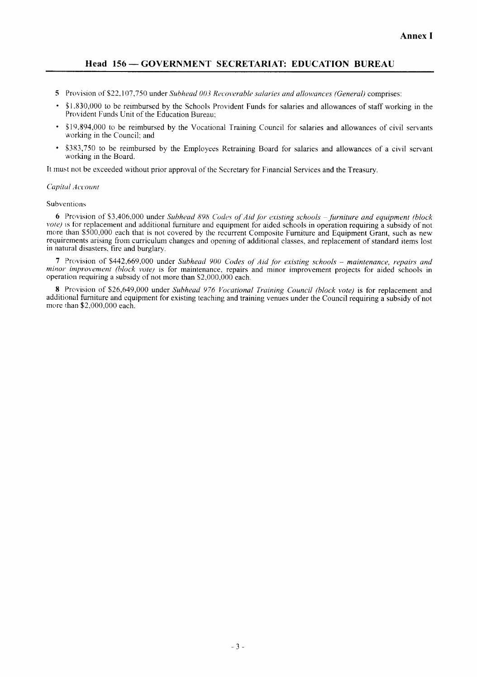- 5 Provision of \$22,107,750 under Subhead 003 Recoverable salaries and allowances (General) comprises:
- \$1,830,000 to be reimbursed by the Schools Provident Funds for salaries and allowances of staff working in the Provident Funds Unit of the Education Bureau;
- \$19,894,000 to be reimbursed by the Vocational Training Council for salaries and allowances of civil servants working in the Council; and
- \$383,750 to be reimbursed by the Employees Retraining Board for salaries and allowances of a civil servant working in the Board.

It must not be exceeded without prior approval of the Secretary for Financial Services and the Treasury.

### Capital Account

### Subventions

6 Provision of \$3,406,000 under Subhead 898 Codes of Aid for existing schools - furniture and equipment (block vote) is for replacement and additional furniture and equipment for aided schools in operation requiring a subsidy of not more than \$500,000 each that is not covered by the recurrent Composite Furniture and Equipment Grant, such as new requirements arising from curriculum changes and opening of additional classes, and replacement of standard items lost in natural disasters, fire and burglary.

7 Provision of \$442,669,000 under Subhead 900 Codes of Aid for existing schools - maintenance, repairs and minor improvement (block vote) is for maintenance, repairs and minor improvement projects for aided schools in operation requiring a subsidy of not more than \$2,000,000 each.

8 Provision of \$26,649,000 under Subhead 976 Vocational Training Council (block vote) is for replacement and additional furniture and equipment for existing teaching and training venues under the Council requiring a subsidy of not more than \$2,000,000 each.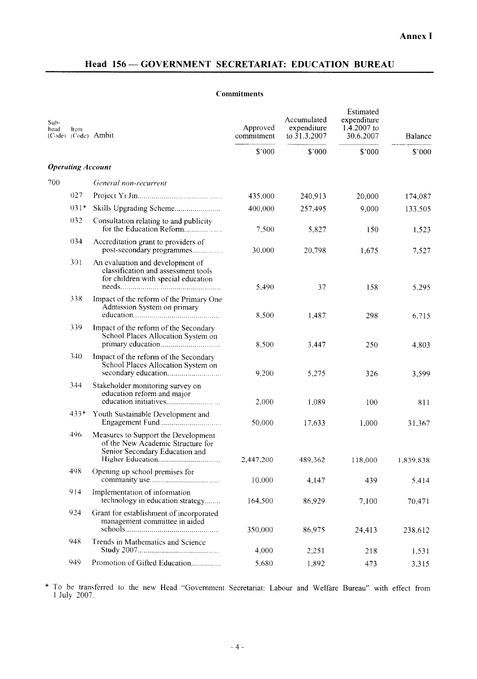### **Commitments**

| Sub-<br>head | Item                     | (Code) (Code) Ambit                                                                                            | Approved<br>commitment | Accumulated<br>expenditure<br>to 31.3.2007 | Estimated<br>expenditure<br>$1.4.2007$ to<br>30.6.2007 | Balance   |
|--------------|--------------------------|----------------------------------------------------------------------------------------------------------------|------------------------|--------------------------------------------|--------------------------------------------------------|-----------|
|              |                          |                                                                                                                | \$000                  | \$'000                                     | \$'000                                                 | \$'000    |
|              | <b>Operating Account</b> |                                                                                                                |                        |                                            |                                                        |           |
| 700          |                          | General non-recurrent                                                                                          |                        |                                            |                                                        |           |
|              | 027                      |                                                                                                                | 435,000                | 240,913                                    | 20,000                                                 | 174,087   |
|              | $031*$                   |                                                                                                                | 400,000                | 257,495                                    | 9,000                                                  | 133,505   |
|              | 032                      | Consultation relating to and publicity<br>for the Education Reform                                             | 7,500                  | 5,827                                      | 150                                                    | 1,523     |
|              | 034                      | Accreditation grant to providers of<br>post-secondary programmes                                               | 30,000                 | 20,798                                     | 1,675                                                  | 7,527     |
|              | 301                      | An evaluation and development of<br>classification and assessment tools<br>for children with special education | 5,490                  | 37                                         | 158                                                    | 5,295     |
|              | 338                      | Impact of the reform of the Primary One<br>Admission System on primary                                         | 8,500                  | 1,487                                      | 298                                                    | 6,715     |
|              | 339                      | Impact of the reform of the Secondary<br>School Places Allocation System on                                    | 8,500                  | 3,447                                      | 250                                                    | 4,803     |
|              | 340                      | Impact of the reform of the Secondary<br>School Places Allocation System on                                    | 9,200                  | 5,275                                      | 326                                                    | 3,599     |
|              | 344                      | Stakeholder monitoring survey on<br>education reform and major                                                 | 2,000                  | 1,089                                      | 100                                                    | 811       |
|              | 433*                     | Youth Sustainable Development and<br>Engagement Fund                                                           | 50,000                 | 17,633                                     | 1,000                                                  | 31,367    |
|              | 496                      | Measures to Support the Development<br>of the New Academic Structure for<br>Senior Secondary Education and     | 2,447,200              | 489,362                                    | 118,000                                                | 1,839,838 |
|              | 498                      | Opening up school premises for                                                                                 | 10.000                 | 4,147                                      | 439                                                    | 5,414     |
|              | 914                      | Implementation of information<br>technology in education strategy                                              | 164,500                | 86,929                                     | 7,100                                                  | 70,471    |
|              | 924                      | Grant for establishment of incorporated<br>management committee in aided                                       | 350,000                | 86,975                                     | 24,413                                                 | 238,612   |
|              | 948                      | Trends in Mathematics and Science                                                                              | 4,000                  | 2,251                                      | 218                                                    | 1,531     |
|              | 949                      | Promotion of Gifted Education                                                                                  | 5,680                  | 1,892                                      | 473                                                    | 3,315     |

\* To be transferred to the new Head "Government Secretariat: Labour and Welfare Bureau" with effect from 1 July 2007.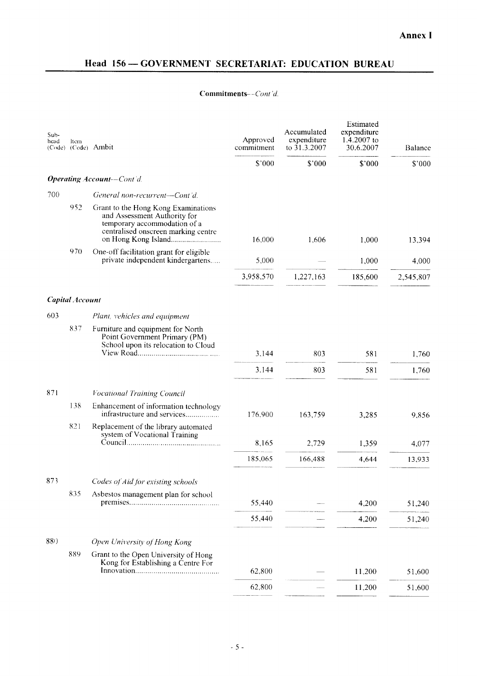# Commitments--Cont'd.

| Sub-<br>head | ltem                   | (Code) (Code) Ambit                                                                                                                        | Approved<br>commitment | Accumulated<br>expenditure<br>to 31.3.2007 | Estimated<br>expenditure<br>1.4.2007 to<br>30.6.2007 | Balance   |
|--------------|------------------------|--------------------------------------------------------------------------------------------------------------------------------------------|------------------------|--------------------------------------------|------------------------------------------------------|-----------|
|              |                        |                                                                                                                                            | \$'000                 | \$'000                                     | \$'000                                               | \$'000    |
|              |                        | <b>Operating Account--Cont'd.</b>                                                                                                          |                        |                                            |                                                      |           |
| 700          |                        | General non-recurrent-Cont'd.                                                                                                              |                        |                                            |                                                      |           |
|              | 952                    | Grant to the Hong Kong Examinations<br>and Assessment Authority for<br>temporary accommodation of a<br>centralised onscreen marking centre | 16,000                 | 1,606                                      | 1,000                                                | 13,394    |
|              | 970                    | One-off facilitation grant for eligible<br>private independent kindergartens                                                               | 5,000                  |                                            | 1,000                                                | 4,000     |
|              |                        |                                                                                                                                            | 3,958,570              | 1,227,163                                  | 185,600                                              | 2,545,807 |
|              | <b>Capital Account</b> |                                                                                                                                            |                        |                                            |                                                      |           |
| 603          |                        | Plant, vehicles and equipment                                                                                                              |                        |                                            |                                                      |           |
|              | 837                    | Furniture and equipment for North<br>Point Government Primary (PM)<br>School upon its relocation to Cloud                                  |                        |                                            |                                                      |           |
|              |                        |                                                                                                                                            | 3.144                  | 803                                        | 581                                                  | 1,760     |
|              |                        |                                                                                                                                            | 3.144                  | 803                                        | 581                                                  | 1,760     |
| 871          |                        | <b>Vocational Training Council</b>                                                                                                         |                        |                                            |                                                      |           |
|              | 138                    | Enhancement of information technology<br>infrastructure and services                                                                       | 176.900                | 163,759                                    | 3,285                                                | 9,856     |
|              | 821                    | Replacement of the library automated<br>system of Vocational Training                                                                      |                        |                                            |                                                      |           |
|              |                        |                                                                                                                                            | 8,165                  | 2,729                                      | 1,359                                                | 4,077     |
|              |                        |                                                                                                                                            | 185,065                | 166,488                                    | 4,644                                                | 13,933    |
| 873          |                        | Codes of Aid for existing schools                                                                                                          |                        |                                            |                                                      |           |
|              | 835                    | Asbestos management plan for school                                                                                                        | 55,440                 |                                            | 4,200                                                | 51,240    |
|              |                        |                                                                                                                                            | 55,440                 |                                            | 4,200                                                | 51,240    |
|              |                        |                                                                                                                                            |                        |                                            |                                                      |           |
| 880          |                        | Open University of Hong Kong                                                                                                               |                        |                                            |                                                      |           |
|              | 889                    | Grant to the Open University of Hong<br>Kong for Establishing a Centre For                                                                 |                        |                                            |                                                      |           |
|              |                        |                                                                                                                                            | 62,800                 |                                            | 11,200                                               | 51,600    |
|              |                        |                                                                                                                                            | 62,800                 |                                            | 11,200                                               | 51,600    |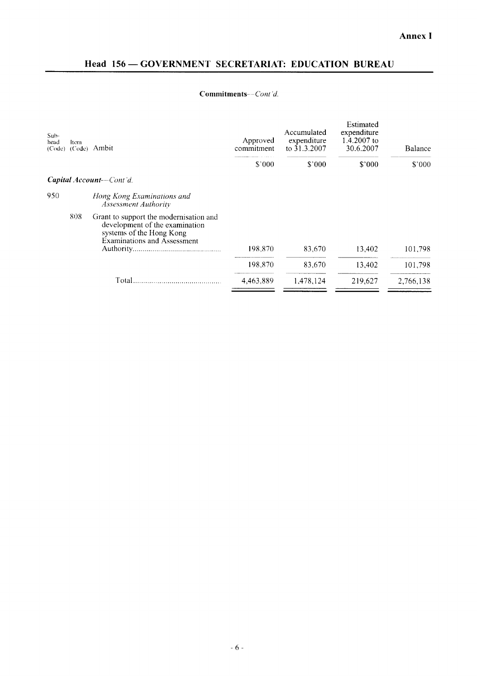# Commitments--Cont'd.

| Sub-<br>head<br>(Code) | Item<br>(Code) | Ambit                                                                                                                                      | Approved<br>commitment | Accumulated<br>expenditure<br>to 31.3.2007 | Estimated<br>expenditure<br>1.4.2007 to<br>30.6.2007 | Balance   |
|------------------------|----------------|--------------------------------------------------------------------------------------------------------------------------------------------|------------------------|--------------------------------------------|------------------------------------------------------|-----------|
|                        |                |                                                                                                                                            | \$000                  | $$^{\circ}000$                             | \$7000                                               | \$'000    |
|                        |                | Capital Account-Cont'd.                                                                                                                    |                        |                                            |                                                      |           |
| 950                    |                | Hong Kong Examinations and<br><b>Assessment Authority</b>                                                                                  |                        |                                            |                                                      |           |
|                        | 808            | Grant to support the modernisation and<br>development of the examination<br>systems of the Hong Kong<br><b>Examinations and Assessment</b> | 198.870                | 83,670                                     | 13,402                                               | 101.798   |
|                        |                |                                                                                                                                            | 198,870                | 83,670                                     | 13,402                                               | 101,798   |
|                        |                | Total                                                                                                                                      | 4,463,889              | 1.478.124                                  | 219,627                                              | 2,766,138 |
|                        |                |                                                                                                                                            |                        |                                            |                                                      |           |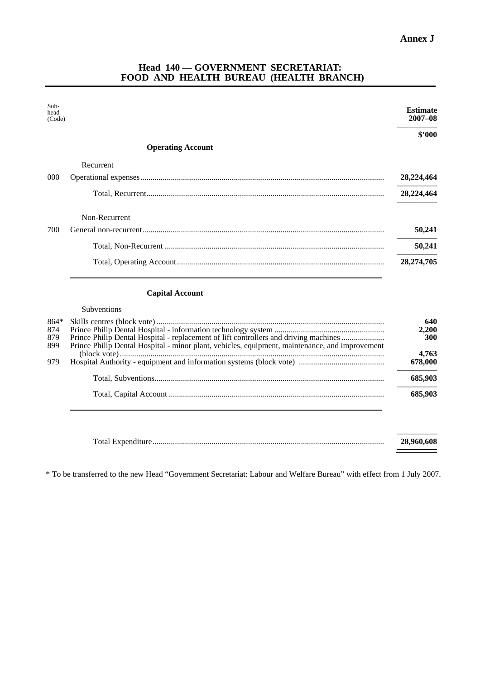# **Head 140 — GOVERNMENT SECRETARIAT: FOOD AND HEALTH BUREAU (HEALTH BRANCH)**

| Sub-<br>head<br>(Code)      |                                                                                                                                                                                        | <b>Estimate</b><br>$2007 - 08$ |
|-----------------------------|----------------------------------------------------------------------------------------------------------------------------------------------------------------------------------------|--------------------------------|
|                             |                                                                                                                                                                                        | \$2000                         |
|                             | <b>Operating Account</b>                                                                                                                                                               |                                |
|                             | Recurrent                                                                                                                                                                              |                                |
| 000                         |                                                                                                                                                                                        | 28,224,464                     |
|                             |                                                                                                                                                                                        | 28,224,464                     |
|                             | Non-Recurrent                                                                                                                                                                          |                                |
| 700                         |                                                                                                                                                                                        | 50,241                         |
|                             |                                                                                                                                                                                        | 50,241                         |
|                             |                                                                                                                                                                                        | 28,274,705                     |
|                             | <b>Capital Account</b>                                                                                                                                                                 |                                |
|                             | Subventions                                                                                                                                                                            |                                |
| $864*$<br>874<br>879<br>899 | Prince Philip Dental Hospital - replacement of lift controllers and driving machines<br>Prince Philip Dental Hospital - minor plant, vehicles, equipment, maintenance, and improvement | 640<br>2,200<br>300<br>4,763   |
| 979                         |                                                                                                                                                                                        | 678,000                        |
|                             |                                                                                                                                                                                        | 685,903                        |
|                             |                                                                                                                                                                                        | 685,903                        |
|                             |                                                                                                                                                                                        |                                |
|                             |                                                                                                                                                                                        | 28,960,608                     |

\* To be transferred to the new Head "Government Secretariat: Labour and Welfare Bureau" with effect from 1 July 2007.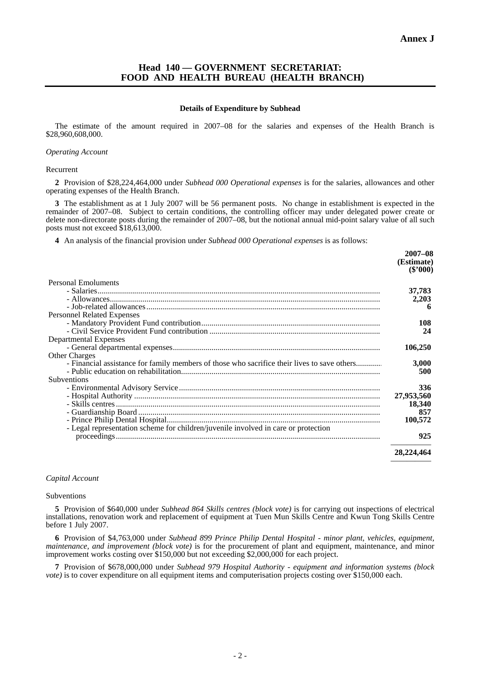# **Head 140 — GOVERNMENT SECRETARIAT: FOOD AND HEALTH BUREAU (HEALTH BRANCH)**

#### **Details of Expenditure by Subhead**

The estimate of the amount required in 2007–08 for the salaries and expenses of the Health Branch is \$28,960,608,000.

#### *Operating Account*

#### Recurrent

**2** Provision of \$28,224,464,000 under *Subhead 000 Operational expenses* is for the salaries, allowances and other operating expenses of the Health Branch.

**3** The establishment as at 1 July 2007 will be 56 permanent posts. No change in establishment is expected in the remainder of 2007–08. Subject to certain conditions, the controlling officer may under delegated power create or delete non-directorate posts during the remainder of 2007–08, but the notional annual mid-point salary value of all such posts must not exceed \$18,613,000.

**4** An analysis of the financial provision under *Subhead 000 Operational expenses* is as follows:

|                                                                                             | $2007 - 08$<br>(Estimate)<br>$(\$'000)$ |
|---------------------------------------------------------------------------------------------|-----------------------------------------|
| <b>Personal Emoluments</b>                                                                  |                                         |
|                                                                                             | 37,783                                  |
|                                                                                             | 2,203                                   |
|                                                                                             |                                         |
| <b>Personnel Related Expenses</b>                                                           |                                         |
|                                                                                             | 108                                     |
|                                                                                             | 24                                      |
| Departmental Expenses                                                                       |                                         |
|                                                                                             | 106,250                                 |
| <b>Other Charges</b>                                                                        |                                         |
| - Financial assistance for family members of those who sacrifice their lives to save others | 3,000                                   |
|                                                                                             | 500                                     |
| Subventions                                                                                 |                                         |
|                                                                                             | 336                                     |
|                                                                                             | 27,953,560                              |
|                                                                                             | 18,340                                  |
|                                                                                             | 857                                     |
|                                                                                             | 100,572                                 |
| - Legal representation scheme for children/juvenile involved in care or protection          | 925                                     |
|                                                                                             |                                         |
|                                                                                             | 28,224,464                              |
|                                                                                             |                                         |

#### *Capital Account*

#### Subventions

**5** Provision of \$640,000 under *Subhead 864 Skills centres (block vote)* is for carrying out inspections of electrical installations, renovation work and replacement of equipment at Tuen Mun Skills Centre and Kwun Tong Skills Centre before 1 July 2007.

**6** Provision of \$4,763,000 under *Subhead 899 Prince Philip Dental Hospital - minor plant, vehicles, equipment, maintenance, and improvement (block vote)* is for the procurement of plant and equipment, maintenance, and minor improvement works costing over \$150,000 but not exceeding \$2,000,000 for each project.

**7** Provision of \$678,000,000 under *Subhead 979 Hospital Authority - equipment and information systems (block vote*) is to cover expenditure on all equipment items and computerisation projects costing over \$150,000 each.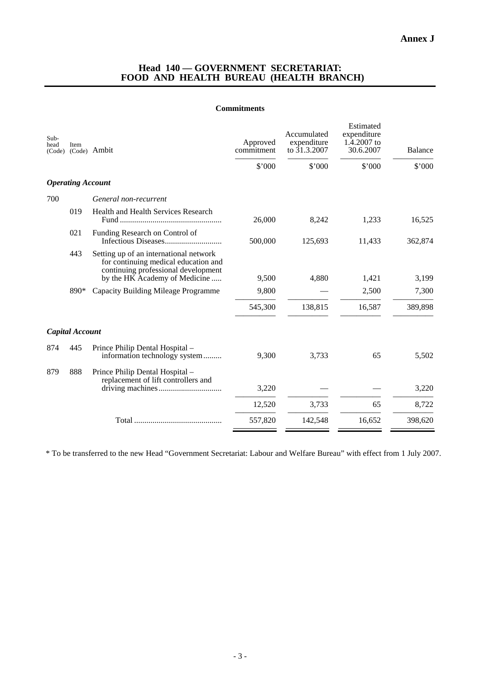## **Head 140 — GOVERNMENT SECRETARIAT: FOOD AND HEALTH BUREAU (HEALTH BRANCH)**

### **Commitments**

| Sub-<br>head<br>(Code) | Item                     | (Code) Ambit                                                                                                                                           | Approved<br>commitment | Accumulated<br>expenditure<br>to 31.3.2007 | Estimated<br>expenditure<br>$1.\overline{4}.2007$ to<br>30.6.2007 | <b>Balance</b> |
|------------------------|--------------------------|--------------------------------------------------------------------------------------------------------------------------------------------------------|------------------------|--------------------------------------------|-------------------------------------------------------------------|----------------|
|                        |                          |                                                                                                                                                        | \$'000                 | \$'000                                     | \$'000                                                            | \$'000         |
|                        | <b>Operating Account</b> |                                                                                                                                                        |                        |                                            |                                                                   |                |
| 700                    |                          | General non-recurrent                                                                                                                                  |                        |                                            |                                                                   |                |
|                        | 019                      | Health and Health Services Research                                                                                                                    | 26,000                 | 8,242                                      | 1,233                                                             | 16,525         |
|                        | 021                      | Funding Research on Control of                                                                                                                         | 500,000                | 125,693                                    | 11,433                                                            | 362,874        |
|                        | 443                      | Setting up of an international network<br>for continuing medical education and<br>continuing professional development<br>by the HK Academy of Medicine | 9,500                  | 4,880                                      | 1,421                                                             | 3,199          |
|                        | 890*                     | Capacity Building Mileage Programme                                                                                                                    | 9,800                  |                                            | 2,500                                                             | 7,300          |
|                        |                          |                                                                                                                                                        | 545,300                | 138,815                                    | 16,587                                                            | 389,898        |
|                        | Capital Account          |                                                                                                                                                        |                        |                                            |                                                                   |                |
| 874                    | 445                      | Prince Philip Dental Hospital -<br>information technology system                                                                                       | 9,300                  | 3,733                                      | 65                                                                | 5,502          |
| 879                    | 888                      | Prince Philip Dental Hospital -<br>replacement of lift controllers and                                                                                 | 3,220                  |                                            |                                                                   | 3,220          |
|                        |                          |                                                                                                                                                        |                        |                                            |                                                                   |                |
|                        |                          |                                                                                                                                                        | 12,520                 | 3,733                                      | 65                                                                | 8,722          |
|                        |                          |                                                                                                                                                        | 557,820                | 142,548                                    | 16,652                                                            | 398,620        |

\* To be transferred to the new Head "Government Secretariat: Labour and Welfare Bureau" with effect from 1 July 2007.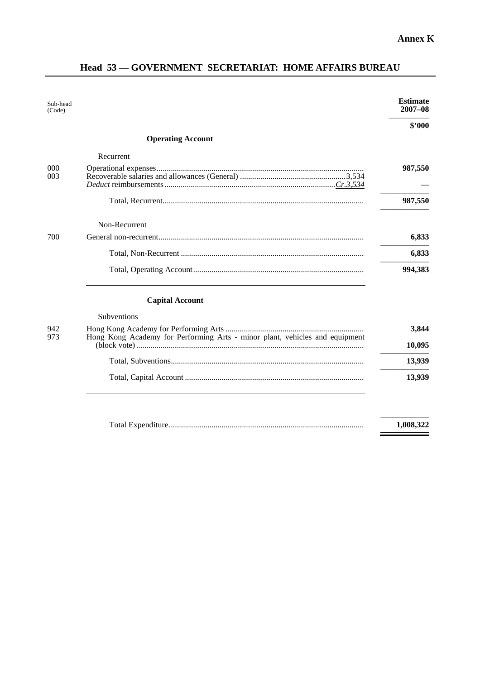# **Head 53 — GOVERNMENT SECRETARIAT: HOME AFFAIRS BUREAU**

| Sub-head<br>(Code) |                                                                             | <b>Estimate</b><br>$2007 - 08$ |
|--------------------|-----------------------------------------------------------------------------|--------------------------------|
|                    |                                                                             | \$2000                         |
|                    | <b>Operating Account</b>                                                    |                                |
|                    | Recurrent                                                                   |                                |
| 000<br>003         |                                                                             | 987,550                        |
|                    |                                                                             | 987,550                        |
|                    | Non-Recurrent                                                               |                                |
| 700                |                                                                             | 6,833                          |
|                    |                                                                             | 6,833                          |
|                    |                                                                             | 994,383                        |
|                    | <b>Capital Account</b>                                                      |                                |
|                    | <b>Subventions</b>                                                          |                                |
| 942<br>973         | Hong Kong Academy for Performing Arts - minor plant, vehicles and equipment | 3,844                          |

| כ ו ל | Hong Kong Academy for Performing Arts - influor plant, venicles and equipment | 10.095 |
|-------|-------------------------------------------------------------------------------|--------|
|       |                                                                               | 13.939 |
|       |                                                                               | 13.939 |

| Total Expenditure | .008.322 |
|-------------------|----------|
|                   |          |

 $\overline{\phantom{a}}$ 

Ξ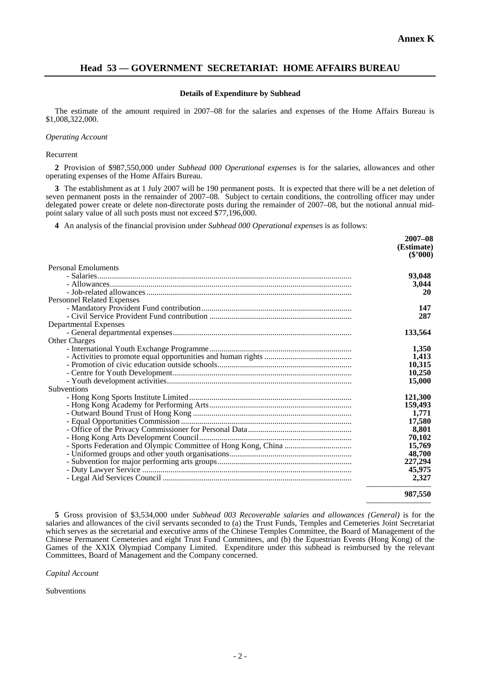# **Head 53 — GOVERNMENT SECRETARIAT: HOME AFFAIRS BUREAU**

### **Details of Expenditure by Subhead**

The estimate of the amount required in 2007–08 for the salaries and expenses of the Home Affairs Bureau is \$1,008,322,000.

### *Operating Account*

### Recurrent

**2** Provision of \$987,550,000 under *Subhead 000 Operational expenses* is for the salaries, allowances and other operating expenses of the Home Affairs Bureau.

**3** The establishment as at 1 July 2007 will be 190 permanent posts. It is expected that there will be a net deletion of seven permanent posts in the remainder of 2007–08. Subject to certain conditions, the controlling officer may under delegated power create or delete non-directorate posts during the remainder of 2007–08, but the notional annual midpoint salary value of all such posts must not exceed \$77,196,000.

**4** An analysis of the financial provision under *Subhead 000 Operational expenses* is as follows:

|                                   | $2007 - 08$              |
|-----------------------------------|--------------------------|
|                                   | (Estimate)<br>$(\$'000)$ |
| <b>Personal Emoluments</b>        |                          |
|                                   | 93,048                   |
|                                   | 3,044                    |
|                                   | 20                       |
| <b>Personnel Related Expenses</b> |                          |
|                                   | 147                      |
|                                   | 287                      |
| <b>Departmental Expenses</b>      |                          |
|                                   | 133,564                  |
| <b>Other Charges</b>              |                          |
|                                   | 1,350                    |
|                                   | 1,413                    |
|                                   | 10,315                   |
|                                   | 10,250                   |
|                                   | 15,000                   |
| <b>Subventions</b>                |                          |
|                                   | 121,300                  |
|                                   | 159,493                  |
|                                   | 1,771                    |
|                                   | 17,580                   |
|                                   | 8,801                    |
|                                   | 70,102                   |
|                                   | 15,769                   |
|                                   | 48,700                   |
|                                   | 227,294                  |
|                                   | 45,975                   |
|                                   | 2,327                    |
|                                   | 987,550                  |

**5** Gross provision of \$3,534,000 under *Subhead 003 Recoverable salaries and allowances (General)* is for the salaries and allowances of the civil servants seconded to (a) the Trust Funds, Temples and Cemeteries Joint Secretariat which serves as the secretarial and executive arms of the Chinese Temples Committee, the Board of Management of the Chinese Permanent Cemeteries and eight Trust Fund Committees, and (b) the Equestrian Events (Hong Kong) of the Games of the XXIX Olympiad Company Limited. Expenditure under this subhead is reimbursed by the relevant Committees, Board of Management and the Company concerned.

*Capital Account* 

Subventions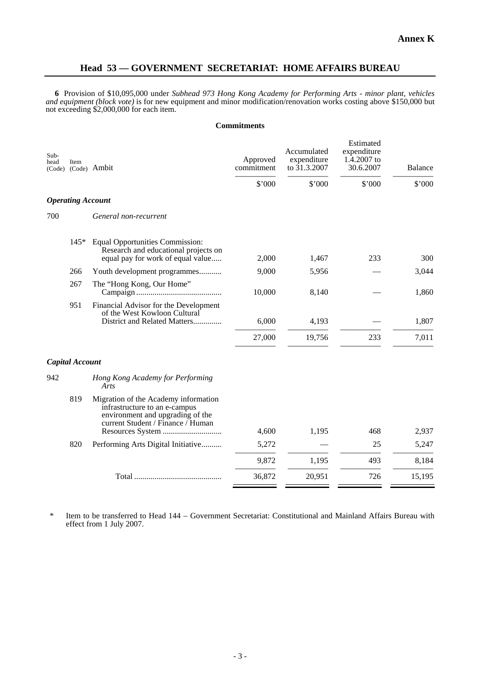# **Head 53 — GOVERNMENT SECRETARIAT: HOME AFFAIRS BUREAU**

**6** Provision of \$10,095,000 under *Subhead 973 Hong Kong Academy for Performing Arts - minor plant, vehicles and equipment (block vote)* is for new equipment and minor modification/renovation works costing above \$150,000 but not exceeding \$2,000,000 for each item.

### **Commitments**

| Sub-<br>head<br>(Code) | Item                     | (Code) Ambit                                                                                                                                   | Approved<br>commitment | Accumulated<br>expenditure<br>to $31.3.2007$ | Estimated<br>expenditure<br>1.4.2007 to<br>30.6.2007 | <b>Balance</b> |
|------------------------|--------------------------|------------------------------------------------------------------------------------------------------------------------------------------------|------------------------|----------------------------------------------|------------------------------------------------------|----------------|
|                        |                          |                                                                                                                                                | \$'000                 | \$'000                                       | \$'000                                               | \$'000         |
|                        | <b>Operating Account</b> |                                                                                                                                                |                        |                                              |                                                      |                |
| 700                    |                          | General non-recurrent                                                                                                                          |                        |                                              |                                                      |                |
|                        | $145*$                   | <b>Equal Opportunities Commission:</b><br>Research and educational projects on<br>equal pay for work of equal value                            | 2,000                  | 1,467                                        | 233                                                  | 300            |
|                        | 266                      | Youth development programmes                                                                                                                   | 9,000                  | 5,956                                        |                                                      | 3,044          |
|                        | 267                      | The "Hong Kong, Our Home"                                                                                                                      | 10,000                 | 8,140                                        |                                                      | 1,860          |
|                        | 951                      | Financial Advisor for the Development<br>of the West Kowloon Cultural<br>District and Related Matters                                          | 6,000                  | 4,193                                        |                                                      | 1,807          |
|                        |                          |                                                                                                                                                | 27,000                 | 19,756                                       | 233                                                  | 7,011          |
|                        | Capital Account          |                                                                                                                                                |                        |                                              |                                                      |                |
| 942                    |                          | Hong Kong Academy for Performing<br>Arts                                                                                                       |                        |                                              |                                                      |                |
|                        | 819                      | Migration of the Academy information<br>infrastructure to an e-campus<br>environment and upgrading of the<br>current Student / Finance / Human | 4,600                  | 1,195                                        | 468                                                  | 2,937          |
|                        | 820                      | Performing Arts Digital Initiative                                                                                                             | 5,272                  |                                              | 25                                                   | 5,247          |
|                        |                          |                                                                                                                                                | 9,872                  | 1,195                                        | 493                                                  | 8,184          |
|                        |                          |                                                                                                                                                |                        |                                              |                                                      |                |
|                        |                          |                                                                                                                                                | 36,872                 | 20,951                                       | 726                                                  | 15,195         |

\* Item to be transferred to Head 144 − Government Secretariat: Constitutional and Mainland Affairs Bureau with effect from 1 July 2007.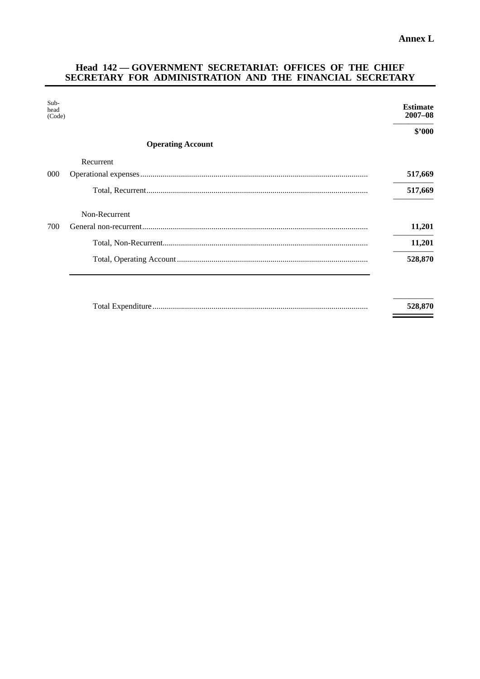$\equiv$ 

Ξ

# **Head 142 — GOVERNMENT SECRETARIAT: OFFICES OF THE CHIEF SECRETARY FOR ADMINISTRATION AND THE FINANCIAL SECRETARY**

| Sub-<br>head<br>(Code) |                          | <b>Estimate</b><br>$2007 - 08$ |
|------------------------|--------------------------|--------------------------------|
|                        |                          | \$2000                         |
|                        | <b>Operating Account</b> |                                |
|                        | Recurrent                |                                |
| 000                    |                          | 517,669                        |
|                        |                          | 517,669                        |
|                        | Non-Recurrent            |                                |
| 700                    |                          | 11,201                         |
|                        |                          | 11,201                         |
|                        |                          | 528,870                        |
|                        |                          |                                |
|                        |                          | 528,870                        |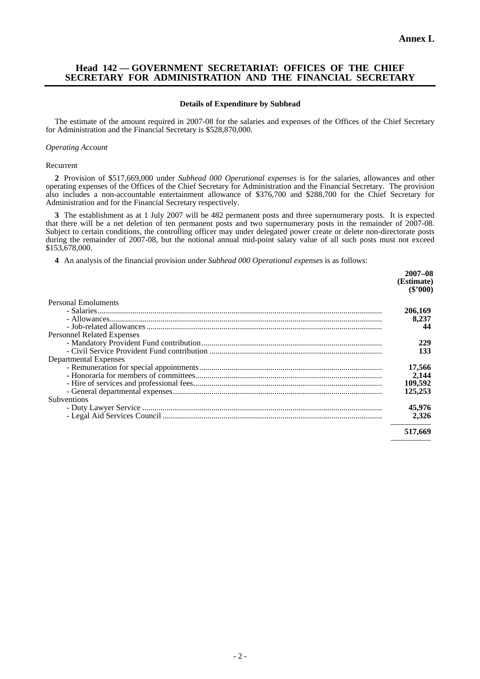### **Head 142 — GOVERNMENT SECRETARIAT: OFFICES OF THE CHIEF SECRETARY FOR ADMINISTRATION AND THE FINANCIAL SECRETARY**

#### **Details of Expenditure by Subhead**

The estimate of the amount required in 2007-08 for the salaries and expenses of the Offices of the Chief Secretary for Administration and the Financial Secretary is \$528,870,000.

### *Operating Account*

Recurrent

**2** Provision of \$517,669,000 under *Subhead 000 Operational expenses* is for the salaries, allowances and other operating expenses of the Offices of the Chief Secretary for Administration and the Financial Secretary. The provision also includes a non-accountable entertainment allowance of \$376,700 and \$288,700 for the Chief Secretary for Administration and for the Financial Secretary respectively.

**3** The establishment as at 1 July 2007 will be 482 permanent posts and three supernumerary posts. It is expected that there will be a net deletion of ten permanent posts and two supernumerary posts in the remainder of 2007-08. Subject to certain conditions, the controlling officer may under delegated power create or delete non-directorate posts during the remainder of 2007-08, but the notional annual mid-point salary value of all such posts must not exceed \$153,678,000.

**4** An analysis of the financial provision under *Subhead 000 Operational expenses* is as follows:

|                                   | $2007 - 08$<br>(Estimate)<br>$(\$'000)$ |
|-----------------------------------|-----------------------------------------|
| Personal Emoluments               |                                         |
|                                   | 206,169                                 |
|                                   | 8,237                                   |
|                                   | 44                                      |
| <b>Personnel Related Expenses</b> |                                         |
|                                   | 229                                     |
|                                   | 133                                     |
| Departmental Expenses             |                                         |
|                                   | 17,566                                  |
|                                   | 2,144                                   |
|                                   | 109,592                                 |
|                                   | 125,253                                 |
| Subventions                       |                                         |
|                                   | 45,976                                  |
|                                   | 2,326                                   |
|                                   | 517,669                                 |
|                                   |                                         |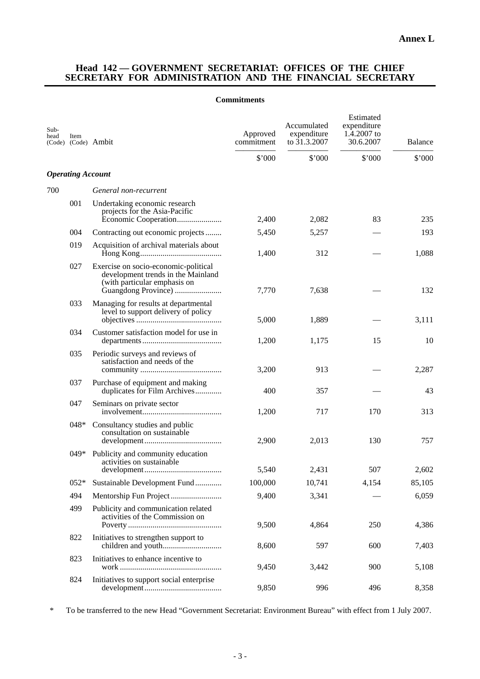# **Head 142 — GOVERNMENT SECRETARIAT: OFFICES OF THE CHIEF SECRETARY FOR ADMINISTRATION AND THE FINANCIAL SECRETARY**

### **Commitments**

| Sub-<br>head | Item                     | (Code) (Code) Ambit                                                                                        | Approved<br>commitment | Accumulated<br>expenditure<br>to 31.3.2007 | Estimated<br>expenditure<br>1.4.2007 to<br>30.6.2007 | Balance |
|--------------|--------------------------|------------------------------------------------------------------------------------------------------------|------------------------|--------------------------------------------|------------------------------------------------------|---------|
|              |                          |                                                                                                            | \$'000                 | \$'000                                     | \$'000                                               | \$'000  |
|              | <b>Operating Account</b> |                                                                                                            |                        |                                            |                                                      |         |
| 700          |                          | General non-recurrent                                                                                      |                        |                                            |                                                      |         |
|              | 001                      | Undertaking economic research<br>projects for the Asia-Pacific                                             | 2,400                  | 2,082                                      | 83                                                   | 235     |
|              | 004                      | Contracting out economic projects                                                                          | 5,450                  | 5,257                                      |                                                      | 193     |
|              | 019                      | Acquisition of archival materials about                                                                    | 1,400                  | 312                                        |                                                      | 1,088   |
|              | 027                      | Exercise on socio-economic-political<br>development trends in the Mainland<br>(with particular emphasis on | 7,770                  | 7,638                                      |                                                      | 132     |
|              | 033                      | Managing for results at departmental<br>level to support delivery of policy                                | 5,000                  | 1,889                                      |                                                      | 3,111   |
|              | 034                      | Customer satisfaction model for use in                                                                     | 1,200                  | 1,175                                      | 15                                                   | 10      |
|              | 035                      | Periodic surveys and reviews of<br>satisfaction and needs of the                                           | 3,200                  | 913                                        |                                                      | 2,287   |
|              | 037                      | Purchase of equipment and making<br>duplicates for Film Archives                                           | 400                    | 357                                        |                                                      | 43      |
|              | 047                      | Seminars on private sector                                                                                 | 1,200                  | 717                                        | 170                                                  | 313     |
|              | $048*$                   | Consultancy studies and public<br>consultation on sustainable                                              | 2,900                  | 2,013                                      | 130                                                  | 757     |
|              | $049*$                   | Publicity and community education<br>activities on sustainable                                             | 5.540                  | 2.431                                      | 507                                                  | 2,602   |
|              | $052*$                   | Sustainable Development Fund                                                                               | 100,000                | 10,741                                     | 4,154                                                | 85,105  |
|              | 494                      |                                                                                                            | 9,400                  | 3,341                                      |                                                      | 6,059   |
|              | 499                      | Publicity and communication related<br>activities of the Commission on                                     | 9,500                  | 4,864                                      | 250                                                  | 4,386   |
|              | 822                      | Initiatives to strengthen support to                                                                       | 8,600                  | 597                                        | 600                                                  | 7,403   |
|              | 823                      | Initiatives to enhance incentive to                                                                        | 9,450                  | 3,442                                      | 900                                                  | 5,108   |
|              | 824                      | Initiatives to support social enterprise                                                                   | 9,850                  | 996                                        | 496                                                  | 8,358   |

\* To be transferred to the new Head "Government Secretariat: Environment Bureau" with effect from 1 July 2007.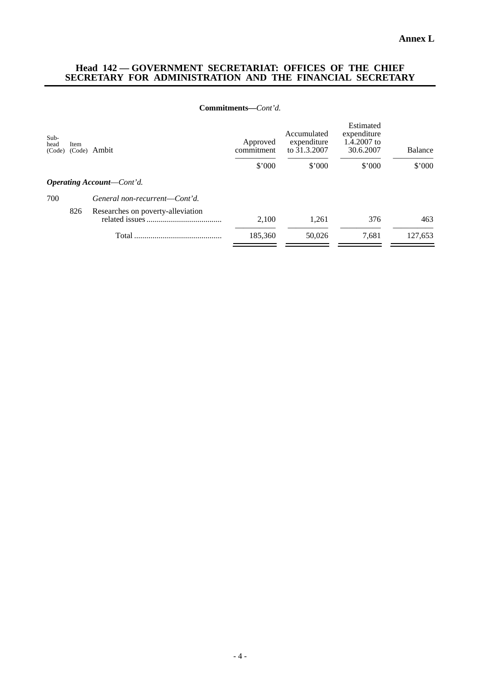### **Head 142 — GOVERNMENT SECRETARIAT: OFFICES OF THE CHIEF SECRETARY FOR ADMINISTRATION AND THE FINANCIAL SECRETARY**

### **Commitments—***Cont'd.*

| Item   | Ambit                             | Accumulated<br>expenditure<br>Approved<br>to 31.3.2007<br>commitment | Estimated<br>expenditure<br>1.4.2007 to<br>30.6.2007 | Balance |         |
|--------|-----------------------------------|----------------------------------------------------------------------|------------------------------------------------------|---------|---------|
|        |                                   | \$'000                                                               | \$'000                                               | \$'000  | \$'000  |
|        |                                   |                                                                      |                                                      |         |         |
|        | General non-recurrent-Cont'd.     |                                                                      |                                                      |         |         |
| 826    | Researches on poverty-alleviation | 2,100                                                                | 1,261                                                | 376     | 463     |
|        | Total                             | 185,360                                                              | 50,026                                               | 7.681   | 127,653 |
| (Code) | (Code)                            | <b>Operating Account—Cont'd.</b>                                     |                                                      |         |         |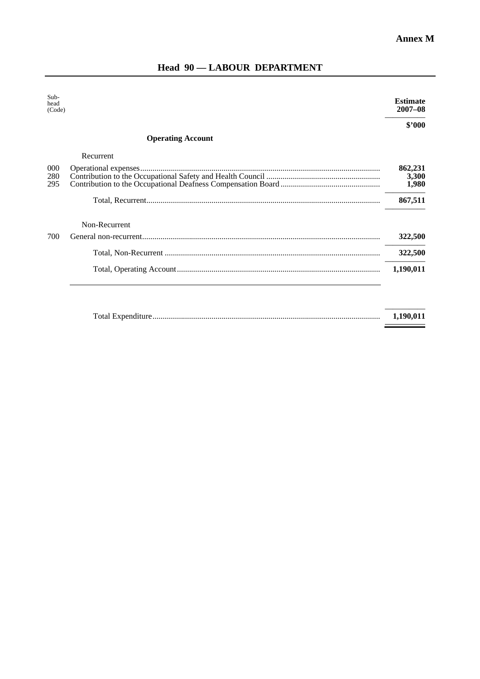| $Sub-$<br>head<br>(Code) |                          | <b>Estimate</b><br>$2007 - 08$ |
|--------------------------|--------------------------|--------------------------------|
|                          |                          | \$2000                         |
|                          | <b>Operating Account</b> |                                |
|                          | Recurrent                |                                |
| 000<br>280<br>295        |                          | 862,231<br>3,300<br>1,980      |
|                          |                          | 867,511                        |
|                          | Non-Recurrent            |                                |
| 700                      |                          | 322,500                        |
|                          |                          | 322,500                        |
|                          |                          | 1,190,011                      |
|                          |                          |                                |
|                          |                          |                                |

# **Head 90 — LABOUR DEPARTMENT**

|  | 1.190.011 |
|--|-----------|
|  |           |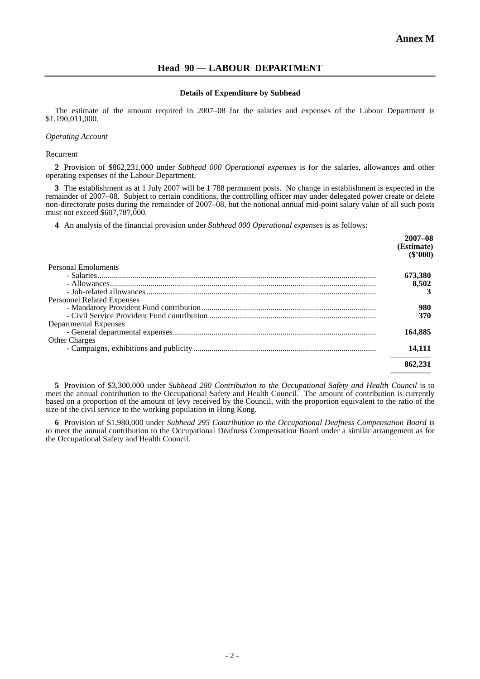# **Head 90 — LABOUR DEPARTMENT**

### **Details of Expenditure by Subhead**

The estimate of the amount required in 2007–08 for the salaries and expenses of the Labour Department is \$1,190,011,000.

### *Operating Account*

### Recurrent

**2** Provision of \$862,231,000 under *Subhead 000 Operational expenses* is for the salaries, allowances and other operating expenses of the Labour Department.

**3** The establishment as at 1 July 2007 will be 1 788 permanent posts. No change in establishment is expected in the remainder of 2007–08. Subject to certain conditions, the controlling officer may under delegated power create or delete non-directorate posts during the remainder of 2007–08, but the notional annual mid-point salary value of all such posts must not exceed \$607,787,000.

**4** An analysis of the financial provision under *Subhead 000 Operational expenses* is as follows:

|                                   | $2007 - 08$<br>(Estimate)<br>$(\$'000)$ |
|-----------------------------------|-----------------------------------------|
| Personal Emoluments               |                                         |
|                                   | 673,380                                 |
|                                   | 8,502                                   |
|                                   |                                         |
| <b>Personnel Related Expenses</b> |                                         |
|                                   | 980                                     |
|                                   | 370                                     |
| Departmental Expenses             |                                         |
|                                   | 164,885                                 |
| <b>Other Charges</b>              |                                         |
|                                   | 14,111                                  |
|                                   | 862,231                                 |
|                                   |                                         |

**5** Provision of \$3,300,000 under *Subhead 280 Contribution to the Occupational Safety and Health Council* is to meet the annual contribution to the Occupational Safety and Health Council. The amount of contribution is currently based on a proportion of the amount of levy received by the Council, with the proportion equivalent to the ratio of the size of the civil service to the working population in Hong Kong.

**6** Provision of \$1,980,000 under *Subhead 295 Contribution to the Occupational Deafness Compensation Board* is to meet the annual contribution to the Occupational Deafness Compensation Board under a similar arrangement as for the Occupational Safety and Health Council.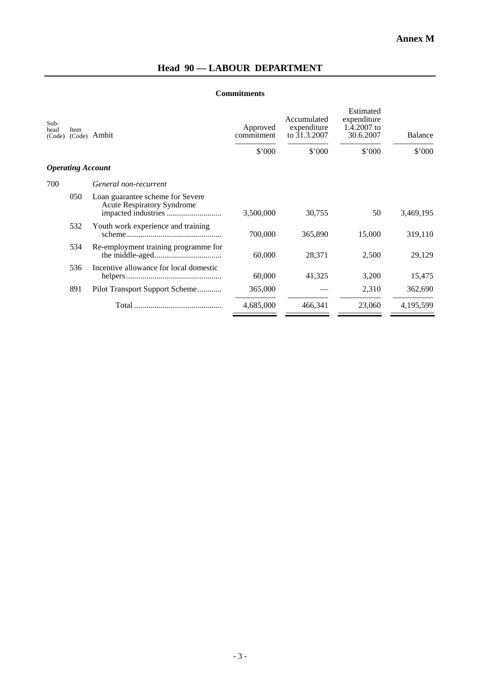# **Head 90 — LABOUR DEPARTMENT**

# **Commitments**

| Sub-<br>head<br>(Code) | Item<br>(Code)           | Ambit                                                                 | Approved<br>commitment | Accumulated<br>expenditure<br>to 31.3.2007 | Estimated<br>expenditure<br>1.4.2007 to<br>30.6.2007 | <b>Balance</b> |
|------------------------|--------------------------|-----------------------------------------------------------------------|------------------------|--------------------------------------------|------------------------------------------------------|----------------|
|                        |                          |                                                                       | \$'000                 | \$'000                                     | \$'000                                               | \$'000         |
|                        | <b>Operating Account</b> |                                                                       |                        |                                            |                                                      |                |
| 700                    |                          | General non-recurrent                                                 |                        |                                            |                                                      |                |
|                        | 050                      | Loan guarantee scheme for Severe<br><b>Acute Respiratory Syndrome</b> | 3,500,000              | 30,755                                     | 50                                                   | 3,469,195      |
|                        | 532                      | Youth work experience and training                                    | 700,000                | 365,890                                    | 15,000                                               | 319,110        |
|                        | 534                      | Re-employment training programme for                                  | 60,000                 | 28,371                                     | 2,500                                                | 29,129         |
|                        | 536                      | Incentive allowance for local domestic                                | 60,000                 | 41,325                                     | 3,200                                                | 15,475         |
|                        | 891                      | Pilot Transport Support Scheme                                        | 365,000                |                                            | 2,310                                                | 362,690        |
|                        |                          |                                                                       | 4,685,000              | 466,341                                    | 23,060                                               | 4,195,599      |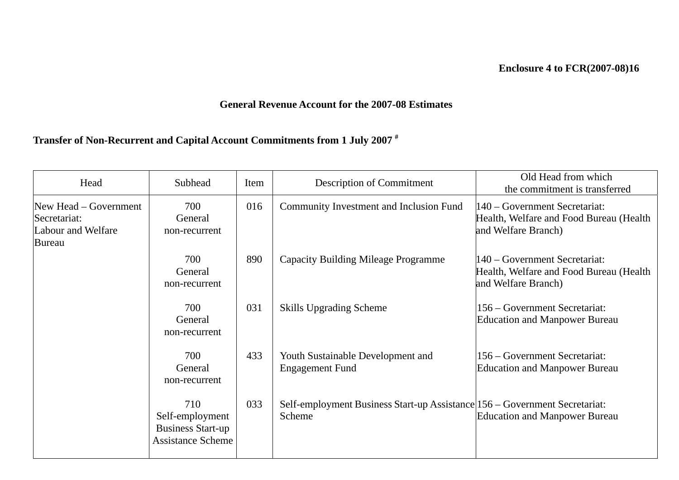# **Enclosure 4 to FCR(2007-08)16**

# **General Revenue Account for the 2007-08 Estimates**

# **Transfer of Non-Recurrent and Capital Account Commitments from 1 July 2007 #**

| Head                                                                  | Subhead                                                                        | Item | Description of Commitment                                                            | Old Head from which<br>the commitment is transferred                                            |
|-----------------------------------------------------------------------|--------------------------------------------------------------------------------|------|--------------------------------------------------------------------------------------|-------------------------------------------------------------------------------------------------|
| New Head – Government<br>Secretariat:<br>Labour and Welfare<br>Bureau | 700<br>General<br>non-recurrent                                                | 016  | Community Investment and Inclusion Fund                                              | 140 – Government Secretariat:<br>Health, Welfare and Food Bureau (Health<br>and Welfare Branch) |
|                                                                       | 700<br>General<br>non-recurrent                                                | 890  | <b>Capacity Building Mileage Programme</b>                                           | 140 – Government Secretariat:<br>Health, Welfare and Food Bureau (Health<br>and Welfare Branch) |
|                                                                       | 700<br>General<br>non-recurrent                                                | 031  | Skills Upgrading Scheme                                                              | 156 – Government Secretariat:<br><b>Education and Manpower Bureau</b>                           |
|                                                                       | 700<br>General<br>non-recurrent                                                | 433  | Youth Sustainable Development and<br><b>Engagement Fund</b>                          | 156 – Government Secretariat:<br><b>Education and Manpower Bureau</b>                           |
|                                                                       | 710<br>Self-employment<br><b>Business Start-up</b><br><b>Assistance Scheme</b> | 033  | Self-employment Business Start-up Assistance 156 - Government Secretariat:<br>Scheme | <b>Education and Manpower Bureau</b>                                                            |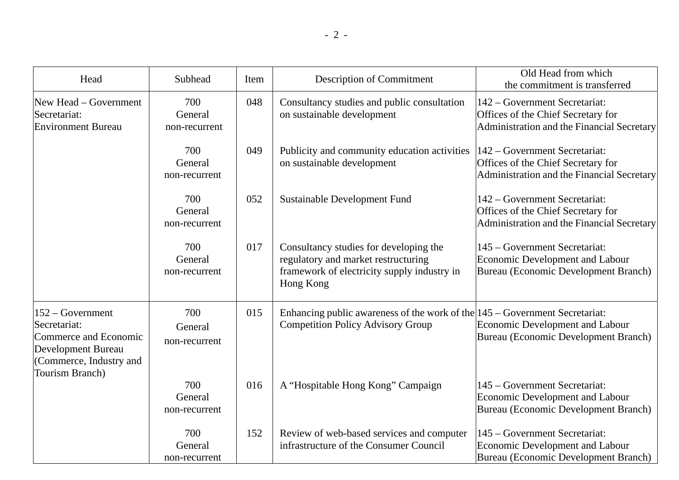| Head                                                                                                                                                                      | Subhead                         | Item | <b>Description of Commitment</b>                                                                                                          | Old Head from which<br>the commitment is transferred                                                              |
|---------------------------------------------------------------------------------------------------------------------------------------------------------------------------|---------------------------------|------|-------------------------------------------------------------------------------------------------------------------------------------------|-------------------------------------------------------------------------------------------------------------------|
| 700<br>New Head - Government<br>General<br>Secretariat:<br><b>Environment Bureau</b><br>non-recurrent                                                                     |                                 | 048  | Consultancy studies and public consultation<br>on sustainable development                                                                 | 142 – Government Secretariat:<br>Offices of the Chief Secretary for<br>Administration and the Financial Secretary |
|                                                                                                                                                                           | 700<br>General<br>non-recurrent | 049  | Publicity and community education activities<br>on sustainable development                                                                | 142 – Government Secretariat:<br>Offices of the Chief Secretary for<br>Administration and the Financial Secretary |
|                                                                                                                                                                           | 700<br>General<br>non-recurrent | 052  | Sustainable Development Fund                                                                                                              | 142 – Government Secretariat:<br>Offices of the Chief Secretary for<br>Administration and the Financial Secretary |
|                                                                                                                                                                           | 700<br>General<br>non-recurrent | 017  | Consultancy studies for developing the<br>regulatory and market restructuring<br>framework of electricity supply industry in<br>Hong Kong | 145 – Government Secretariat:<br>Economic Development and Labour<br>Bureau (Economic Development Branch)          |
| $152 - Government$<br>700<br>Secretariat:<br>General<br>Commerce and Economic<br>non-recurrent<br><b>Development Bureau</b><br>(Commerce, Industry and<br>Tourism Branch) |                                 | 015  | Enhancing public awareness of the work of the $ 145 -$ Government Secretariat:<br><b>Competition Policy Advisory Group</b>                | Economic Development and Labour<br>Bureau (Economic Development Branch)                                           |
|                                                                                                                                                                           | 700<br>General<br>non-recurrent | 016  | A "Hospitable Hong Kong" Campaign                                                                                                         | 145 – Government Secretariat:<br>Economic Development and Labour<br>Bureau (Economic Development Branch)          |
|                                                                                                                                                                           | 700<br>General<br>non-recurrent | 152  | Review of web-based services and computer<br>infrastructure of the Consumer Council                                                       | 145 – Government Secretariat:<br>Economic Development and Labour<br>Bureau (Economic Development Branch)          |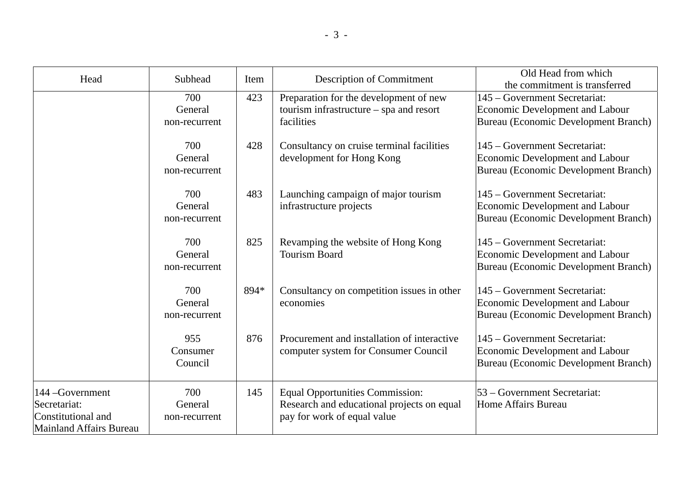| Head                                                                              | Subhead                         | Item | <b>Description of Commitment</b>                                                                                    | Old Head from which<br>the commitment is transferred                                                            |
|-----------------------------------------------------------------------------------|---------------------------------|------|---------------------------------------------------------------------------------------------------------------------|-----------------------------------------------------------------------------------------------------------------|
|                                                                                   | 700<br>General<br>non-recurrent | 423  | Preparation for the development of new<br>tourism infrastructure $-$ spa and resort<br>facilities                   | 145 – Government Secretariat:<br><b>Economic Development and Labour</b><br>Bureau (Economic Development Branch) |
|                                                                                   | 700<br>General<br>non-recurrent | 428  | Consultancy on cruise terminal facilities<br>development for Hong Kong                                              | 145 – Government Secretariat:<br>Economic Development and Labour<br>Bureau (Economic Development Branch)        |
|                                                                                   | 700<br>General<br>non-recurrent | 483  | Launching campaign of major tourism<br>infrastructure projects                                                      | 145 – Government Secretariat:<br>Economic Development and Labour<br>Bureau (Economic Development Branch)        |
|                                                                                   | 700<br>General<br>non-recurrent | 825  | Revamping the website of Hong Kong<br><b>Tourism Board</b>                                                          | 145 – Government Secretariat:<br>Economic Development and Labour<br>Bureau (Economic Development Branch)        |
|                                                                                   | 700<br>General<br>non-recurrent | 894* | Consultancy on competition issues in other<br>economies                                                             | 145 – Government Secretariat:<br>Economic Development and Labour<br>Bureau (Economic Development Branch)        |
|                                                                                   | 955<br>Consumer<br>Council      | 876  | Procurement and installation of interactive<br>computer system for Consumer Council                                 | 145 – Government Secretariat:<br>Economic Development and Labour<br>Bureau (Economic Development Branch)        |
| 144 - Government<br>Secretariat:<br>Constitutional and<br>Mainland Affairs Bureau | 700<br>General<br>non-recurrent | 145  | <b>Equal Opportunities Commission:</b><br>Research and educational projects on equal<br>pay for work of equal value | 53 – Government Secretariat:<br>Home Affairs Bureau                                                             |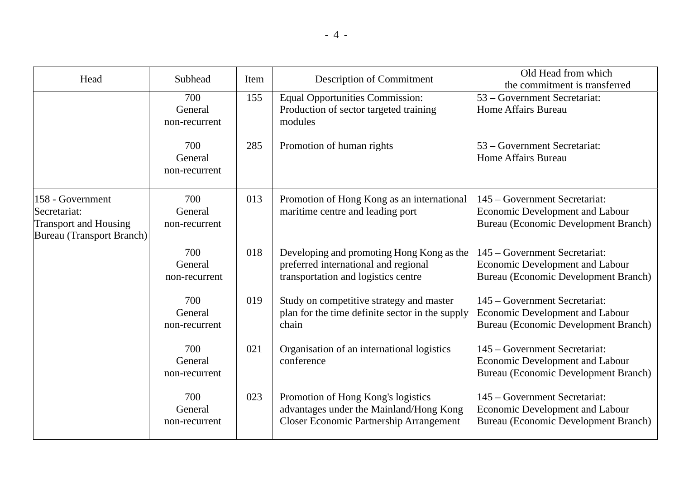| Head                                                                                                 | Subhead                         | Item | <b>Description of Commitment</b>                                                                                                | Old Head from which<br>the commitment is transferred                                                            |
|------------------------------------------------------------------------------------------------------|---------------------------------|------|---------------------------------------------------------------------------------------------------------------------------------|-----------------------------------------------------------------------------------------------------------------|
|                                                                                                      | 700<br>General<br>non-recurrent | 155  | <b>Equal Opportunities Commission:</b><br>Production of sector targeted training<br>modules                                     | 53 – Government Secretariat:<br>Home Affairs Bureau                                                             |
|                                                                                                      | 700<br>General<br>non-recurrent | 285  | Promotion of human rights                                                                                                       | 53 – Government Secretariat:<br>Home Affairs Bureau                                                             |
| 158 - Government<br>Secretariat:<br><b>Transport and Housing</b><br><b>Bureau</b> (Transport Branch) | 700<br>General<br>non-recurrent | 013  | Promotion of Hong Kong as an international<br>maritime centre and leading port                                                  | 145 – Government Secretariat:<br><b>Economic Development and Labour</b><br>Bureau (Economic Development Branch) |
|                                                                                                      | 700<br>General<br>non-recurrent | 018  | Developing and promoting Hong Kong as the<br>preferred international and regional<br>transportation and logistics centre        | 145 – Government Secretariat:<br>Economic Development and Labour<br>Bureau (Economic Development Branch)        |
|                                                                                                      | 700<br>General<br>non-recurrent | 019  | Study on competitive strategy and master<br>plan for the time definite sector in the supply<br>chain                            | 145 – Government Secretariat:<br>Economic Development and Labour<br>Bureau (Economic Development Branch)        |
|                                                                                                      | 700<br>General<br>non-recurrent | 021  | Organisation of an international logistics<br>conference                                                                        | 145 – Government Secretariat:<br><b>Economic Development and Labour</b><br>Bureau (Economic Development Branch) |
|                                                                                                      | 700<br>General<br>non-recurrent | 023  | Promotion of Hong Kong's logistics<br>advantages under the Mainland/Hong Kong<br><b>Closer Economic Partnership Arrangement</b> | 145 – Government Secretariat:<br>Economic Development and Labour<br>Bureau (Economic Development Branch)        |